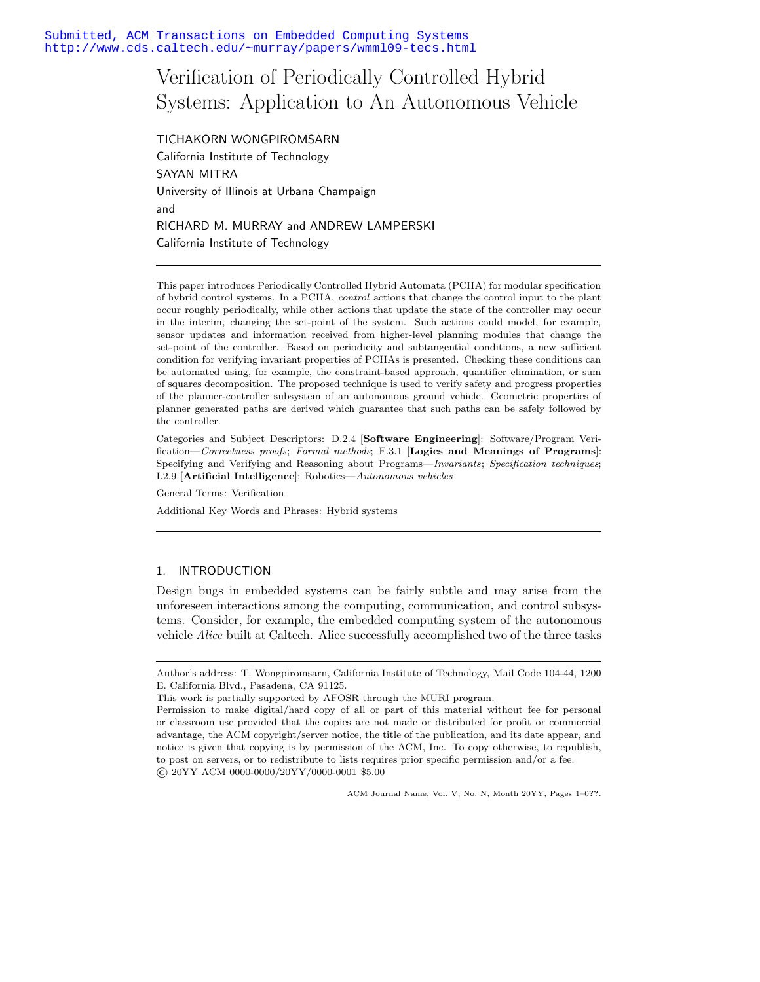# Verification of Periodically Controlled Hybrid Systems: Application to An Autonomous Vehicle

TICHAKORN WONGPIROMSARN California Institute of Technology SAYAN MITRA University of Illinois at Urbana Champaign and RICHARD M. MURRAY and ANDREW LAMPERSKI California Institute of Technology

This paper introduces Periodically Controlled Hybrid Automata (PCHA) for modular specification of hybrid control systems. In a PCHA, *control* actions that change the control input to the plant occur roughly periodically, while other actions that update the state of the controller may occur in the interim, changing the set-point of the system. Such actions could model, for example, sensor updates and information received from higher-level planning modules that change the set-point of the controller. Based on periodicity and subtangential conditions, a new sufficient condition for verifying invariant properties of PCHAs is presented. Checking these conditions can be automated using, for example, the constraint-based approach, quantifier elimination, or sum of squares decomposition. The proposed technique is used to verify safety and progress properties of the planner-controller subsystem of an autonomous ground vehicle. Geometric properties of planner generated paths are derived which guarantee that such paths can be safely followed by the controller.

Categories and Subject Descriptors: D.2.4 [**Software Engineering**]: Software/Program Verification—*Correctness proofs*; *Formal methods*; F.3.1 [**Logics and Meanings of Programs**]: Specifying and Verifying and Reasoning about Programs—*Invariants*; *Specification techniques*; I.2.9 [**Artificial Intelligence**]: Robotics—*Autonomous vehicles*

General Terms: Verification

Additional Key Words and Phrases: Hybrid systems

# 1. INTRODUCTION

Design bugs in embedded systems can be fairly subtle and may arise from the unforeseen interactions among the computing, communication, and control subsystems. Consider, for example, the embedded computing system of the autonomous vehicle *Alice* built at Caltech. Alice successfully accomplished two of the three tasks

ACM Journal Name, Vol. V, No. N, Month 20YY, Pages 1–0**??**.

Author's address: T. Wongpiromsarn, California Institute of Technology, Mail Code 104-44, 1200 E. California Blvd., Pasadena, CA 91125.

This work is partially supported by AFOSR through the MURI program.

Permission to make digital/hard copy of all or part of this material without fee for personal or classroom use provided that the copies are not made or distributed for profit or commercial advantage, the ACM copyright/server notice, the title of the publication, and its date appear, and notice is given that copying is by permission of the ACM, Inc. To copy otherwise, to republish, to post on servers, or to redistribute to lists requires prior specific permission and/or a fee. © 20YY ACM 0000-0000/20YY/0000-0001 \$5.00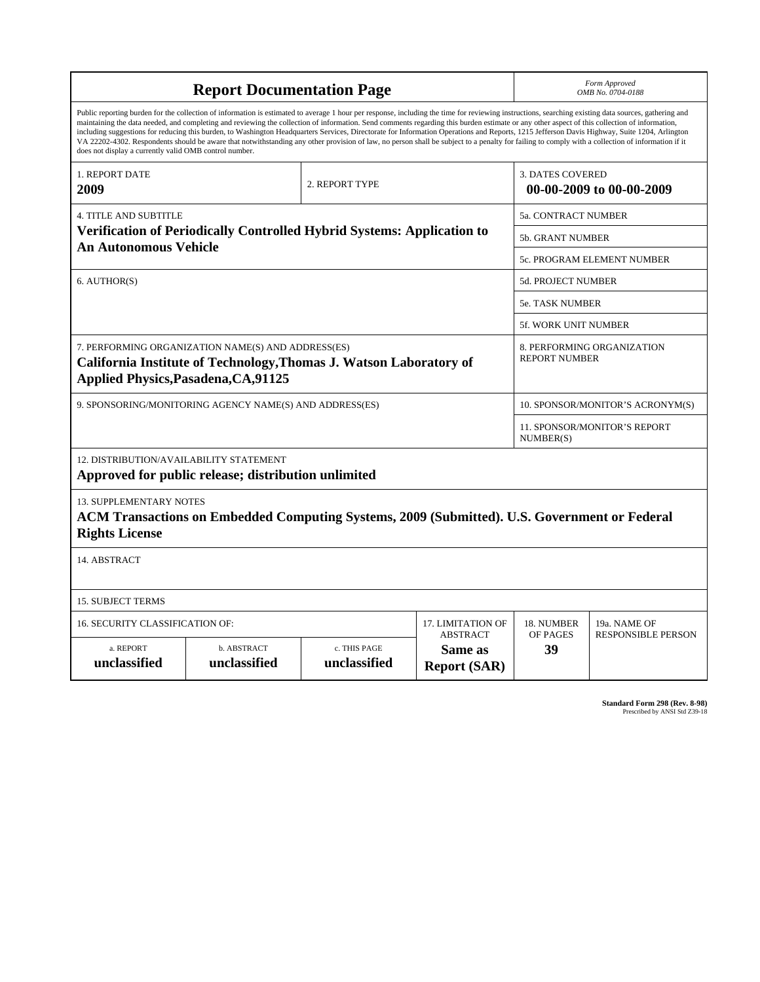|                                                                                                                                                                                                                                                                                                                                                                                                                                                                                                                                                                                                                                                                                                                                                                                                                                                                    | <b>Report Documentation Page</b>                                                             | Form Approved<br>OMB No. 0704-0188                                    |                                                   |                                  |                                                    |  |  |
|--------------------------------------------------------------------------------------------------------------------------------------------------------------------------------------------------------------------------------------------------------------------------------------------------------------------------------------------------------------------------------------------------------------------------------------------------------------------------------------------------------------------------------------------------------------------------------------------------------------------------------------------------------------------------------------------------------------------------------------------------------------------------------------------------------------------------------------------------------------------|----------------------------------------------------------------------------------------------|-----------------------------------------------------------------------|---------------------------------------------------|----------------------------------|----------------------------------------------------|--|--|
| Public reporting burden for the collection of information is estimated to average 1 hour per response, including the time for reviewing instructions, searching existing data sources, gathering and<br>maintaining the data needed, and completing and reviewing the collection of information. Send comments regarding this burden estimate or any other aspect of this collection of information,<br>including suggestions for reducing this burden, to Washington Headquarters Services, Directorate for Information Operations and Reports, 1215 Jefferson Davis Highway, Suite 1204, Arlington<br>VA 22202-4302. Respondents should be aware that notwithstanding any other provision of law, no person shall be subject to a penalty for failing to comply with a collection of information if it<br>does not display a currently valid OMB control number. |                                                                                              |                                                                       |                                                   |                                  |                                                    |  |  |
| 1. REPORT DATE<br>2009                                                                                                                                                                                                                                                                                                                                                                                                                                                                                                                                                                                                                                                                                                                                                                                                                                             |                                                                                              | <b>3. DATES COVERED</b><br>2. REPORT TYPE<br>00-00-2009 to 00-00-2009 |                                                   |                                  |                                                    |  |  |
| 4. TITLE AND SUBTITLE                                                                                                                                                                                                                                                                                                                                                                                                                                                                                                                                                                                                                                                                                                                                                                                                                                              |                                                                                              |                                                                       |                                                   | 5a. CONTRACT NUMBER              |                                                    |  |  |
| Verification of Periodically Controlled Hybrid Systems: Application to                                                                                                                                                                                                                                                                                                                                                                                                                                                                                                                                                                                                                                                                                                                                                                                             |                                                                                              |                                                                       |                                                   |                                  | <b>5b. GRANT NUMBER</b>                            |  |  |
| <b>An Autonomous Vehicle</b>                                                                                                                                                                                                                                                                                                                                                                                                                                                                                                                                                                                                                                                                                                                                                                                                                                       |                                                                                              | 5c. PROGRAM ELEMENT NUMBER                                            |                                                   |                                  |                                                    |  |  |
| 6. AUTHOR(S)                                                                                                                                                                                                                                                                                                                                                                                                                                                                                                                                                                                                                                                                                                                                                                                                                                                       |                                                                                              |                                                                       |                                                   | 5d. PROJECT NUMBER               |                                                    |  |  |
|                                                                                                                                                                                                                                                                                                                                                                                                                                                                                                                                                                                                                                                                                                                                                                                                                                                                    |                                                                                              |                                                                       |                                                   |                                  | <b>5e. TASK NUMBER</b>                             |  |  |
|                                                                                                                                                                                                                                                                                                                                                                                                                                                                                                                                                                                                                                                                                                                                                                                                                                                                    |                                                                                              |                                                                       | 5f. WORK UNIT NUMBER                              |                                  |                                                    |  |  |
| 7. PERFORMING ORGANIZATION NAME(S) AND ADDRESS(ES)<br>California Institute of Technology, Thomas J. Watson Laboratory of<br><b>Applied Physics, Pasadena, CA, 91125</b>                                                                                                                                                                                                                                                                                                                                                                                                                                                                                                                                                                                                                                                                                            |                                                                                              |                                                                       |                                                   |                                  | 8. PERFORMING ORGANIZATION<br><b>REPORT NUMBER</b> |  |  |
| 9. SPONSORING/MONITORING AGENCY NAME(S) AND ADDRESS(ES)                                                                                                                                                                                                                                                                                                                                                                                                                                                                                                                                                                                                                                                                                                                                                                                                            |                                                                                              |                                                                       |                                                   | 10. SPONSOR/MONITOR'S ACRONYM(S) |                                                    |  |  |
|                                                                                                                                                                                                                                                                                                                                                                                                                                                                                                                                                                                                                                                                                                                                                                                                                                                                    |                                                                                              |                                                                       |                                                   |                                  | 11. SPONSOR/MONITOR'S REPORT<br>NUMBER(S)          |  |  |
| 12. DISTRIBUTION/AVAILABILITY STATEMENT<br>Approved for public release; distribution unlimited                                                                                                                                                                                                                                                                                                                                                                                                                                                                                                                                                                                                                                                                                                                                                                     |                                                                                              |                                                                       |                                                   |                                  |                                                    |  |  |
| 13. SUPPLEMENTARY NOTES<br><b>Rights License</b>                                                                                                                                                                                                                                                                                                                                                                                                                                                                                                                                                                                                                                                                                                                                                                                                                   | ACM Transactions on Embedded Computing Systems, 2009 (Submitted). U.S. Government or Federal |                                                                       |                                                   |                                  |                                                    |  |  |
| 14. ABSTRACT                                                                                                                                                                                                                                                                                                                                                                                                                                                                                                                                                                                                                                                                                                                                                                                                                                                       |                                                                                              |                                                                       |                                                   |                                  |                                                    |  |  |
| <b>15. SUBJECT TERMS</b>                                                                                                                                                                                                                                                                                                                                                                                                                                                                                                                                                                                                                                                                                                                                                                                                                                           |                                                                                              |                                                                       |                                                   |                                  |                                                    |  |  |
| 16. SECURITY CLASSIFICATION OF:                                                                                                                                                                                                                                                                                                                                                                                                                                                                                                                                                                                                                                                                                                                                                                                                                                    |                                                                                              |                                                                       | 17. LIMITATION OF                                 | 18. NUMBER                       | 19a. NAME OF                                       |  |  |
| a. REPORT<br>unclassified                                                                                                                                                                                                                                                                                                                                                                                                                                                                                                                                                                                                                                                                                                                                                                                                                                          | b. ABSTRACT<br>unclassified                                                                  | c. THIS PAGE<br>unclassified                                          | <b>ABSTRACT</b><br>Same as<br><b>Report (SAR)</b> | OF PAGES<br>39                   | <b>RESPONSIBLE PERSON</b>                          |  |  |

**Standard Form 298 (Rev. 8-98)**<br>Prescribed by ANSI Std Z39-18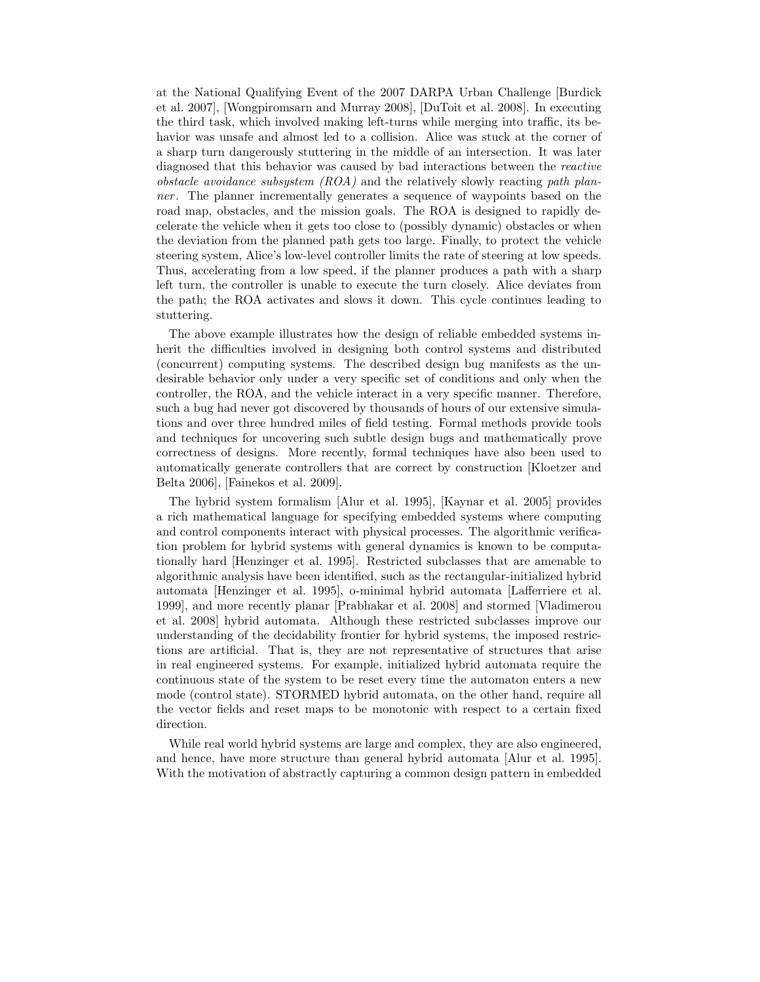at the National Qualifying Event of the 2007 DARPA Urban Challenge [Burdick et al. 2007], [Wongpiromsarn and Murray 2008], [DuToit et al. 2008]. In executing the third task, which involved making left-turns while merging into traffic, its behavior was unsafe and almost led to a collision. Alice was stuck at the corner of a sharp turn dangerously stuttering in the middle of an intersection. It was later diagnosed that this behavior was caused by bad interactions between the *reactive obstacle avoidance subsystem (ROA)* and the relatively slowly reacting *path planner* . The planner incrementally generates a sequence of waypoints based on the road map, obstacles, and the mission goals. The ROA is designed to rapidly decelerate the vehicle when it gets too close to (possibly dynamic) obstacles or when the deviation from the planned path gets too large. Finally, to protect the vehicle steering system, Alice's low-level controller limits the rate of steering at low speeds. Thus, accelerating from a low speed, if the planner produces a path with a sharp left turn, the controller is unable to execute the turn closely. Alice deviates from the path; the ROA activates and slows it down. This cycle continues leading to stuttering.

The above example illustrates how the design of reliable embedded systems inherit the difficulties involved in designing both control systems and distributed (concurrent) computing systems. The described design bug manifests as the undesirable behavior only under a very specific set of conditions and only when the controller, the ROA, and the vehicle interact in a very specific manner. Therefore, such a bug had never got discovered by thousands of hours of our extensive simulations and over three hundred miles of field testing. Formal methods provide tools and techniques for uncovering such subtle design bugs and mathematically prove correctness of designs. More recently, formal techniques have also been used to automatically generate controllers that are correct by construction [Kloetzer and Belta 2006], [Fainekos et al. 2009].

The hybrid system formalism [Alur et al. 1995], [Kaynar et al. 2005] provides a rich mathematical language for specifying embedded systems where computing and control components interact with physical processes. The algorithmic verification problem for hybrid systems with general dynamics is known to be computationally hard [Henzinger et al. 1995]. Restricted subclasses that are amenable to algorithmic analysis have been identified, such as the rectangular-initialized hybrid automata [Henzinger et al. 1995], o-minimal hybrid automata [Lafferriere et al. 1999], and more recently planar [Prabhakar et al. 2008] and stormed [Vladimerou et al. 2008] hybrid automata. Although these restricted subclasses improve our understanding of the decidability frontier for hybrid systems, the imposed restrictions are artificial. That is, they are not representative of structures that arise in real engineered systems. For example, initialized hybrid automata require the continuous state of the system to be reset every time the automaton enters a new mode (control state). STORMED hybrid automata, on the other hand, require all the vector fields and reset maps to be monotonic with respect to a certain fixed direction.

While real world hybrid systems are large and complex, they are also engineered, and hence, have more structure than general hybrid automata [Alur et al. 1995]. With the motivation of abstractly capturing a common design pattern in embedded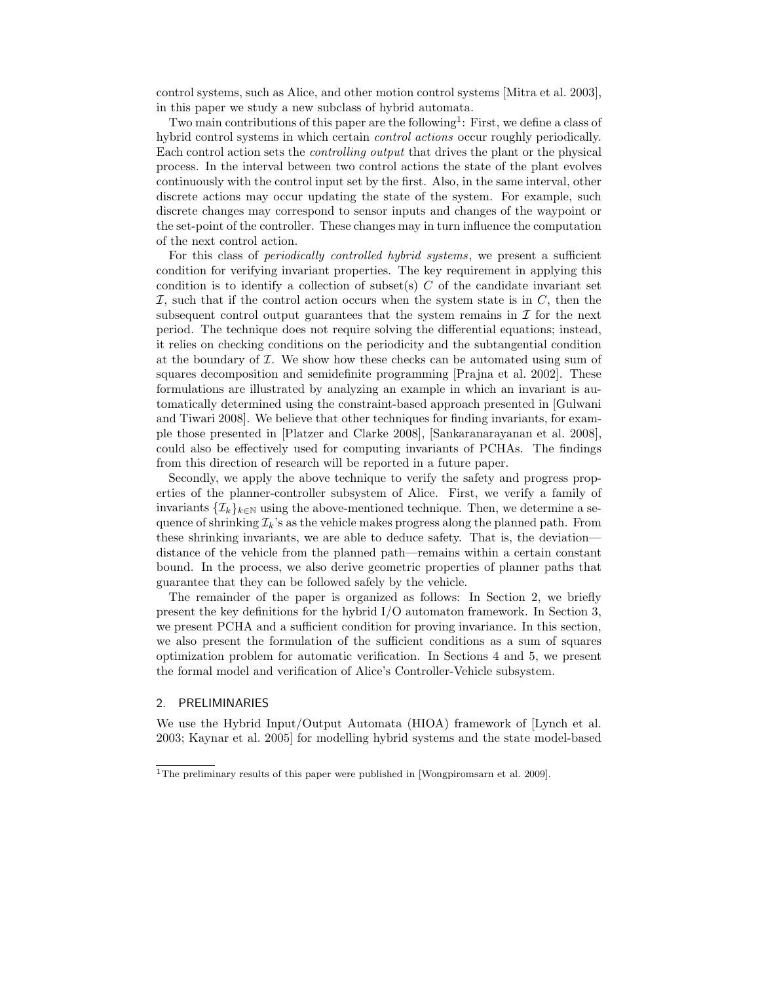control systems, such as Alice, and other motion control systems [Mitra et al. 2003], in this paper we study a new subclass of hybrid automata.

Two main contributions of this paper are the following<sup>1</sup>: First, we define a class of hybrid control systems in which certain *control actions* occur roughly periodically. Each control action sets the *controlling output* that drives the plant or the physical process. In the interval between two control actions the state of the plant evolves continuously with the control input set by the first. Also, in the same interval, other discrete actions may occur updating the state of the system. For example, such discrete changes may correspond to sensor inputs and changes of the waypoint or the set-point of the controller. These changes may in turn influence the computation of the next control action.

For this class of *periodically controlled hybrid systems*, we present a sufficient condition for verifying invariant properties. The key requirement in applying this condition is to identify a collection of subset $(s)$  C of the candidate invariant set I, such that if the control action occurs when the system state is in  $C$ , then the subsequent control output guarantees that the system remains in  $\mathcal I$  for the next period. The technique does not require solving the differential equations; instead, it relies on checking conditions on the periodicity and the subtangential condition at the boundary of  $I$ . We show how these checks can be automated using sum of squares decomposition and semidefinite programming [Prajna et al. 2002]. These formulations are illustrated by analyzing an example in which an invariant is automatically determined using the constraint-based approach presented in [Gulwani and Tiwari 2008]. We believe that other techniques for finding invariants, for example those presented in [Platzer and Clarke 2008], [Sankaranarayanan et al. 2008], could also be effectively used for computing invariants of PCHAs. The findings from this direction of research will be reported in a future paper.

Secondly, we apply the above technique to verify the safety and progress properties of the planner-controller subsystem of Alice. First, we verify a family of invariants  $\{\mathcal{I}_k\}_{k\in\mathbb{N}}$  using the above-mentioned technique. Then, we determine a sequence of shrinking  $\mathcal{I}_k$ 's as the vehicle makes progress along the planned path. From these shrinking invariants, we are able to deduce safety. That is, the deviation distance of the vehicle from the planned path—remains within a certain constant bound. In the process, we also derive geometric properties of planner paths that guarantee that they can be followed safely by the vehicle.

The remainder of the paper is organized as follows: In Section 2, we briefly present the key definitions for the hybrid I/O automaton framework. In Section 3, we present PCHA and a sufficient condition for proving invariance. In this section, we also present the formulation of the sufficient conditions as a sum of squares optimization problem for automatic verification. In Sections 4 and 5, we present the formal model and verification of Alice's Controller-Vehicle subsystem.

# 2. PRELIMINARIES

We use the Hybrid Input/Output Automata (HIOA) framework of [Lynch et al. 2003; Kaynar et al. 2005] for modelling hybrid systems and the state model-based

<sup>&</sup>lt;sup>1</sup>The preliminary results of this paper were published in [Wongpiromsarn et al. 2009].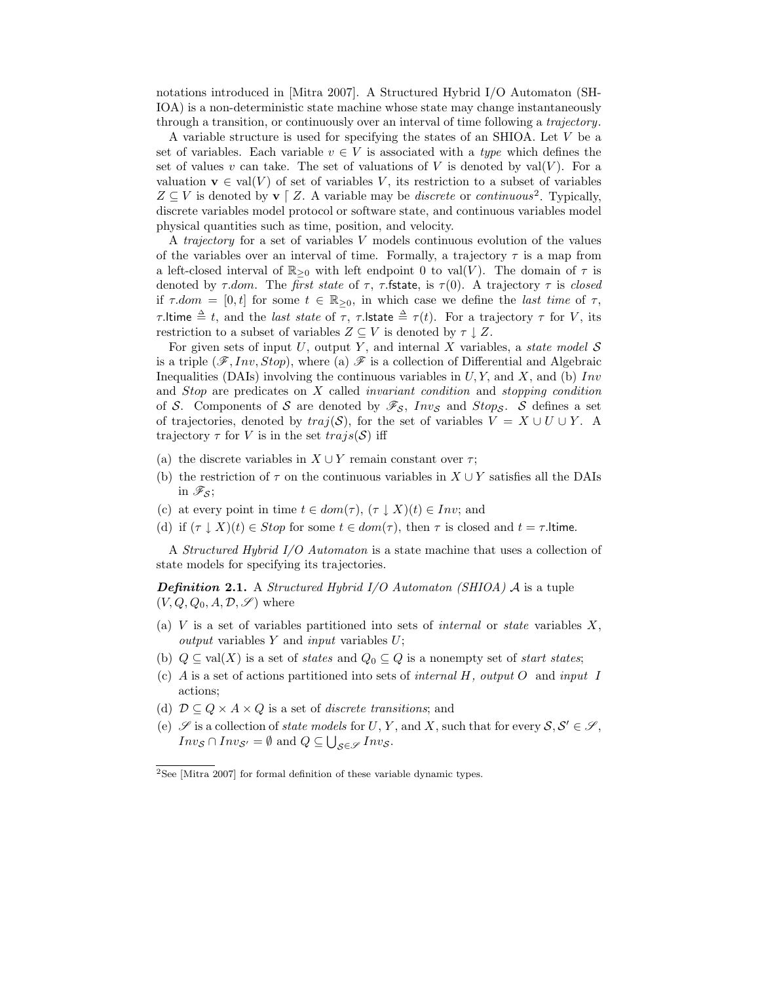notations introduced in [Mitra 2007]. A Structured Hybrid I/O Automaton (SH-IOA) is a non-deterministic state machine whose state may change instantaneously through a transition, or continuously over an interval of time following a *trajectory*.

A variable structure is used for specifying the states of an SHIOA. Let V be a set of variables. Each variable  $v \in V$  is associated with a *type* which defines the set of values v can take. The set of valuations of V is denoted by  $val(V)$ . For a valuation **v**  $\in$  val $(V)$  of set of variables V, its restriction to a subset of variables  $Z \subseteq V$  is denoted by **v**  $\big[$  Z. A variable may be *discrete* or *continuous*<sup>2</sup>. Typically, discrete variables model protocol or software state, and continuous variables model physical quantities such as time, position, and velocity.

A *trajectory* for a set of variables V models continuous evolution of the values of the variables over an interval of time. Formally, a trajectory  $\tau$  is a map from a left-closed interval of  $\mathbb{R}_{\geq 0}$  with left endpoint 0 to val(V). The domain of  $\tau$  is denoted by  $\tau$ *dom.* The *first state* of  $\tau$ ,  $\tau$ *fstate*, is  $\tau(0)$ *.* A trajectory  $\tau$  is *closed* if  $\tau$ *dom* = [0, t] for some  $t \in \mathbb{R}_{\geq 0}$ , in which case we define the *last time* of  $\tau$ ,  $τ$ .ltime  $triangleq t$ , and the *last state* of  $τ$ ,  $τ$ .lstate  $triangleq τ(t)$ . For a trajectory  $τ$  for  $V$ , its restriction to a subset of variables  $Z \subseteq V$  is denoted by  $\tau \downarrow Z$ .

For given sets of input  $U$ , output  $Y$ , and internal  $X$  variables, a *state model*  $S$ is a triple  $(\mathscr{F}, Inv, Stop)$ , where (a)  $\mathscr{F}$  is a collection of Differential and Algebraic Inequalities (DAIs) involving the continuous variables in  $U, Y$ , and  $X$ , and (b) Inv and Stop are predicates on X called *invariant condition* and *stopping condition* of S. Components of S are denoted by  $\mathscr{F}_{\mathcal{S}}$ , Inv<sub>S</sub> and Stop<sub>S</sub>. S defines a set of trajectories, denoted by  $traj(\mathcal{S})$ , for the set of variables  $V = X \cup U \cup Y$ . A trajectory  $\tau$  for V is in the set  $trajs(\mathcal{S})$  iff

- (a) the discrete variables in  $X \cup Y$  remain constant over  $\tau$ ;
- (b) the restriction of  $\tau$  on the continuous variables in  $X \cup Y$  satisfies all the DAIs in  $\mathscr{F}_{\mathcal{S}}$ ;
- (c) at every point in time  $t \in dom(\tau)$ ,  $(\tau \downarrow X)(t) \in Inv$ ; and
- (d) if  $(\tau \perp X)(t) \in Stop$  for some  $t \in dom(\tau)$ , then  $\tau$  is closed and  $t = \tau$ .

A *Structured Hybrid I/O Automaton* is a state machine that uses a collection of state models for specifying its trajectories.

*Definition* **2.1.** A *Structured Hybrid I/O Automaton (SHIOA)* A is a tuple  $(V, Q, Q_0, A, \mathcal{D}, \mathcal{S})$  where

- (a) V is a set of variables partitioned into sets of *internal* or *state* variables X, *output* variables Y and *input* variables U;
- (b)  $Q \subseteq \text{val}(X)$  is a set of *states* and  $Q_0 \subseteq Q$  is a nonempty set of *start states*;
- (c) A is a set of actions partitioned into sets of *internal* H*, output* O and *input* I actions;
- (d)  $\mathcal{D} \subseteq Q \times A \times Q$  is a set of *discrete transitions*; and
- (e)  $\mathscr S$  is a collection of *state models* for U, Y, and X, such that for every  $S, S' \in \mathscr S$ ,  $Inv_{\mathcal{S}} \cap Inv_{\mathcal{S}'} = \emptyset$  and  $Q \subseteq \bigcup_{\mathcal{S} \in \mathscr{S}} Inv_{\mathcal{S}}$ .

<sup>2</sup>See [Mitra 2007] for formal definition of these variable dynamic types.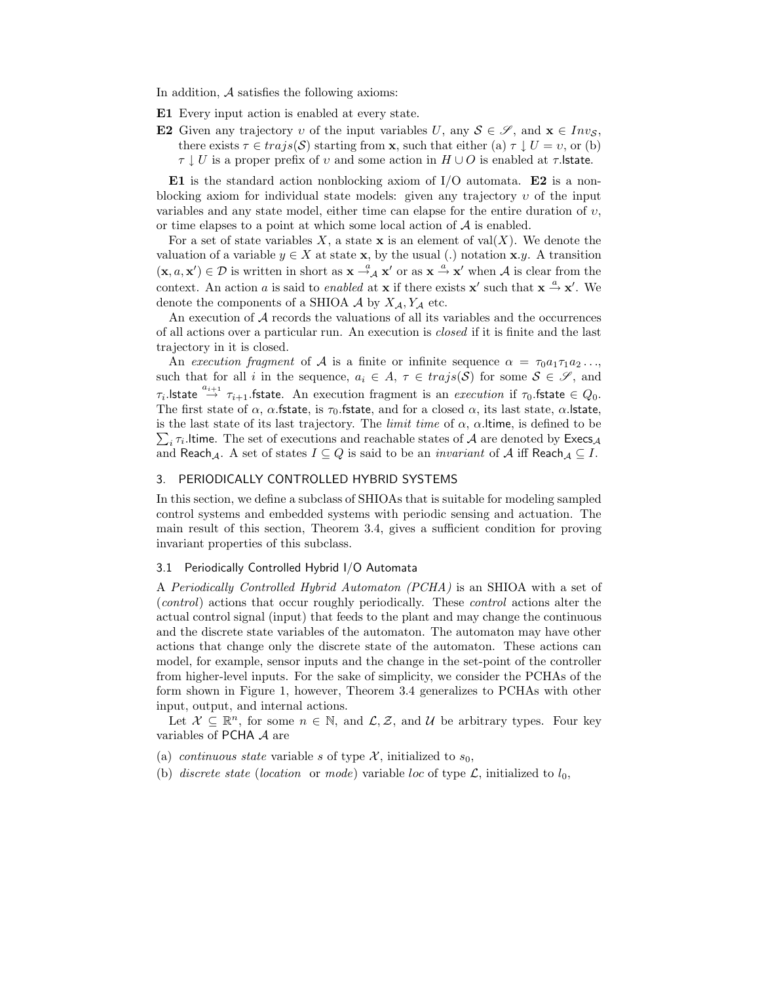In addition,  $A$  satisfies the following axioms:

- **E1** Every input action is enabled at every state.
- **E2** Given any trajectory v of the input variables  $U$ , any  $S \in \mathscr{S}$ , and  $\mathbf{x} \in Inv_S$ , there exists  $\tau \in \text{trajs}(\mathcal{S})$  starting from **x**, such that either (a)  $\tau \downarrow U = v$ , or (b)  $\tau \downarrow U$  is a proper prefix of v and some action in  $H \cup O$  is enabled at  $\tau$ . Istate.

**E1** is the standard action nonblocking axiom of I/O automata. **E2** is a nonblocking axiom for individual state models: given any trajectory  $v$  of the input variables and any state model, either time can elapse for the entire duration of  $v$ , or time elapses to a point at which some local action of  $A$  is enabled.

For a set of state variables  $X$ , a state  $x$  is an element of val $(X)$ . We denote the valuation of a variable  $y \in X$  at state **x**, by the usual (.) notation **x**.y. A transition  $(\mathbf{x}, a, \mathbf{x}') \in \mathcal{D}$  is written in short as  $\mathbf{x} \stackrel{a}{\rightarrow} \mathbf{x}'$  or as  $\mathbf{x} \stackrel{a}{\rightarrow} \mathbf{x}'$  when A is clear from the context. An action a is said to *enabled* at **x** if there exists **x**' such that  $\mathbf{x} \stackrel{a}{\rightarrow} \mathbf{x}'$ . We denote the components of a SHIOA  $\mathcal A$  by  $X_{\mathcal A}, Y_{\mathcal A}$  etc.

An execution of A records the valuations of all its variables and the occurrences of all actions over a particular run. An execution is *closed* if it is finite and the last trajectory in it is closed.

An *execution fragment* of A is a finite or infinite sequence  $\alpha = \tau_0 a_1 \tau_1 a_2 \ldots$ such that for all i in the sequence,  $a_i \in A$ ,  $\tau \in trajs(S)$  for some  $S \in \mathscr{S}$ , and  $\tau_i$ . **State**  $\overset{a_{i+1}}{\rightarrow} \tau_{i+1}$ . **fstate**. An execution fragment is an *execution* if  $\tau_0$ . **fstate**  $\in Q_0$ . The first state of  $\alpha$ ,  $\alpha$ .fstate, is  $\tau_0$ .fstate, and for a closed  $\alpha$ , its last state,  $\alpha$ .lstate,  $\sum_i \tau_i$ . Itime. The set of executions and reachable states of A are denoted by Execs<sub>A</sub> is the last state of its last trajectory. The *limit time* of  $\alpha$ ,  $\alpha$ . Itime, is defined to be and Reach<sub>A</sub>. A set of states  $I \subseteq Q$  is said to be an *invariant* of A iff Reach<sub>A</sub>  $\subseteq$  I.

#### 3. PERIODICALLY CONTROLLED HYBRID SYSTEMS

In this section, we define a subclass of SHIOAs that is suitable for modeling sampled control systems and embedded systems with periodic sensing and actuation. The main result of this section, Theorem 3.4, gives a sufficient condition for proving invariant properties of this subclass.

# 3.1 Periodically Controlled Hybrid I/O Automata

A *Periodically Controlled Hybrid Automaton (PCHA)* is an SHIOA with a set of (*control*) actions that occur roughly periodically. These *control* actions alter the actual control signal (input) that feeds to the plant and may change the continuous and the discrete state variables of the automaton. The automaton may have other actions that change only the discrete state of the automaton. These actions can model, for example, sensor inputs and the change in the set-point of the controller from higher-level inputs. For the sake of simplicity, we consider the PCHAs of the form shown in Figure 1, however, Theorem 3.4 generalizes to PCHAs with other input, output, and internal actions.

Let  $\mathcal{X} \subseteq \mathbb{R}^n$ , for some  $n \in \mathbb{N}$ , and  $\mathcal{L}, \mathcal{Z}$ , and  $\mathcal{U}$  be arbitrary types. Four key variables of PCHA A are

- (a) *continuous state* variable s of type  $\mathcal{X}$ , initialized to  $s_0$ ,
- (b) *discrete state* (*location* or *mode*) variable loc of type  $\mathcal{L}$ , initialized to  $l_0$ ,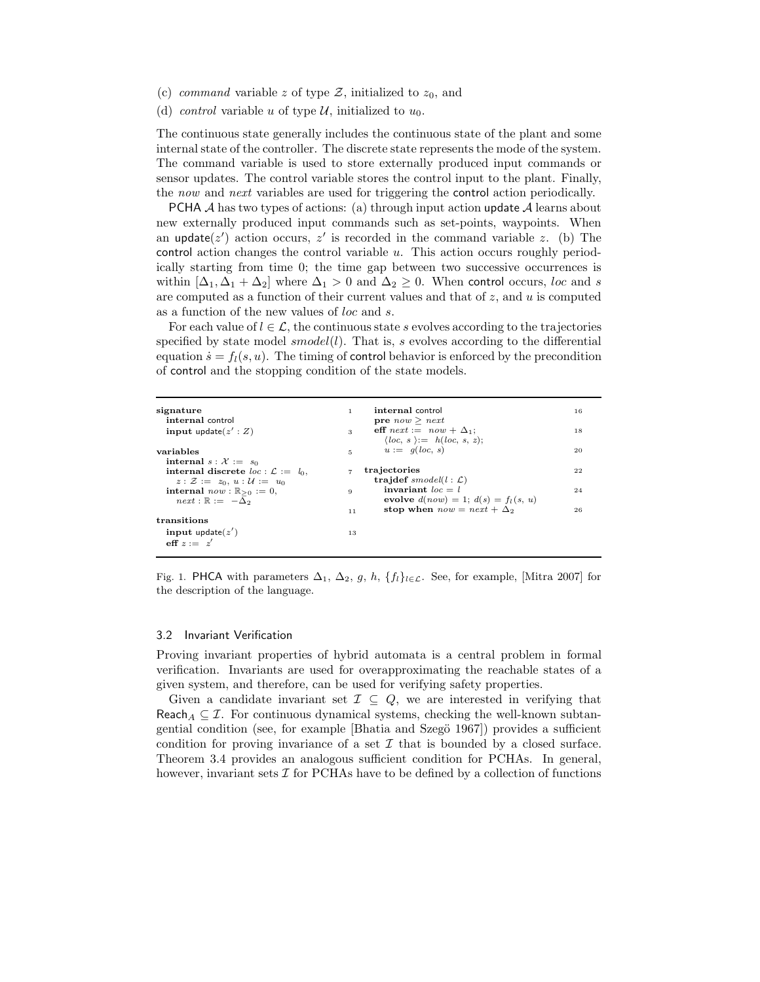- (c) *command* variable z of type  $\mathcal{Z}$ , initialized to  $z_0$ , and
- (d) *control* variable u of type U, initialized to  $u_0$ .

The continuous state generally includes the continuous state of the plant and some internal state of the controller. The discrete state represents the mode of the system. The command variable is used to store externally produced input commands or sensor updates. The control variable stores the control input to the plant. Finally, the *now* and *next* variables are used for triggering the control action periodically.

**PCHA** A has two types of actions: (a) through input action update A learns about new externally produced input commands such as set-points, waypoints. When an update( $z'$ ) action occurs,  $z'$  is recorded in the command variable z. (b) The control action changes the control variable u. This action occurs roughly periodically starting from time 0; the time gap between two successive occurrences is within  $[\Delta_1, \Delta_1 + \Delta_2]$  where  $\Delta_1 > 0$  and  $\Delta_2 \geq 0$ . When control occurs, loc and s are computed as a function of their current values and that of z, and u is computed as a function of the new values of loc and s.

For each value of  $l \in \mathcal{L}$ , the continuous state s evolves according to the trajectories specified by state model  $smooth(l)$ . That is, s evolves according to the differential equation  $\dot{s} = f_l(s, u)$ . The timing of control behavior is enforced by the precondition of control and the stopping condition of the state models.

| signature<br>1.<br>internal control              | internal control<br><b>pre</b> $now \geq next$                              | 16 |
|--------------------------------------------------|-----------------------------------------------------------------------------|----|
| input update $(z':Z)$<br>$\mathbf{3}$            | eff $next := now + \Delta_1$ ;<br>$\langle loc, s \rangle := h(loc, s, z);$ | 18 |
| variables                                        | $u := q(loc, s)$<br>$5 - 1$                                                 | 20 |
| internal $s : \mathcal{X} := s_0$                |                                                                             |    |
| internal discrete $loc: \mathcal{L} := l_0$ .    | trajectories                                                                | 22 |
| $z: \mathcal{Z} := z_0, u: \mathcal{U} := u_0$   | trajdef smodel( $l : L$ )                                                   |    |
| internal $now : \mathbb{R}_{\geq 0} := 0$ ,<br>9 | invariant $loc = l$                                                         | 24 |
| $next : \mathbb{R} := -\Delta_2$                 | evolve $d(now) = 1$ ; $d(s) = f_1(s, u)$                                    |    |
|                                                  | stop when $now = next + \Delta_2$<br>11                                     | 26 |
| transitions                                      |                                                                             |    |
| input update $(z')$                              | 13                                                                          |    |
| eff $z = z'$                                     |                                                                             |    |

Fig. 1. PHCA with parameters  $\Delta_1$ ,  $\Delta_2$ , g, h, {f<sub>l</sub>}<sub>l</sub><sub>E</sub>L. See, for example, [Mitra 2007] for the description of the language.

#### 3.2 Invariant Verification

Proving invariant properties of hybrid automata is a central problem in formal verification. Invariants are used for overapproximating the reachable states of a given system, and therefore, can be used for verifying safety properties.

Given a candidate invariant set  $\mathcal{I} \subseteq Q$ , we are interested in verifying that Reach<sub>A</sub>  $\subseteq$  *I*. For continuous dynamical systems, checking the well-known subtangential condition (see, for example [Bhatia and Szegö 1967]) provides a sufficient condition for proving invariance of a set  $\mathcal I$  that is bounded by a closed surface. Theorem 3.4 provides an analogous sufficient condition for PCHAs. In general, however, invariant sets  $\mathcal I$  for PCHAs have to be defined by a collection of functions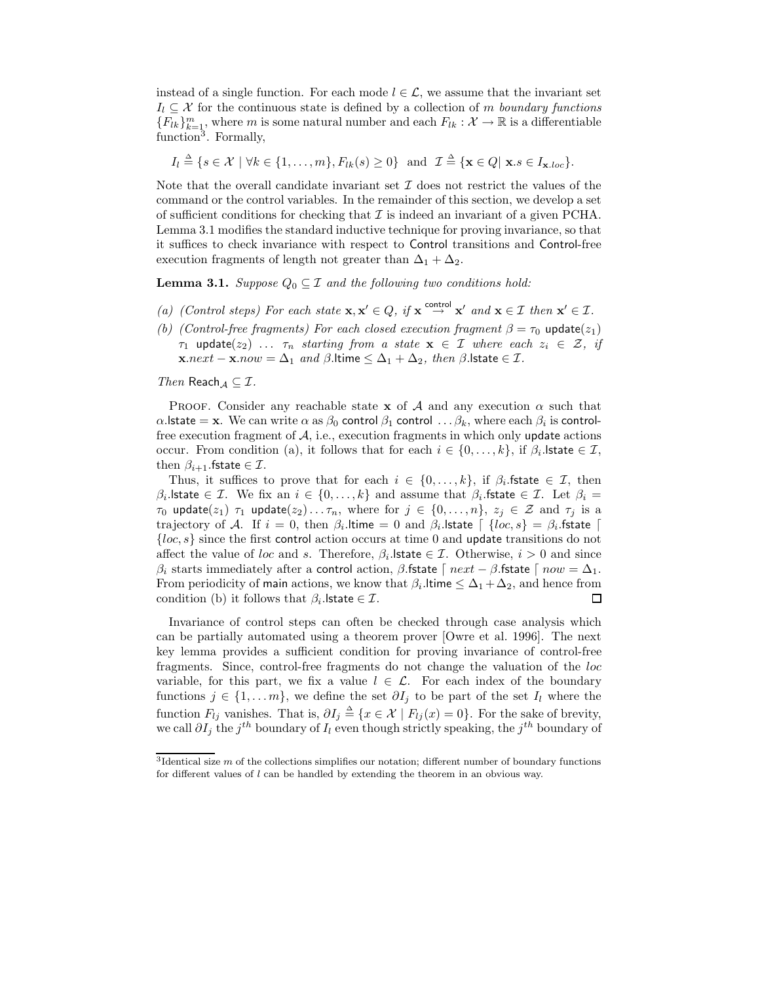instead of a single function. For each mode  $l \in \mathcal{L}$ , we assume that the invariant set  $I_l \subseteq \mathcal{X}$  for the continuous state is defined by a collection of m *boundary functions*  ${F_{lk}}_{k=1}^m$ , where m is some natural number and each  $F_{lk}: \mathcal{X} \to \mathbb{R}$  is a differentiable function3. Formally,

$$
I_l \triangleq \{s \in \mathcal{X} \mid \forall k \in \{1, \ldots, m\}, F_{lk}(s) \geq 0\} \text{ and } \mathcal{I} \triangleq \{\mathbf{x} \in Q \mid \mathbf{x}.s \in I_{\mathbf{x}.loc}\}.
$$

Note that the overall candidate invariant set  $\mathcal I$  does not restrict the values of the command or the control variables. In the remainder of this section, we develop a set of sufficient conditions for checking that  $\mathcal I$  is indeed an invariant of a given PCHA. Lemma 3.1 modifies the standard inductive technique for proving invariance, so that it suffices to check invariance with respect to Control transitions and Control-free execution fragments of length not greater than  $\Delta_1 + \Delta_2$ .

**Lemma 3.1.** *Suppose*  $Q_0 \subseteq \mathcal{I}$  *and the following two conditions hold:* 

- *(a) (Control steps)* For each state  $\mathbf{x}, \mathbf{x}' \in Q$ , if  $\mathbf{x} \stackrel{\text{control}}{\rightarrow} \mathbf{x}'$  and  $\mathbf{x} \in \mathcal{I}$  then  $\mathbf{x}' \in \mathcal{I}$ .
- *(b) (Control-free fragments) For each closed execution fragment*  $\beta = \tau_0$  update( $z_1$ )  $\tau_1$  update( $z_2$ ) ...  $\tau_n$  *starting from a state*  $\mathbf{x} \in \mathcal{I}$  *where each*  $z_i \in \mathcal{Z}$ *, if* **x**.next − **x**.now =  $\Delta_1$  *and*  $\beta$ .ltime  $\leq \Delta_1 + \Delta_2$ *, then*  $\beta$ .lstate ∈ *I*.

*Then* Reach $A \subseteq \mathcal{I}$ .

**PROOF.** Consider any reachable state **x** of A and any execution  $\alpha$  such that  $\alpha$ . State = **x**. We can write  $\alpha$  as  $\beta_0$  control  $\beta_1$  control ...  $\beta_k$ , where each  $\beta_i$  is controlfree execution fragment of  $A$ , i.e., execution fragments in which only update actions occur. From condition (a), it follows that for each  $i \in \{0, \ldots, k\}$ , if  $\beta_i$ . Istate  $\in \mathcal{I}$ , then  $\beta_{i+1}$ . fstate  $\in \mathcal{I}$ .

Thus, it suffices to prove that for each  $i \in \{0,\ldots,k\}$ , if  $\beta_i$ . fistate  $\in \mathcal{I}$ , then  $\beta_i$ . State  $\in \mathcal{I}$ . We fix an  $i \in \{0, \ldots, k\}$  and assume that  $\beta_i$ . fistate  $\in \mathcal{I}$ . Let  $\beta_i =$  $\tau_0$  update $(z_1)$   $\tau_1$  update $(z_2) \ldots \tau_n$ , where for  $j \in \{0, \ldots, n\}$ ,  $z_j \in \mathcal{Z}$  and  $\tau_j$  is a trajectory of A. If  $i = 0$ , then  $\beta_i$ .ltime = 0 and  $\beta_i$ .lstate  $\begin{bmatrix} \{\textit{loc}, s\} = \beta_i$ .fstate  $\begin{bmatrix} \end{bmatrix}$  ${loc, s}$  since the first control action occurs at time 0 and update transitions do not affect the value of loc and s. Therefore,  $\beta_i$ . Istate  $\in \mathcal{I}$ . Otherwise,  $i > 0$  and since β<sub>i</sub> starts immediately after a control action, β.fstate  $\lceil next - \beta$ .fstate  $\lceil now - \Delta_1$ . From periodicity of main actions, we know that  $\beta_i$ . Itime  $\leq \Delta_1 + \Delta_2$ , and hence from condition (b) it follows that  $\beta_i$ . Istate  $\in \mathcal{I}$ .  $\Box$ 

Invariance of control steps can often be checked through case analysis which can be partially automated using a theorem prover [Owre et al. 1996]. The next key lemma provides a sufficient condition for proving invariance of control-free fragments. Since, control-free fragments do not change the valuation of the loc variable, for this part, we fix a value  $l \in \mathcal{L}$ . For each index of the boundary functions  $j \in \{1, \ldots m\}$ , we define the set  $\partial I_j$  to be part of the set  $I_l$  where the function  $F_{lj}$  vanishes. That is,  $\partial I_j \triangleq \{x \in \mathcal{X} \mid F_{lj}(x) = 0\}$ . For the sake of brevity, we call  $\partial I_j$  the  $j^{th}$  boundary of  $I_l$  even though strictly speaking, the  $j^{th}$  boundary of

 $3$ Identical size m of the collections simplifies our notation; different number of boundary functions for different values of l can be handled by extending the theorem in an obvious way.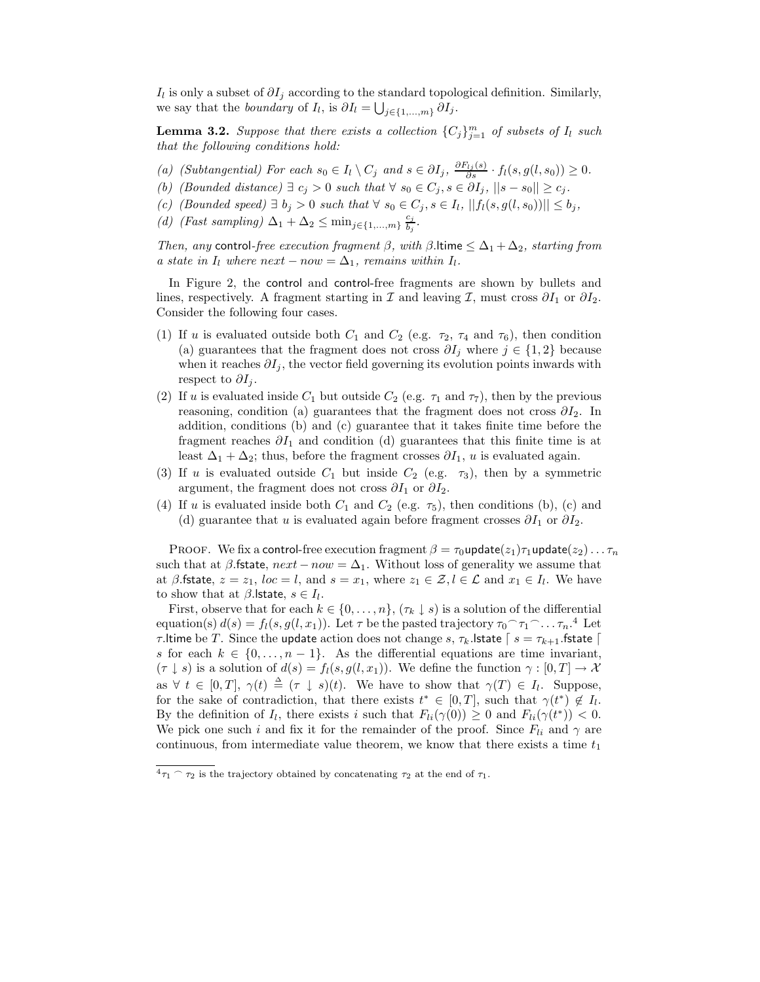Il is only a subset of  $\partial I_j$  according to the standard topological definition. Similarly, we say that the *boundary* of  $I_l$ , is  $\partial I_l = \bigcup_{j \in \{1, ..., m\}} \partial I_j$ .

**Lemma 3.2.** *Suppose that there exists a collection*  $\{C_j\}_{j=1}^m$  *of subsets of*  $I_l$  *such that the following conditions hold:*

- *(a) (Subtangential)* For each  $s_0 \in I_l \setminus C_j$  and  $s \in \partial I_j$ ,  $\frac{\partial F_{l_j}(s)}{\partial s} \cdot f_l(s, g(l, s_0)) \geq 0$ .
- *(b) (Bounded distance)*  $\exists$  *c<sub>j</sub>* > 0 *such that*  $\forall$  *s*<sub>0</sub>  $\in$  *C<sub>j</sub>*, *s*  $\in$   $\partial I_j$ ,  $||s s_0|| \ge c_j$ .
- *(c) (Bounded speed)* ∃  $b_j > 0$  *such that*  $\forall s_0 \in C_j$ ,  $s \in I_l$ ,  $||f_l(s, g(l, s_0))|| ≤ b_j$ ,
- *(d)* (Fast sampling)  $\Delta_1 + \Delta_2 \leq \min_{j \in \{1, ..., m\}} \frac{c_j}{b_j}$ .

*Then, any* control-free execution fragment  $\beta$ , with  $\beta$ . Itime  $\leq \Delta_1 + \Delta_2$ , starting from *a* state in  $I_l$  where next – now =  $\Delta_1$ , remains within  $I_l$ .

In Figure 2, the control and control-free fragments are shown by bullets and lines, respectively. A fragment starting in I and leaving I, must cross  $\partial I_1$  or  $\partial I_2$ . Consider the following four cases.

- (1) If u is evaluated outside both  $C_1$  and  $C_2$  (e.g.  $\tau_2$ ,  $\tau_4$  and  $\tau_6$ ), then condition (a) guarantees that the fragment does not cross  $\partial I_i$  where  $j \in \{1,2\}$  because when it reaches  $\partial I_i$ , the vector field governing its evolution points inwards with respect to  $\partial I_i$ .
- (2) If u is evaluated inside  $C_1$  but outside  $C_2$  (e.g.  $\tau_1$  and  $\tau_7$ ), then by the previous reasoning, condition (a) guarantees that the fragment does not cross  $\partial I_2$ . In addition, conditions (b) and (c) guarantee that it takes finite time before the fragment reaches  $\partial I_1$  and condition (d) guarantees that this finite time is at least  $\Delta_1 + \Delta_2$ ; thus, before the fragment crosses  $\partial I_1$ , u is evaluated again.
- (3) If u is evaluated outside  $C_1$  but inside  $C_2$  (e.g.  $\tau_3$ ), then by a symmetric argument, the fragment does not cross  $\partial I_1$  or  $\partial I_2$ .
- (4) If u is evaluated inside both  $C_1$  and  $C_2$  (e.g.  $\tau_5$ ), then conditions (b), (c) and (d) guarantee that u is evaluated again before fragment crosses  $\partial I_1$  or  $\partial I_2$ .

PROOF. We fix a control-free execution fragment  $\beta = \tau_0$ update $(z_1)\tau_1$ update $(z_2)\ldots\tau_n$ such that at  $\beta$ . fistate,  $next-now = \Delta_1$ . Without loss of generality we assume that at  $\beta$ .fstate,  $z = z_1$ ,  $loc = l$ , and  $s = x_1$ , where  $z_1 \in \mathcal{Z}, l \in \mathcal{L}$  and  $x_1 \in I_l$ . We have to show that at  $\beta$ . Istate,  $s \in I_l$ .

First, observe that for each  $k \in \{0, \ldots, n\}$ ,  $(\tau_k \downarrow s)$  is a solution of the differential equation(s)  $d(s) = f_l(s, g(l, x_1))$ . Let  $\tau$  be the pasted trajectory  $\tau_0 \cap \tau_1 \cap \ldots \tau_n$ .<sup>4</sup> Let τ.ltime be T. Since the update action does not change s,  $τ_k$ .lstate  $\lceil s = τ_{k+1}$ .fstate  $\lceil s \rceil$ s for each  $k \in \{0, \ldots, n-1\}$ . As the differential equations are time invariant,  $(\tau \downarrow s)$  is a solution of  $d(s) = f_l(s, g(l, x_1))$ . We define the function  $\gamma : [0, T] \to \mathcal{X}$ as  $\forall t \in [0,T], \gamma(t) \triangleq (\tau \downarrow s)(t)$ . We have to show that  $\gamma(T) \in I_l$ . Suppose, for the sake of contradiction, that there exists  $t^* \in [0,T]$ , such that  $\gamma(t^*) \notin I_l$ . By the definition of  $I_l$ , there exists i such that  $F_{li}(\gamma(0)) \geq 0$  and  $F_{li}(\gamma(t^*)) < 0$ . We pick one such i and fix it for the remainder of the proof. Since  $F_{li}$  and  $\gamma$  are continuous, from intermediate value theorem, we know that there exists a time  $t_1$ 

 $\mathfrak{p}_1 \cap \mathfrak{r}_2$  is the trajectory obtained by concatenating  $\mathfrak{r}_2$  at the end of  $\mathfrak{r}_1$ .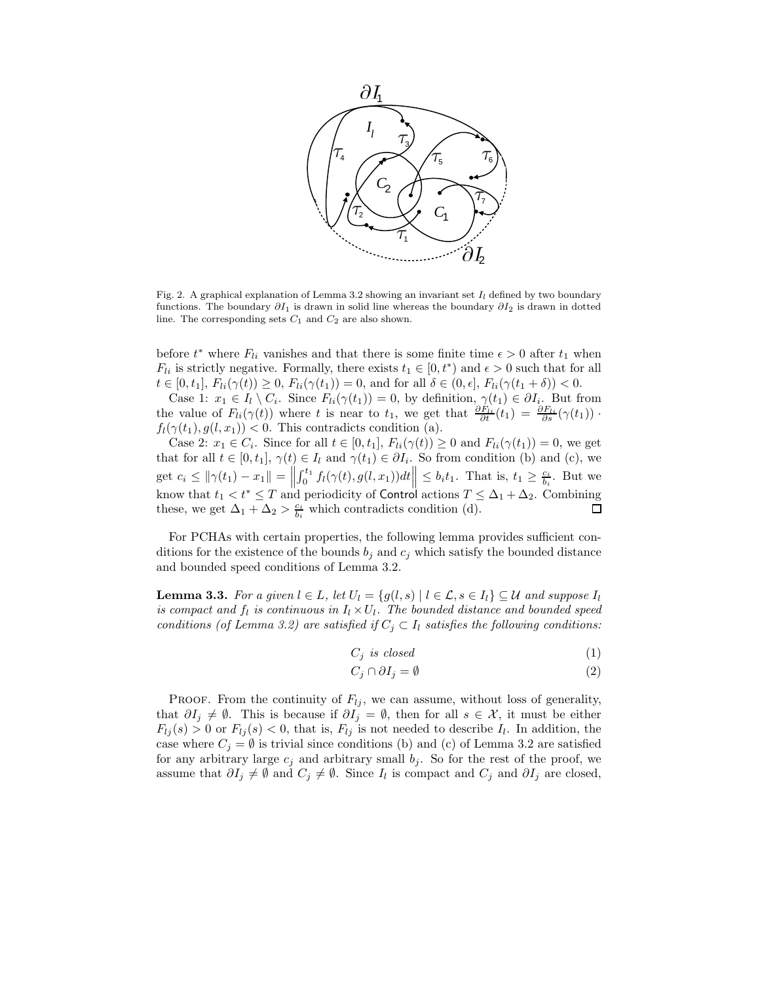

Fig. 2. A graphical explanation of Lemma 3.2 showing an invariant set  $I_l$  defined by two boundary functions. The boundary  $\partial I_1$  is drawn in solid line whereas the boundary  $\partial I_2$  is drawn in dotted line. The corresponding sets  $C_1$  and  $C_2$  are also shown.

before  $t^*$  where  $F_{li}$  vanishes and that there is some finite time  $\epsilon > 0$  after  $t_1$  when  $F_{li}$  is strictly negative. Formally, there exists  $t_1 \in [0, t^*)$  and  $\epsilon > 0$  such that for all  $t \in [0, t_1], F_{li}(\gamma(t)) \geq 0, F_{li}(\gamma(t_1)) = 0$ , and for all  $\delta \in (0, \epsilon], F_{li}(\gamma(t_1 + \delta)) < 0$ .

Case 1:  $x_1 \in I_l \setminus C_i$ . Since  $F_{li}(\gamma(t_1)) = 0$ , by definition,  $\gamma(t_1) \in \partial I_i$ . But from the value of  $F_{li}(\gamma(t))$  where t is near to  $t_1$ , we get that  $\frac{\partial F_{li}}{\partial t}(t_1) = \frac{\partial F_{li}}{\partial s}(\gamma(t_1))$ .  $f_l(\gamma(t_1), g(l, x_1))$  < 0. This contradicts condition (a).

Case 2:  $x_1 \in C_i$ . Since for all  $t \in [0, t_1]$ ,  $F_{li}(\gamma(t)) \geq 0$  and  $F_{li}(\gamma(t_1)) = 0$ , we get that for all  $t \in [0, t_1], \gamma(t) \in I_l$  and  $\gamma(t_1) \in \partial I_i$ . So from condition (b) and (c), we get  $c_i \le ||\gamma(t_1) - x_1|| = ||$  $\left|\int_0^{t_1} f_l(\gamma(t), g(l, x_1)) dt \right| \leq b_i t_1$ . That is,  $t_1 \geq \frac{c_i}{b_i}$ . But we know that  $t_1 < t^* \leq T$  and periodicity of Control actions  $T \leq \Delta_1 + \Delta_2$ . Combining these, we get  $\Delta_1 + \Delta_2 > \frac{c_i}{b_i}$  which contradicts condition (d).

For PCHAs with certain properties, the following lemma provides sufficient conditions for the existence of the bounds  $b_j$  and  $c_j$  which satisfy the bounded distance and bounded speed conditions of Lemma 3.2.

**Lemma 3.3.** *For a given*  $l \in L$ *, let*  $U_l = \{g(l, s) | l \in L, s \in I_l\} \subseteq U$  *and suppose*  $I_l$ *is compact and*  $f_l$  *is continuous in*  $I_l \times U_l$ *. The bounded distance and bounded speed conditions (of Lemma 3.2) are satisfied if*  $C_j \subset I_l$  *satisfies the following conditions:* 

$$
C_j \ \text{is closed} \tag{1}
$$

$$
C_j \cap \partial I_j = \emptyset \tag{2}
$$

PROOF. From the continuity of  $F_{lj}$ , we can assume, without loss of generality, that  $\partial I_j \neq \emptyset$ . This is because if  $\partial I_j = \emptyset$ , then for all  $s \in \mathcal{X}$ , it must be either  $F_{lj}(s) > 0$  or  $F_{lj}(s) < 0$ , that is,  $F_{lj}$  is not needed to describe  $I_l$ . In addition, the case where  $C_i = \emptyset$  is trivial since conditions (b) and (c) of Lemma 3.2 are satisfied for any arbitrary large  $c_i$  and arbitrary small  $b_i$ . So for the rest of the proof, we assume that  $\partial I_j \neq \emptyset$  and  $C_j \neq \emptyset$ . Since  $I_l$  is compact and  $C_j$  and  $\partial I_j$  are closed,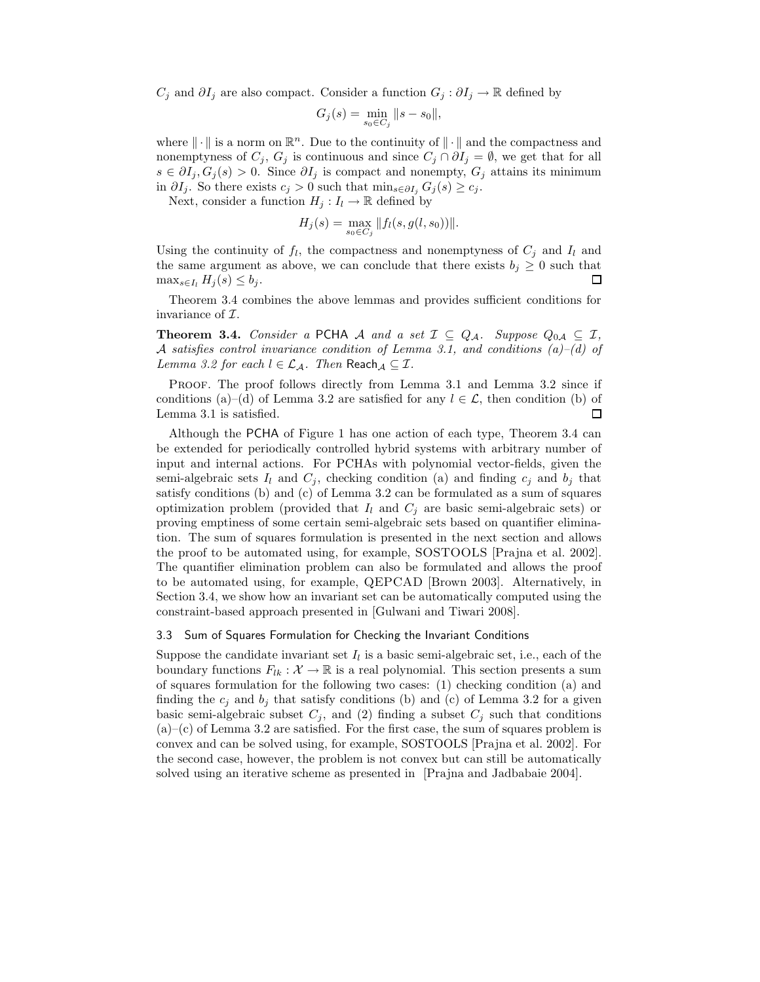$C_j$  and  $\partial I_j$  are also compact. Consider a function  $G_j : \partial I_j \to \mathbb{R}$  defined by

$$
G_j(s) = \min_{s_0 \in C_j} \|s - s_0\|,
$$

where  $\|\cdot\|$  is a norm on  $\mathbb{R}^n$ . Due to the continuity of  $\|\cdot\|$  and the compactness and nonemptyness of  $C_j$ ,  $G_j$  is continuous and since  $C_j \cap \partial I_j = \emptyset$ , we get that for all  $s \in \partial I_j$ ,  $G_j(s) > 0$ . Since  $\partial I_j$  is compact and nonempty,  $G_j$  attains its minimum in  $\partial I_j$ . So there exists  $c_j > 0$  such that min<sub>s∈∂I<sub>j</sub></sub>  $G_j(s) \geq c_j$ .

Next, consider a function  $H_j: I_l \to \mathbb{R}$  defined by

$$
H_j(s) = \max_{s_0 \in C_j} ||f_l(s, g(l, s_0))||.
$$

Using the continuity of  $f_l$ , the compactness and nonemptyness of  $C_i$  and  $I_l$  and the same argument as above, we can conclude that there exists  $b_j \geq 0$  such that  $\max_{s\in I_l} H_j(s) \leq b_j$ .  $\Box$ 

Theorem 3.4 combines the above lemmas and provides sufficient conditions for invariance of  $\mathcal{I}.$ 

**Theorem 3.4.** *Consider a* PCHA A *and a set*  $\mathcal{I} \subseteq Q_{\mathcal{A}}$ *. Suppose*  $Q_{0\mathcal{A}} \subseteq \mathcal{I}$ *,* A *satisfies control invariance condition of Lemma 3.1, and conditions (a)–(d) of Lemma 3.2 for each*  $l \in \mathcal{L}_{\mathcal{A}}$ *. Then* Reach $\mathcal{A} \subseteq \mathcal{I}$ *.* 

PROOF. The proof follows directly from Lemma 3.1 and Lemma 3.2 since if conditions (a)–(d) of Lemma 3.2 are satisfied for any  $l \in \mathcal{L}$ , then condition (b) of Lemma 3.1 is satisfied. □

Although the PCHA of Figure 1 has one action of each type, Theorem 3.4 can be extended for periodically controlled hybrid systems with arbitrary number of input and internal actions. For PCHAs with polynomial vector-fields, given the semi-algebraic sets  $I_l$  and  $C_j$ , checking condition (a) and finding  $c_j$  and  $b_j$  that satisfy conditions (b) and (c) of Lemma 3.2 can be formulated as a sum of squares optimization problem (provided that  $I_l$  and  $C_j$  are basic semi-algebraic sets) or proving emptiness of some certain semi-algebraic sets based on quantifier elimination. The sum of squares formulation is presented in the next section and allows the proof to be automated using, for example, SOSTOOLS [Prajna et al. 2002]. The quantifier elimination problem can also be formulated and allows the proof to be automated using, for example, QEPCAD [Brown 2003]. Alternatively, in Section 3.4, we show how an invariant set can be automatically computed using the constraint-based approach presented in [Gulwani and Tiwari 2008].

# 3.3 Sum of Squares Formulation for Checking the Invariant Conditions

Suppose the candidate invariant set  $I_l$  is a basic semi-algebraic set, i.e., each of the boundary functions  $F_{lk}: \mathcal{X} \to \mathbb{R}$  is a real polynomial. This section presents a sum of squares formulation for the following two cases: (1) checking condition (a) and finding the  $c_j$  and  $b_j$  that satisfy conditions (b) and (c) of Lemma 3.2 for a given basic semi-algebraic subset  $C_j$ , and (2) finding a subset  $C_j$  such that conditions  $(a)$ –(c) of Lemma 3.2 are satisfied. For the first case, the sum of squares problem is convex and can be solved using, for example, SOSTOOLS [Prajna et al. 2002]. For the second case, however, the problem is not convex but can still be automatically solved using an iterative scheme as presented in [Prajna and Jadbabaie 2004].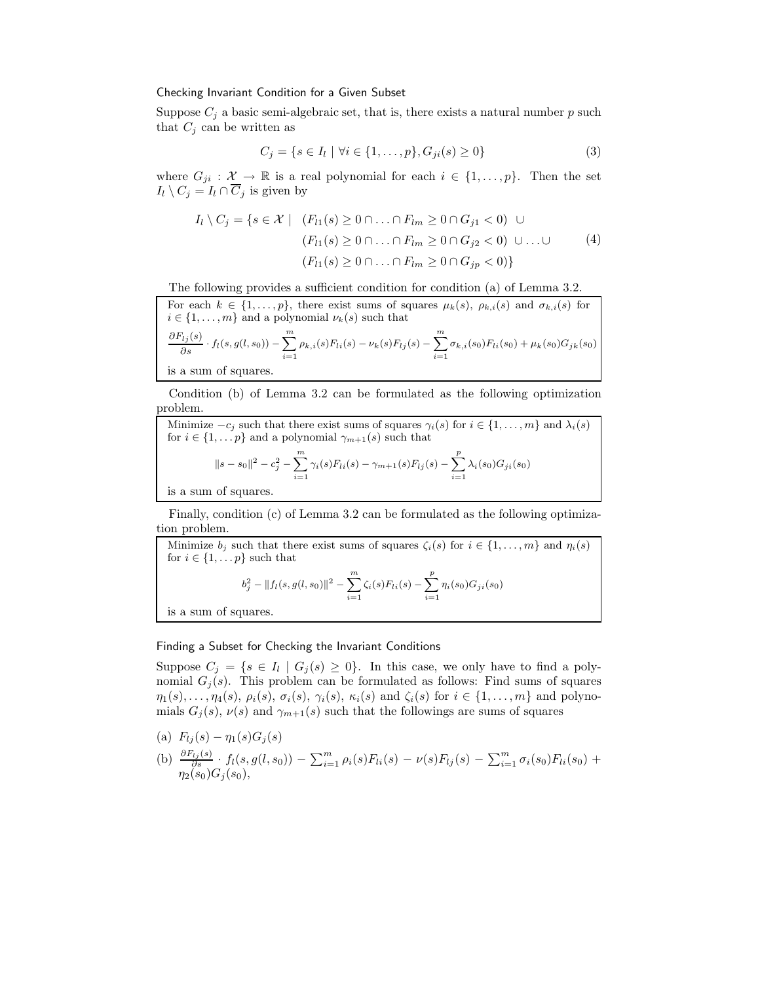## Checking Invariant Condition for a Given Subset

Suppose  $C_j$  a basic semi-algebraic set, that is, there exists a natural number p such that  $C_j$  can be written as

$$
C_j = \{ s \in I_l \mid \forall i \in \{1, \dots, p\}, G_{ji}(s) \ge 0 \}
$$
\n
$$
(3)
$$

where  $G_{ji} : \mathcal{X} \to \mathbb{R}$  is a real polynomial for each  $i \in \{1, ..., p\}$ . Then the set  $I_l \setminus C_j = I_l \cap \overline{C}_j$  is given by

$$
I_l \setminus C_j = \{ s \in \mathcal{X} \mid (F_{l1}(s) \ge 0 \cap ... \cap F_{lm} \ge 0 \cap G_{j1} < 0) \cup (F_{l1}(s) \ge 0 \cap ... \cap F_{lm} \ge 0 \cap G_{j2} < 0) \cup ... \cup (F_{l1}(s) \ge 0 \cap ... \cap F_{lm} \ge 0 \cap G_{jp} < 0) \}
$$
\n
$$
(4)
$$

The following provides a sufficient condition for condition (a) of Lemma 3.2.

For each  $k \in \{1,\ldots,p\}$ , there exist sums of squares  $\mu_k(s)$ ,  $\rho_{k,i}(s)$  and  $\sigma_{k,i}(s)$  for  $i \in \{1, \ldots, m\}$  and a polynomial  $\nu_k(s)$  such that

$$
\frac{\partial F_{lj}(s)}{\partial s} \cdot f_l(s, g(l, s_0)) - \sum_{i=1}^m \rho_{k,i}(s) F_{li}(s) - \nu_k(s) F_{lj}(s) - \sum_{i=1}^m \sigma_{k,i}(s_0) F_{li}(s_0) + \mu_k(s_0) G_{jk}(s_0)
$$

is a sum of squares.

Condition (b) of Lemma 3.2 can be formulated as the following optimization problem.

Minimize 
$$
-c_j
$$
 such that there exist sums of squares  $\gamma_i(s)$  for  $i \in \{1, ..., m\}$  and  $\lambda_i(s)$   
for  $i \in \{1, ..., p\}$  and a polynomial  $\gamma_{m+1}(s)$  such that  

$$
||s - s_0||^2 - c_j^2 - \sum_{i=1}^m \gamma_i(s) F_{li}(s) - \gamma_{m+1}(s) F_{lj}(s) - \sum_{i=1}^p \lambda_i(s_0) G_{ji}(s_0)
$$
is a sum of squares.

is a sum of squares.

Finally, condition (c) of Lemma 3.2 can be formulated as the following optimization problem.

Minimize  $b_j$  such that there exist sums of squares  $\zeta_i(s)$  for  $i \in \{1, \ldots, m\}$  and  $\eta_i(s)$ for  $i \in \{1, \ldots p\}$  such that

$$
b_j^2 - ||f_l(s, g(l, s_0)||^2 - \sum_{i=1}^m \zeta_i(s) F_{li}(s) - \sum_{i=1}^p \eta_i(s_0) G_{ji}(s_0)
$$

is a sum of squares.

# Finding a Subset for Checking the Invariant Conditions

Suppose  $C_j = \{s \in I_l \mid G_j(s) \geq 0\}$ . In this case, we only have to find a polynomial  $G_i(s)$ . This problem can be formulated as follows: Find sums of squares  $\eta_1(s),\ldots,\eta_4(s),\rho_i(s),\sigma_i(s),\gamma_i(s),\kappa_i(s)$  and  $\zeta_i(s)$  for  $i\in\{1,\ldots,m\}$  and polynomials  $G_i(s)$ ,  $\nu(s)$  and  $\gamma_{m+1}(s)$  such that the followings are sums of squares

- (a)  $F_{lj}(s) \eta_1(s)G_j(s)$
- (b)  $\frac{\partial F_{lj}(s)}{\partial s} \cdot f_l(s, g(l, s_0)) \sum_{i=1}^m \rho_i(s) F_{li}(s) \nu(s) F_{lj}(s) \sum_{i=1}^m \sigma_i(s_0) F_{li}(s_0) +$  $\eta_2(s_0)G_{j}(s_0),$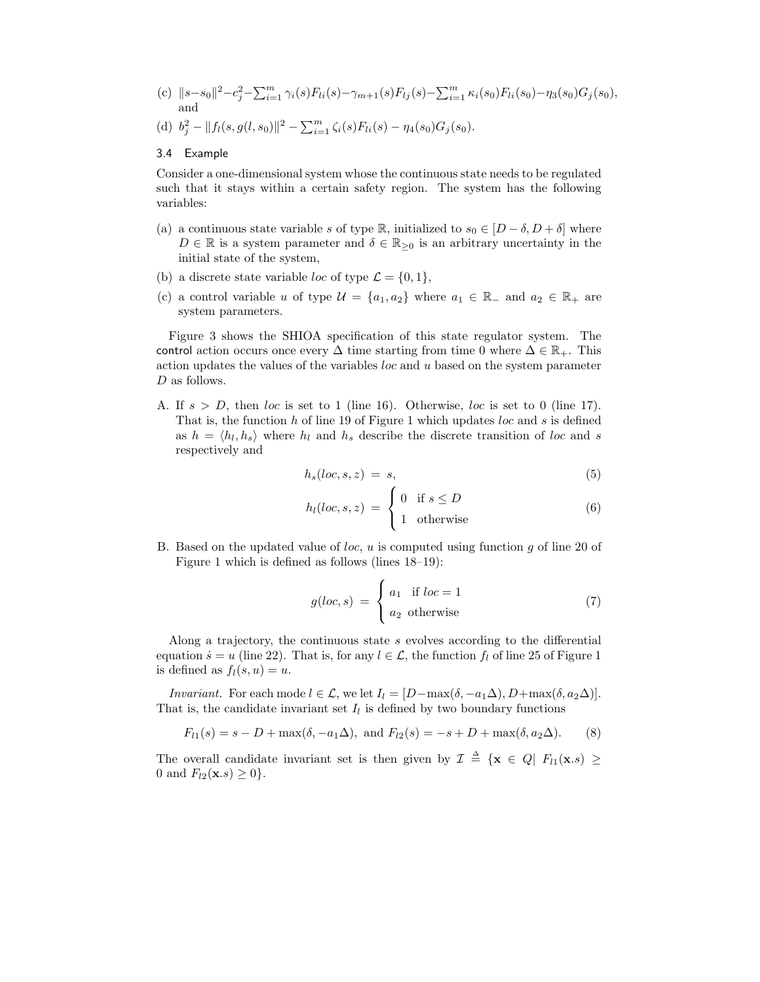- (c)  $||s-s_0||^2 c_j^2 \sum_{i=1}^m \gamma_i(s) F_{li}(s) \gamma_{m+1}(s) F_{lj}(s) \sum_{i=1}^m \kappa_i(s_0) F_{li}(s_0) \eta_3(s_0) G_j(s_0),$ and
- (d)  $b_j^2 ||f_l(s, g(l, s_0)||^2 \sum_{i=1}^m \zeta_i(s) F_{li}(s) \eta_4(s_0) G_j(s_0).$

## 3.4 Example

Consider a one-dimensional system whose the continuous state needs to be regulated such that it stays within a certain safety region. The system has the following variables:

- (a) a continuous state variable s of type R, initialized to  $s_0 \in [D-\delta, D+\delta]$  where  $D \in \mathbb{R}$  is a system parameter and  $\delta \in \mathbb{R}_{\geq 0}$  is an arbitrary uncertainty in the initial state of the system,
- (b) a discrete state variable *loc* of type  $\mathcal{L} = \{0, 1\},\$
- (c) a control variable u of type  $\mathcal{U} = \{a_1, a_2\}$  where  $a_1 \in \mathbb{R}_+$  and  $a_2 \in \mathbb{R}_+$  are system parameters.

Figure 3 shows the SHIOA specification of this state regulator system. The control action occurs once every  $\Delta$  time starting from time 0 where  $\Delta \in \mathbb{R}_+$ . This action updates the values of the variables  $loc$  and  $u$  based on the system parameter D as follows.

A. If  $s > D$ , then loc is set to 1 (line 16). Otherwise, loc is set to 0 (line 17). That is, the function  $h$  of line 19 of Figure 1 which updates  $loc$  and  $s$  is defined as  $h = \langle h_l, h_s \rangle$  where  $h_l$  and  $h_s$  describe the discrete transition of loc and s respectively and

$$
h_s(loc,s,z) = s,\tag{5}
$$

$$
h_l(loc,s,z) = \begin{cases} 0 & \text{if } s \le D \\ 1 & \text{otherwise} \end{cases}
$$
 (6)

B. Based on the updated value of *loc*,  $u$  is computed using function  $g$  of line 20 of Figure 1 which is defined as follows (lines 18–19):

$$
g(loc,s) = \begin{cases} a_1 & \text{if } loc = 1 \\ a_2 & \text{otherwise} \end{cases}
$$
 (7)

Along a trajectory, the continuous state s evolves according to the differential equation  $\dot{s} = u$  (line 22). That is, for any  $l \in \mathcal{L}$ , the function  $f_l$  of line 25 of Figure 1 is defined as  $f_l(s, u) = u$ .

*Invariant.* For each mode  $l \in \mathcal{L}$ , we let  $I_l = [D - \max(\delta, -a_1\Delta), D + \max(\delta, a_2\Delta)].$ That is, the candidate invariant set  $I_l$  is defined by two boundary functions

$$
F_{l1}(s) = s - D + \max(\delta, -a_1 \Delta), \text{ and } F_{l2}(s) = -s + D + \max(\delta, a_2 \Delta). \tag{8}
$$

The overall candidate invariant set is then given by  $\mathcal{I} \triangleq \{ \mathbf{x} \in Q | F_{l1}(\mathbf{x}.s) \geq$ 0 and  $F_{l2}(\mathbf{x}.s) \geq 0$ .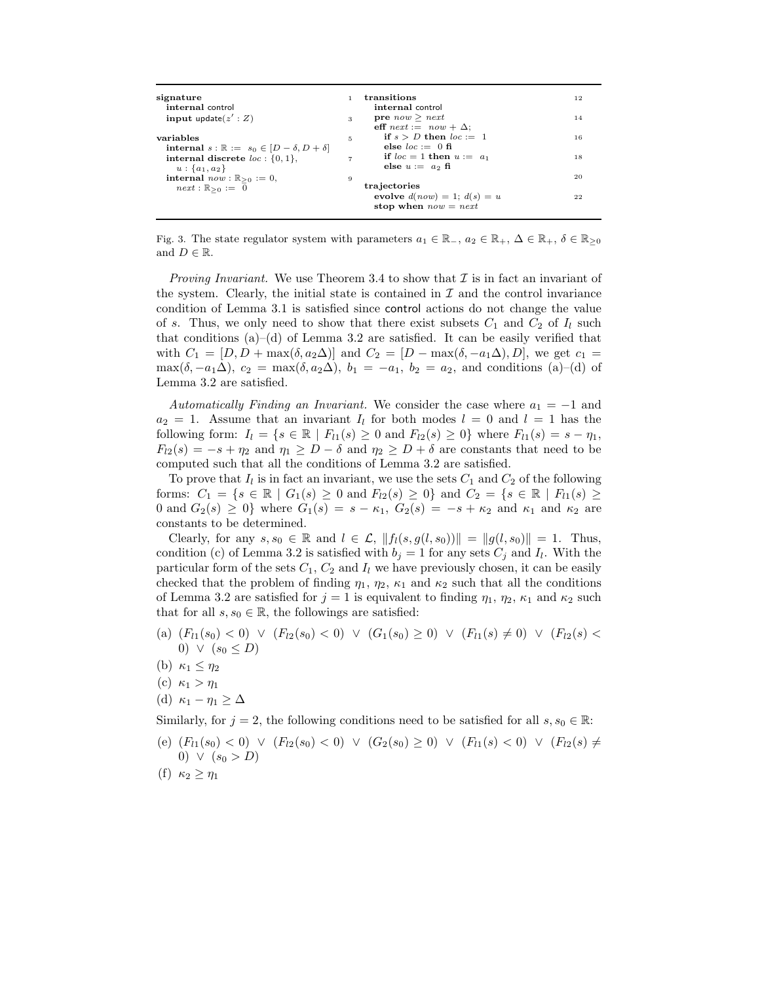| signature                                                     |                | transitions                      | 12 |
|---------------------------------------------------------------|----------------|----------------------------------|----|
| internal control                                              |                | internal control                 |    |
| input update $(z':Z)$                                         | 3              | <b>pre</b> $now \geq next$       | 14 |
|                                                               |                | eff $next := now + \Delta$ ;     |    |
| variables                                                     | 5              | if $s > D$ then $loc := 1$       | 16 |
| internal $s : \mathbb{R} := s_0 \in [D - \delta, D + \delta]$ |                | else $loc := 0$ fi               |    |
| internal discrete $loc: \{0,1\}$ ,                            | $\overline{7}$ | if $loc = 1$ then $u := a_1$     | 18 |
| $u: \{a_1, a_2\}$                                             |                | else $u := a_2$ fi               |    |
| <b>internal</b> $now : \mathbb{R}_{\geq 0} := 0$ ,            | 9              |                                  | 20 |
| $next: \mathbb{R}_{\geq 0} := 0$                              |                | trajectories                     |    |
|                                                               |                | evolve $d(now) = 1$ ; $d(s) = u$ | 22 |
|                                                               |                | stop when $now = next$           |    |
|                                                               |                |                                  |    |

Fig. 3. The state regulator system with parameters  $a_1 \in \mathbb{R}_+$ ,  $a_2 \in \mathbb{R}_+$ ,  $\Delta \in \mathbb{R}_+$ ,  $\delta \in \mathbb{R}_{\geq 0}$ and  $D \in \mathbb{R}$ .

*Proving Invariant.* We use Theorem 3.4 to show that  $\mathcal I$  is in fact an invariant of the system. Clearly, the initial state is contained in  $\mathcal I$  and the control invariance condition of Lemma 3.1 is satisfied since control actions do not change the value of s. Thus, we only need to show that there exist subsets  $C_1$  and  $C_2$  of  $I_l$  such that conditions (a)–(d) of Lemma 3.2 are satisfied. It can be easily verified that with  $C_1 = [D, D + \max(\delta, a_2\Delta)]$  and  $C_2 = [D - \max(\delta, -a_1\Delta), D]$ , we get  $c_1 =$  $\max(\delta, -a_1\Delta), c_2 = \max(\delta, a_2\Delta), b_1 = -a_1, b_2 = a_2$ , and conditions (a)–(d) of Lemma 3.2 are satisfied.

*Automatically Finding an Invariant.* We consider the case where  $a_1 = -1$  and  $a_2 = 1$ . Assume that an invariant  $I_l$  for both modes  $l = 0$  and  $l = 1$  has the following form:  $I_l = \{s \in \mathbb{R} \mid F_{l1}(s) \geq 0 \text{ and } F_{l2}(s) \geq 0\}$  where  $F_{l1}(s) = s - \eta_1$ ,  $F_{12}(s) = -s + \eta_2$  and  $\eta_1 \geq D - \delta$  and  $\eta_2 \geq D + \delta$  are constants that need to be computed such that all the conditions of Lemma 3.2 are satisfied.

To prove that  $I_l$  is in fact an invariant, we use the sets  $C_1$  and  $C_2$  of the following forms:  $C_1 = \{s \in \mathbb{R} \mid G_1(s) \geq 0 \text{ and } F_{l2}(s) \geq 0\}$  and  $C_2 = \{s \in \mathbb{R} \mid F_{l1}(s) \geq 0\}$ 0 and  $G_2(s) \geq 0$ } where  $G_1(s) = s - \kappa_1$ ,  $G_2(s) = -s + \kappa_2$  and  $\kappa_1$  and  $\kappa_2$  are constants to be determined.

Clearly, for any  $s, s_0 \in \mathbb{R}$  and  $l \in \mathcal{L}$ ,  $||f_l(s, g(l, s_0))|| = ||g(l, s_0)|| = 1$ . Thus, condition (c) of Lemma 3.2 is satisfied with  $b_j = 1$  for any sets  $C_j$  and  $I_l$ . With the particular form of the sets  $C_1$ ,  $C_2$  and  $I_l$  we have previously chosen, it can be easily checked that the problem of finding  $\eta_1$ ,  $\eta_2$ ,  $\kappa_1$  and  $\kappa_2$  such that all the conditions of Lemma 3.2 are satisfied for  $j = 1$  is equivalent to finding  $\eta_1$ ,  $\eta_2$ ,  $\kappa_1$  and  $\kappa_2$  such that for all  $s, s_0 \in \mathbb{R}$ , the followings are satisfied:

- (a)  $(F_{l1}(s_0) < 0) \vee (F_{l2}(s_0) < 0) \vee (G_1(s_0) \geq 0) \vee (F_{l1}(s) \neq 0) \vee (F_{l2}(s) <$ 0)  $\vee$   $(s_0 \leq D)$
- (b)  $\kappa_1 \leq \eta_2$
- (c)  $\kappa_1 > \eta_1$
- (d)  $\kappa_1 \eta_1 \geq \Delta$

Similarly, for  $j = 2$ , the following conditions need to be satisfied for all  $s, s_0 \in \mathbb{R}$ :

- (e)  $(F_{l1}(s_0) < 0) \vee (F_{l2}(s_0) < 0) \vee (G_2(s_0) \geq 0) \vee (F_{l1}(s) < 0) \vee (F_{l2}(s) \neq 0)$ 0)  $\vee$   $(s_0 > D)$
- (f)  $\kappa_2 \geq \eta_1$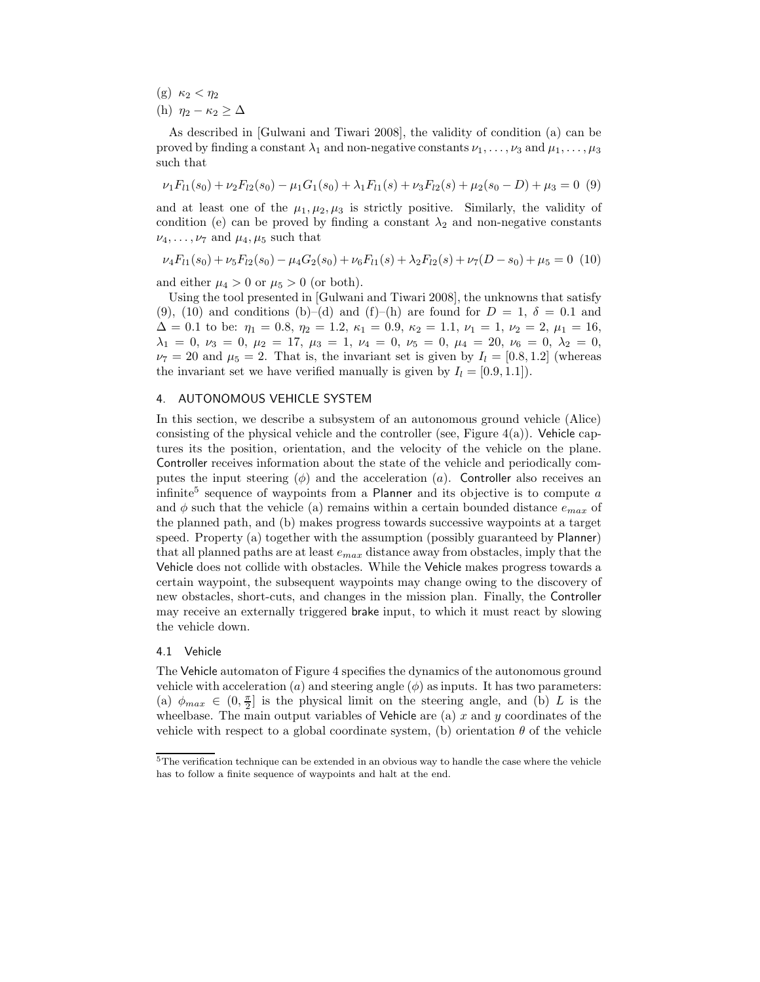- (g)  $\kappa_2 < \eta_2$
- (h)  $\eta_2 \kappa_2 > \Delta$

As described in [Gulwani and Tiwari 2008], the validity of condition (a) can be proved by finding a constant  $\lambda_1$  and non-negative constants  $\nu_1,\ldots,\nu_3$  and  $\mu_1,\ldots,\mu_3$ such that

$$
\nu_1 F_{l1}(s_0) + \nu_2 F_{l2}(s_0) - \mu_1 G_1(s_0) + \lambda_1 F_{l1}(s) + \nu_3 F_{l2}(s) + \mu_2(s_0 - D) + \mu_3 = 0
$$
 (9)

and at least one of the  $\mu_1, \mu_2, \mu_3$  is strictly positive. Similarly, the validity of condition (e) can be proved by finding a constant  $\lambda_2$  and non-negative constants  $\nu_4,\ldots,\nu_7$  and  $\mu_4,\mu_5$  such that

$$
\nu_4 F_{l1}(s_0) + \nu_5 F_{l2}(s_0) - \mu_4 G_2(s_0) + \nu_6 F_{l1}(s) + \lambda_2 F_{l2}(s) + \nu_7 (D - s_0) + \mu_5 = 0
$$
 (10)

and either  $\mu_4 > 0$  or  $\mu_5 > 0$  (or both).

Using the tool presented in [Gulwani and Tiwari 2008], the unknowns that satisfy (9), (10) and conditions (b)–(d) and (f)–(h) are found for  $D = 1$ ,  $\delta = 0.1$  and  $\Delta = 0.1$  to be:  $\eta_1 = 0.8$ ,  $\eta_2 = 1.2$ ,  $\kappa_1 = 0.9$ ,  $\kappa_2 = 1.1$ ,  $\nu_1 = 1$ ,  $\nu_2 = 2$ ,  $\mu_1 = 16$ ,  $\lambda_1 = 0, \nu_3 = 0, \mu_2 = 17, \mu_3 = 1, \nu_4 = 0, \nu_5 = 0, \mu_4 = 20, \nu_6 = 0, \lambda_2 = 0,$  $\nu_7 = 20$  and  $\mu_5 = 2$ . That is, the invariant set is given by  $I_l = [0.8, 1.2]$  (whereas the invariant set we have verified manually is given by  $I_l = [0.9, 1.1]$ .

# 4. AUTONOMOUS VEHICLE SYSTEM

In this section, we describe a subsystem of an autonomous ground vehicle (Alice) consisting of the physical vehicle and the controller (see, Figure  $4(a)$ ). Vehicle captures its the position, orientation, and the velocity of the vehicle on the plane. Controller receives information about the state of the vehicle and periodically computes the input steering  $(\phi)$  and the acceleration  $(a)$ . Controller also receives an infinite<sup>5</sup> sequence of waypoints from a Planner and its objective is to compute a and  $\phi$  such that the vehicle (a) remains within a certain bounded distance  $e_{max}$  of the planned path, and (b) makes progress towards successive waypoints at a target speed. Property (a) together with the assumption (possibly guaranteed by Planner) that all planned paths are at least  $e_{max}$  distance away from obstacles, imply that the Vehicle does not collide with obstacles. While the Vehicle makes progress towards a certain waypoint, the subsequent waypoints may change owing to the discovery of new obstacles, short-cuts, and changes in the mission plan. Finally, the Controller may receive an externally triggered brake input, to which it must react by slowing the vehicle down.

#### 4.1 Vehicle

The Vehicle automaton of Figure 4 specifies the dynamics of the autonomous ground vehicle with acceleration (*a*) and steering angle  $(\phi)$  as inputs. It has two parameters: (a)  $\phi_{max} \in (0, \frac{\pi}{2}]$  is the physical limit on the steering angle, and (b) L is the wheelbase. The main output variables of Vehicle are (a)  $x$  and  $y$  coordinates of the vehicle with respect to a global coordinate system, (b) orientation  $\theta$  of the vehicle

<sup>5</sup>The verification technique can be extended in an obvious way to handle the case where the vehicle has to follow a finite sequence of waypoints and halt at the end.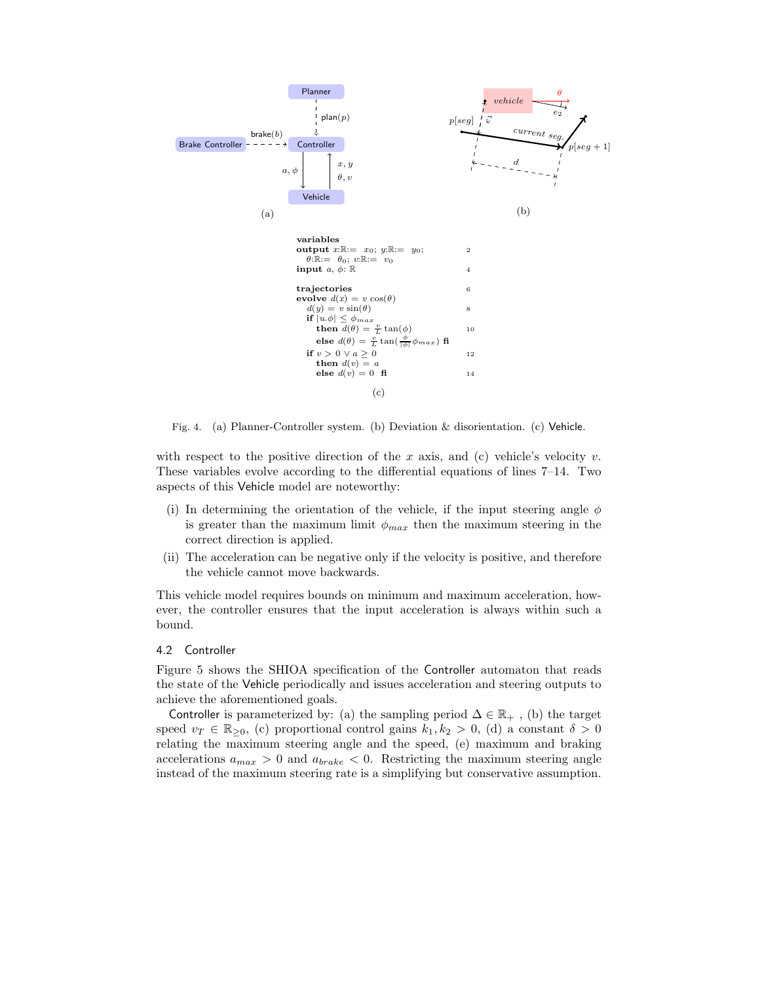

Fig. 4. (a) Planner-Controller system. (b) Deviation & disorientation. (c) Vehicle.

with respect to the positive direction of the x axis, and (c) vehicle's velocity v. These variables evolve according to the differential equations of lines 7–14. Two aspects of this Vehicle model are noteworthy:

- (i) In determining the orientation of the vehicle, if the input steering angle  $\phi$ is greater than the maximum limit  $\phi_{max}$  then the maximum steering in the correct direction is applied.
- (ii) The acceleration can be negative only if the velocity is positive, and therefore the vehicle cannot move backwards.

This vehicle model requires bounds on minimum and maximum acceleration, however, the controller ensures that the input acceleration is always within such a bound.

#### 4.2 Controller

Figure 5 shows the SHIOA specification of the Controller automaton that reads the state of the Vehicle periodically and issues acceleration and steering outputs to achieve the aforementioned goals.

Controller is parameterized by: (a) the sampling period  $\Delta \in \mathbb{R}_+$ , (b) the target speed  $v_T \in \mathbb{R}_{\geq 0}$ , (c) proportional control gains  $k_1, k_2 > 0$ , (d) a constant  $\delta > 0$ relating the maximum steering angle and the speed, (e) maximum and braking accelerations  $a_{max} > 0$  and  $a_{brake} < 0$ . Restricting the maximum steering angle instead of the maximum steering rate is a simplifying but conservative assumption.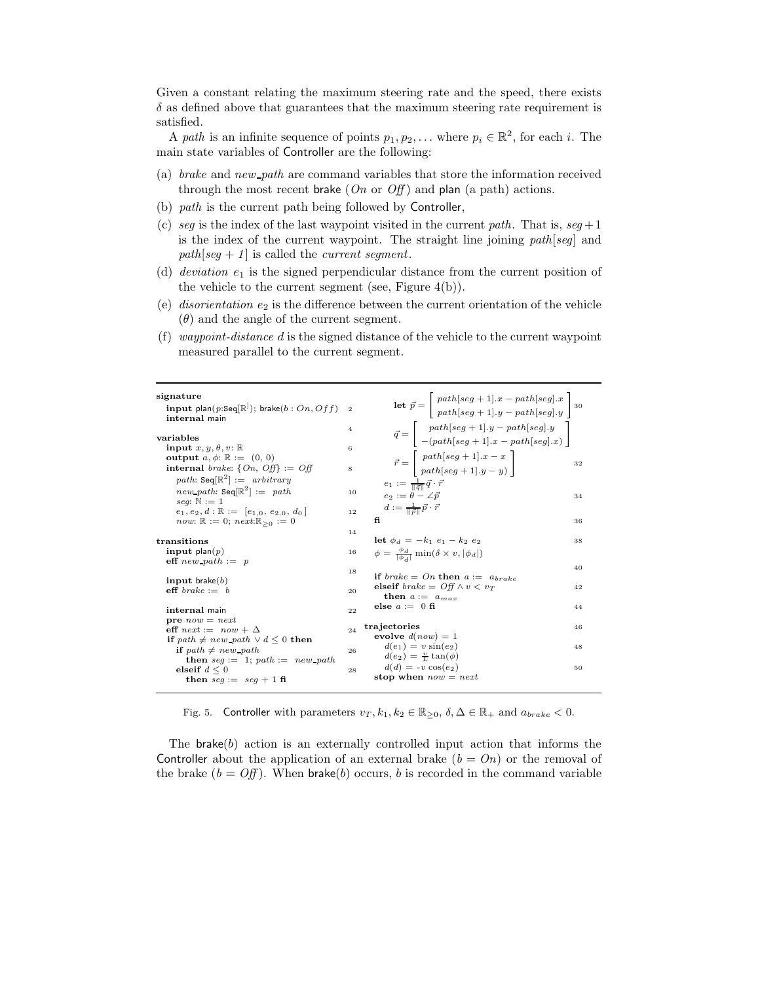Given a constant relating the maximum steering rate and the speed, there exists  $\delta$  as defined above that guarantees that the maximum steering rate requirement is satisfied.

A *path* is an infinite sequence of points  $p_1, p_2, \ldots$  where  $p_i \in \mathbb{R}^2$ , for each i. The main state variables of Controller are the following:

- (a) *brake* and *new path* are command variables that store the information received through the most recent brake  $(On \text{ or } Off)$  and plan  $(a \text{ path})$  actions.
- (b) *path* is the current path being followed by Controller,
- (c) *seg* is the index of the last waypoint visited in the current *path*. That is,  $seg + 1$ is the index of the current waypoint. The straight line joining *path*[*seg*] and *path*[*seg* + *1*] is called the *current segment*.
- (d) *deviation*  $e_1$  is the signed perpendicular distance from the current position of the vehicle to the current segment (see, Figure  $4(b)$ ).
- (e) *disorientation*  $e_2$  is the difference between the current orientation of the vehicle  $(\theta)$  and the angle of the current segment.
- (f) *waypoint-distance* d is the signed distance of the vehicle to the current waypoint measured parallel to the current segment.

| signature<br>input plan(p:Seq $[\mathbb{R}^]$ ); brake(b: On, Off)<br>internal main<br>variables                                                                                                                                                                                                     | $\overline{2}$<br>$\overline{4}$ | $\textbf{let } \vec{p} = \begin{bmatrix} path[seg+1].x-path[seg].x \\ path[seg+1].y-path[seg].y \end{bmatrix}$<br>$\vec{q} = \begin{bmatrix} path[seg+1].y-path[seg].y \\ -(path[seg+1].x-path[seg].x) \end{bmatrix}$           |                |
|------------------------------------------------------------------------------------------------------------------------------------------------------------------------------------------------------------------------------------------------------------------------------------------------------|----------------------------------|---------------------------------------------------------------------------------------------------------------------------------------------------------------------------------------------------------------------------------|----------------|
| input $x, y, \theta, v$ : R<br>output $a, \phi$ : $\mathbb{R} := (0, 0)$<br>internal <i>brake</i> : $\{On, Off\} := Off$<br>path: Seq $\mathbb{R}^2$ := arbitrary<br><i>new_path</i> : Seq $\mathbb{R}^2$ := path<br>seq: $\mathbb{N} := 1$<br>$e_1, e_2, d : \mathbb{R} := [e_{1,0}, e_{2,0}, d_0]$ | 6<br>8<br>10<br>12               | $\vec{r} = \begin{bmatrix} path[seg+1].x-x \\ path[seg+1].y-y \end{bmatrix}$<br>$e_1 := \frac{1}{\ \vec{q}\ } \vec{q} \cdot \vec{r}$<br>$e_2 := \theta - \angle \vec{v}$<br>$d := \tfrac{1}{\ \vec{v}\ } \vec{p} \cdot \vec{r}$ | 32<br>34       |
| <i>now</i> : $\mathbb{R} := 0$ ; $next \mathbb{R}_{\geq 0} := 0$<br>transitions<br>input plan( $p$ )                                                                                                                                                                                                 | 14<br>16                         | fi<br><b>let</b> $\phi_d = -k_1 e_1 - k_2 e_2$<br>$\phi = \frac{\phi_d}{\lceil \phi_d \rceil} \min(\delta \times v,  \phi_d )$                                                                                                  | 36<br>38       |
| $\text{eff}$ new path := p<br>input brake $(b)$<br>$\text{eff} \,\, breake := b$<br>internal main                                                                                                                                                                                                    | 18<br>20<br>22                   | if brake = On then $a := a_{brake}$<br>elseif $brake = \text{Off} \land v < v_T$<br>then $a := a_{max}$<br>else $a := 0$ fi                                                                                                     | 40<br>42<br>44 |
| $pre\; now = next$<br>eff $next := now + \Delta$<br>if path $\neq$ new path $\vee$ d $\leq$ 0 then<br><b>if</b> path $\neq$ new path<br><b>then</b> $seq := 1$ ; $path := new path$<br>elseif $d \leq 0$<br>then $seq := seq + 1$ fi                                                                 | 24<br>26<br>28                   | trajectories<br>evolve $d(now) = 1$<br>$d(e_1) = v \sin(e_2)$<br>$d(e_2) = \frac{\nu}{l} \tan(\phi)$<br>$d(d) = -v \cos(e_2)$<br>stop when $now = next$                                                                         | 46<br>48<br>50 |
|                                                                                                                                                                                                                                                                                                      |                                  |                                                                                                                                                                                                                                 |                |

Fig. 5. Controller with parameters  $v_T, k_1, k_2 \in \mathbb{R}_{\geq 0}, \delta, \Delta \in \mathbb{R}_+$  and  $a_{brake} < 0$ .

The brake(b) action is an externally controlled input action that informs the Controller about the application of an external brake  $(b = On)$  or the removal of the brake  $(b = \text{Off})$ . When brake(b) occurs, b is recorded in the command variable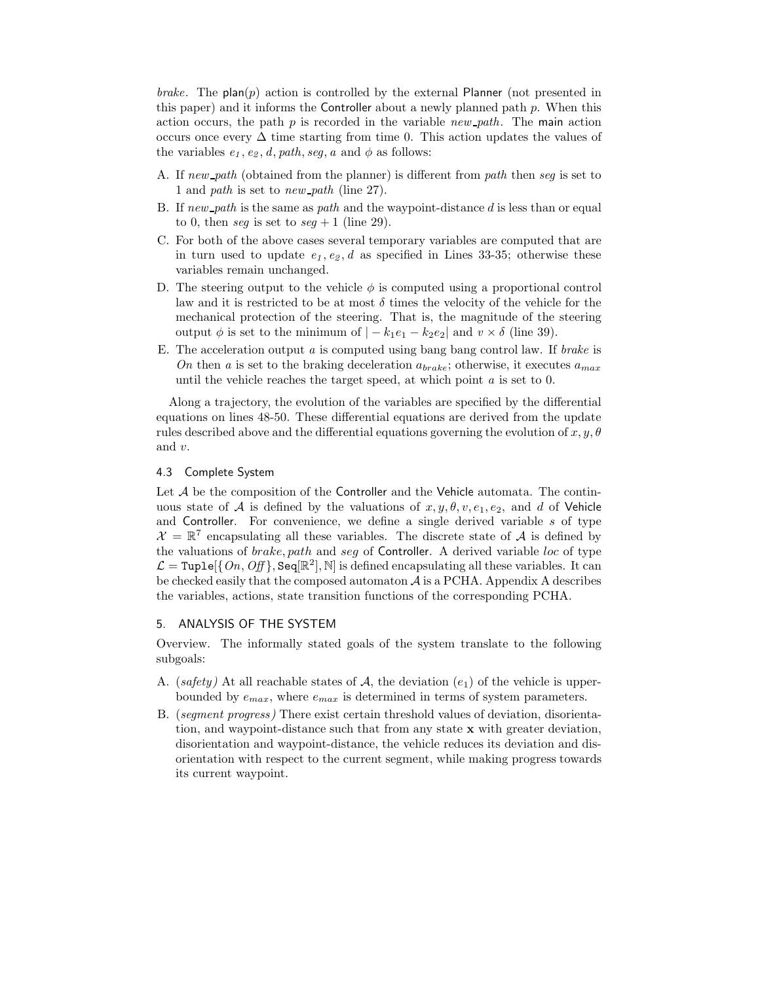*brake*. The plan(p) action is controlled by the external Planner (not presented in this paper) and it informs the Controller about a newly planned path  $p$ . When this action occurs, the path p is recorded in the variable *new path*. The main action occurs once every  $\Delta$  time starting from time 0. This action updates the values of the variables  $e_1, e_2, d, path, seg, a$  and  $\phi$  as follows:

- A. If *new path* (obtained from the planner) is different from *path* then *seg* is set to 1 and *path* is set to *new path* (line 27).
- B. If *new path* is the same as *path* and the waypoint-distance d is less than or equal to 0, then *seq* is set to  $seq + 1$  (line 29).
- C. For both of the above cases several temporary variables are computed that are in turn used to update  $e_1, e_2, d$  as specified in Lines 33-35; otherwise these variables remain unchanged.
- D. The steering output to the vehicle  $\phi$  is computed using a proportional control law and it is restricted to be at most  $\delta$  times the velocity of the vehicle for the mechanical protection of the steering. That is, the magnitude of the steering output  $\phi$  is set to the minimum of  $|-k_1e_1-k_2e_2|$  and  $v \times \delta$  (line 39).
- E. The acceleration output *a* is computed using bang bang control law. If *brake* is *On* then *a* is set to the braking deceleration  $a_{brake}$ ; otherwise, it executes  $a_{max}$ until the vehicle reaches the target speed, at which point *a* is set to 0.

Along a trajectory, the evolution of the variables are specified by the differential equations on lines 48-50. These differential equations are derived from the update rules described above and the differential equations governing the evolution of  $x, y, \theta$ and v.

# 4.3 Complete System

Let  $A$  be the composition of the Controller and the Vehicle automata. The continuous state of A is defined by the valuations of  $x, y, \theta, v, e_1, e_2$ , and d of Vehicle and Controller. For convenience, we define a single derived variable  $s$  of type  $\mathcal{X} = \mathbb{R}^7$  encapsulating all these variables. The discrete state of A is defined by the valuations of brake, path and seg of Controller. A derived variable loc of type  $\mathcal{L} = \text{Tuple}(\{On, Off\}, \text{Seq}(\mathbb{R}^2), \mathbb{N})$  is defined encapsulating all these variables. It can be checked easily that the composed automaton  $A$  is a PCHA. Appendix A describes the variables, actions, state transition functions of the corresponding PCHA.

# 5. ANALYSIS OF THE SYSTEM

Overview. The informally stated goals of the system translate to the following subgoals:

- A. (*safety*) At all reachable states of  $A$ , the deviation  $(e_1)$  of the vehicle is upperbounded by  $e_{max}$ , where  $e_{max}$  is determined in terms of system parameters.
- B. (*segment progress)* There exist certain threshold values of deviation, disorientation, and waypoint-distance such that from any state **x** with greater deviation, disorientation and waypoint-distance, the vehicle reduces its deviation and disorientation with respect to the current segment, while making progress towards its current waypoint.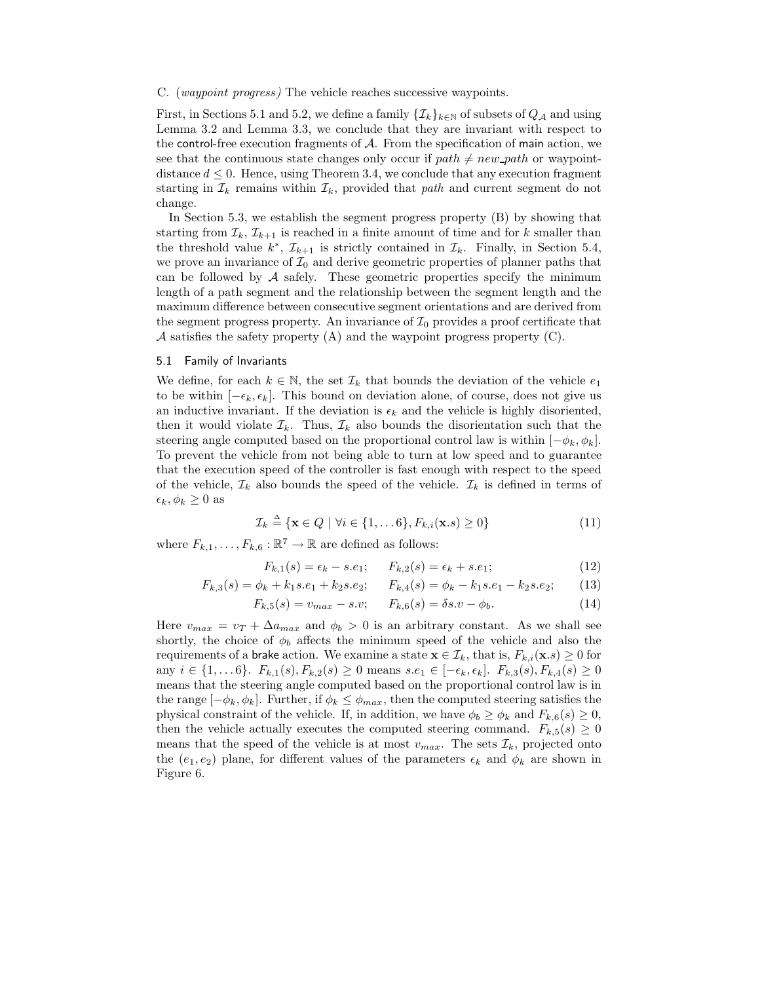#### C. (*waypoint progress)* The vehicle reaches successive waypoints.

First, in Sections 5.1 and 5.2, we define a family  $\{\mathcal{I}_k\}_{k\in\mathbb{N}}$  of subsets of  $Q_{\mathcal{A}}$  and using Lemma 3.2 and Lemma 3.3, we conclude that they are invariant with respect to the control-free execution fragments of  $A$ . From the specification of main action, we see that the continuous state changes only occur if  $path \neq new-path$  or waypointdistance  $d \leq 0$ . Hence, using Theorem 3.4, we conclude that any execution fragment starting in  $\mathcal{I}_k$  remains within  $\mathcal{I}_k$ , provided that *path* and current segment do not change.

In Section 5.3, we establish the segment progress property (B) by showing that starting from  $\mathcal{I}_k$ ,  $\mathcal{I}_{k+1}$  is reached in a finite amount of time and for k smaller than the threshold value  $k^*$ ,  $\mathcal{I}_{k+1}$  is strictly contained in  $\mathcal{I}_k$ . Finally, in Section 5.4, we prove an invariance of  $\mathcal{I}_0$  and derive geometric properties of planner paths that can be followed by  $A$  safely. These geometric properties specify the minimum length of a path segment and the relationship between the segment length and the maximum difference between consecutive segment orientations and are derived from the segment progress property. An invariance of  $\mathcal{I}_0$  provides a proof certificate that A satisfies the safety property  $(A)$  and the waypoint progress property  $(C)$ .

#### 5.1 Family of Invariants

We define, for each  $k \in \mathbb{N}$ , the set  $\mathcal{I}_k$  that bounds the deviation of the vehicle  $e_1$ to be within  $[-\epsilon_k, \epsilon_k]$ . This bound on deviation alone, of course, does not give us an inductive invariant. If the deviation is  $\epsilon_k$  and the vehicle is highly disoriented, then it would violate  $\mathcal{I}_k$ . Thus,  $\mathcal{I}_k$  also bounds the disorientation such that the steering angle computed based on the proportional control law is within  $[-\phi_k, \phi_k]$ . To prevent the vehicle from not being able to turn at low speed and to guarantee that the execution speed of the controller is fast enough with respect to the speed of the vehicle,  $\mathcal{I}_k$  also bounds the speed of the vehicle.  $\mathcal{I}_k$  is defined in terms of  $\epsilon_k, \phi_k \geq 0$  as

$$
\mathcal{I}_k \triangleq \{ \mathbf{x} \in Q \mid \forall i \in \{1, \dots 6\}, F_{k,i}(\mathbf{x}.s) \ge 0 \}
$$
\n<sup>(11)</sup>

where  $F_{k,1},\ldots,F_{k,6}:\mathbb{R}^7\to\mathbb{R}$  are defined as follows:

$$
F_{k,1}(s) = \epsilon_k - s.e_1; \qquad F_{k,2}(s) = \epsilon_k + s.e_1; \tag{12}
$$

$$
F_{k,3}(s) = \phi_k + k_1 s.e_1 + k_2 s.e_2; \qquad F_{k,4}(s) = \phi_k - k_1 s.e_1 - k_2 s.e_2; \tag{13}
$$

$$
F_{k,5}(s) = v_{max} - s.v; \qquad F_{k,6}(s) = \delta s.v - \phi_b.
$$
 (14)

Here  $v_{max} = v_T + \Delta a_{max}$  and  $\phi_b > 0$  is an arbitrary constant. As we shall see shortly, the choice of  $\phi_b$  affects the minimum speed of the vehicle and also the requirements of a brake action. We examine a state  $\mathbf{x} \in \mathcal{I}_k$ , that is,  $F_{k,i}(\mathbf{x}.s) \geq 0$  for any  $i \in \{1, \ldots 6\}$ .  $F_{k,1}(s), F_{k,2}(s) \ge 0$  means  $s.e_1 \in [-\epsilon_k, \epsilon_k]$ .  $F_{k,3}(s), F_{k,4}(s) \ge 0$ means that the steering angle computed based on the proportional control law is in the range  $[-\phi_k, \phi_k]$ . Further, if  $\phi_k \leq \phi_{max}$ , then the computed steering satisfies the physical constraint of the vehicle. If, in addition, we have  $\phi_b \geq \phi_k$  and  $F_{k,6}(s) \geq 0$ , then the vehicle actually executes the computed steering command.  $F_{k,5}(s) \geq 0$ means that the speed of the vehicle is at most  $v_{max}$ . The sets  $\mathcal{I}_k$ , projected onto the (e<sub>1</sub>, e<sub>2</sub>) plane, for different values of the parameters  $\epsilon_k$  and  $\phi_k$  are shown in Figure 6.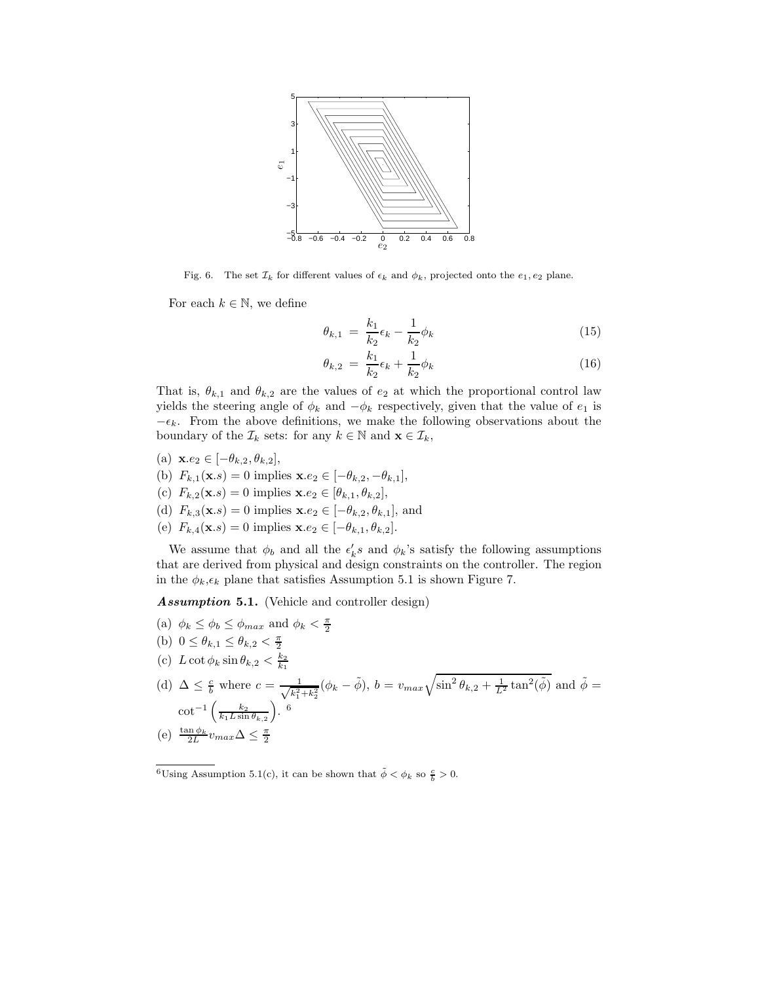

Fig. 6. The set  $\mathcal{I}_k$  for different values of  $\epsilon_k$  and  $\phi_k$ , projected onto the  $e_1, e_2$  plane.

For each  $k \in \mathbb{N}$ , we define

$$
\theta_{k,1} = \frac{k_1}{k_2} \epsilon_k - \frac{1}{k_2} \phi_k \tag{15}
$$

$$
\theta_{k,2} = \frac{k_1}{k_2} \epsilon_k + \frac{1}{k_2} \phi_k \tag{16}
$$

That is,  $\theta_{k,1}$  and  $\theta_{k,2}$  are the values of  $e_2$  at which the proportional control law yields the steering angle of  $\phi_k$  and  $-\phi_k$  respectively, given that the value of  $e_1$  is  $-\epsilon_k$ . From the above definitions, we make the following observations about the boundary of the  $\mathcal{I}_k$  sets: for any  $k \in \mathbb{N}$  and  $\mathbf{x} \in \mathcal{I}_k$ ,

- (a) **x**.e<sub>2</sub> ∈  $[-\theta_{k,2}, \theta_{k,2}]$ ,
- (b)  $F_{k,1}(\mathbf{x}.s) = 0$  implies  $\mathbf{x}.e_2 \in [-\theta_{k,2}, -\theta_{k,1}],$
- (c)  $F_{k,2}(\mathbf{x}.s) = 0$  implies  $\mathbf{x}.e_2 \in [\theta_{k,1}, \theta_{k,2}],$
- (d)  $F_{k,3}(\mathbf{x}.s) = 0$  implies  $\mathbf{x}.e_2 \in [-\theta_{k,2}, \theta_{k,1}],$  and
- (e)  $F_{k,4}(\mathbf{x}.s) = 0$  implies  $\mathbf{x}.e_2 \in [-\theta_{k,1}, \theta_{k,2}].$

We assume that  $\phi_b$  and all the  $\epsilon'_k s$  and  $\phi_k$ 's satisfy the following assumptions that are derived from physical and design constraints on the controller. The region in the  $\phi_k, \epsilon_k$  plane that satisfies Assumption 5.1 is shown Figure 7.

*Assumption* **5.1.** (Vehicle and controller design)

- (a)  $\phi_k \leq \phi_b \leq \phi_{max}$  and  $\phi_k < \frac{\pi}{2}$
- (b)  $0 \le \theta_{k,1} \le \theta_{k,2} < \frac{\pi}{2}$
- (c)  $L \cot \phi_k \sin \theta_{k,2} < \frac{k_2}{k_1}$
- (d)  $\Delta \leq \frac{c}{b}$  where  $c = \frac{1}{\sqrt{k^2}}$  $\frac{1}{k_1^2 + k_2^2} (\phi_k - \tilde{\phi}), b = v_{max} \sqrt{\sin^2 \theta_{k,2} + \frac{1}{L^2} \tan^2(\tilde{\phi})}$  and  $\tilde{\phi} =$  $\cot^{-1}\left(\frac{k_2}{k_1L\sin\theta_{k,2}}\right)$ . <sup>6</sup> (e)  $\frac{\tan \phi_k}{2L} v_{max} \Delta \leq \frac{\pi}{2}$

<sup>&</sup>lt;sup>6</sup>Using Assumption 5.1(c), it can be shown that  $\tilde{\phi} < \phi_k$  so  $\frac{c}{b} > 0$ .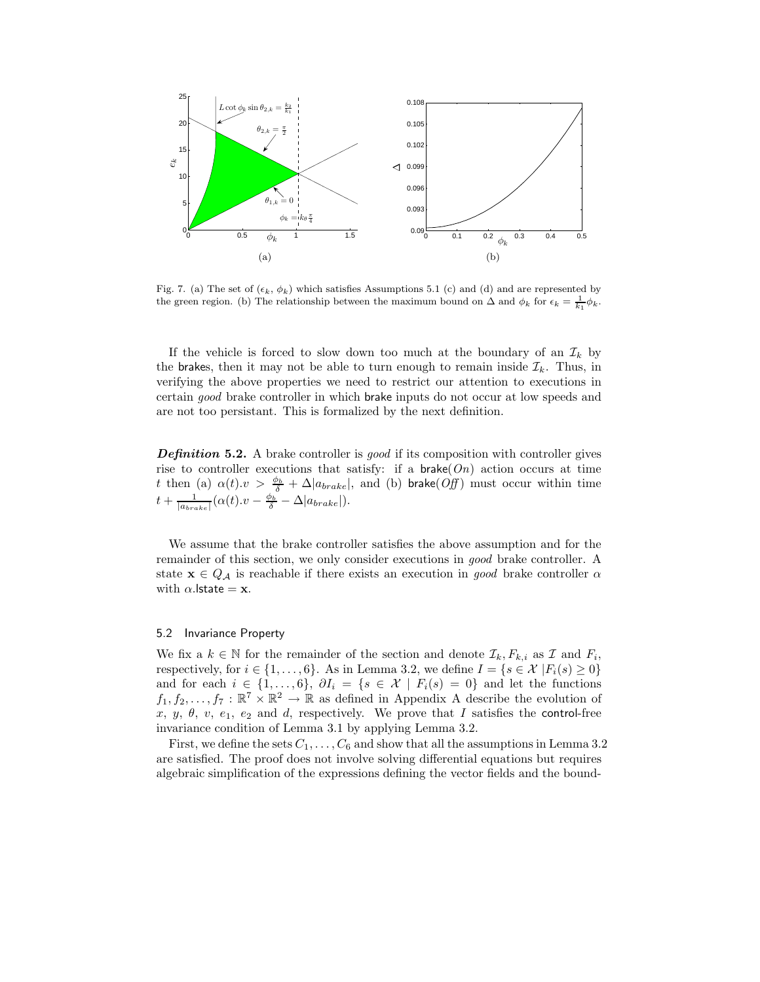

Fig. 7. (a) The set of  $(\epsilon_k, \phi_k)$  which satisfies Assumptions 5.1 (c) and (d) and are represented by<br>the groon region. (b) The relationship between the maximum bound on  $\Lambda$  and  $\phi_k$  for  $\epsilon_k = \frac{1}{\Lambda} \phi_k$ . the green region. (b) The relationship between the maximum bound on  $\Delta$  and  $\phi_k$  for  $\epsilon_k = \frac{1}{k_1} \phi_k$ .

If the vehicle is forced to slow down too much at the boundary of an  $\mathcal{I}_k$  by the brakes, then it may not be able to turn enough to remain inside  $\mathcal{I}_k$ . Thus, in verifying the above properties we need to restrict our attention to executions in certain *good* brake controller in which brake inputs do not occur at low speeds and are not too persistant. This is formalized by the next definition.

*Definition* **5.2.** A brake controller is *good* if its composition with controller gives rise to controller executions that satisfy: if a brake(*On*) action occurs at time t then (a)  $\alpha(t) \cdot v > \frac{\phi_b}{\delta} + \Delta |a_{brake}|$ , and (b) brake(*Off*) must occur within time  $t + \frac{1}{|a_{brake}|}(\alpha(t).v - \frac{\phi_b}{\delta} - \Delta|a_{brake}|).$ 

We assume that the brake controller satisfies the above assumption and for the remainder of this section, we only consider executions in *good* brake controller. A state  $\mathbf{x} \in Q_A$  is reachable if there exists an execution in *good* brake controller  $\alpha$ with  $\alpha$ . **lstate = x**.

#### 5.2 Invariance Property

We fix a  $k \in \mathbb{N}$  for the remainder of the section and denote  $\mathcal{I}_k, F_{k,i}$  as  $\mathcal{I}$  and  $F_i$ , respectively, for  $i \in \{1,\ldots,6\}$ . As in Lemma 3.2, we define  $I = \{s \in \mathcal{X} | F_i(s) \geq 0\}$ and for each  $i \in \{1,\ldots,6\}$ ,  $\partial I_i = \{s \in \mathcal{X} \mid F_i(s)=0\}$  and let the functions  $f_1, f_2, \ldots, f_7 : \mathbb{R}^7 \times \mathbb{R}^2 \to \mathbb{R}$  as defined in Appendix A describe the evolution of x, y,  $\theta$ , v,  $e_1$ ,  $e_2$  and d, respectively. We prove that I satisfies the control-free invariance condition of Lemma 3.1 by applying Lemma 3.2.

First, we define the sets  $C_1, \ldots, C_6$  and show that all the assumptions in Lemma 3.2 are satisfied. The proof does not involve solving differential equations but requires algebraic simplification of the expressions defining the vector fields and the bound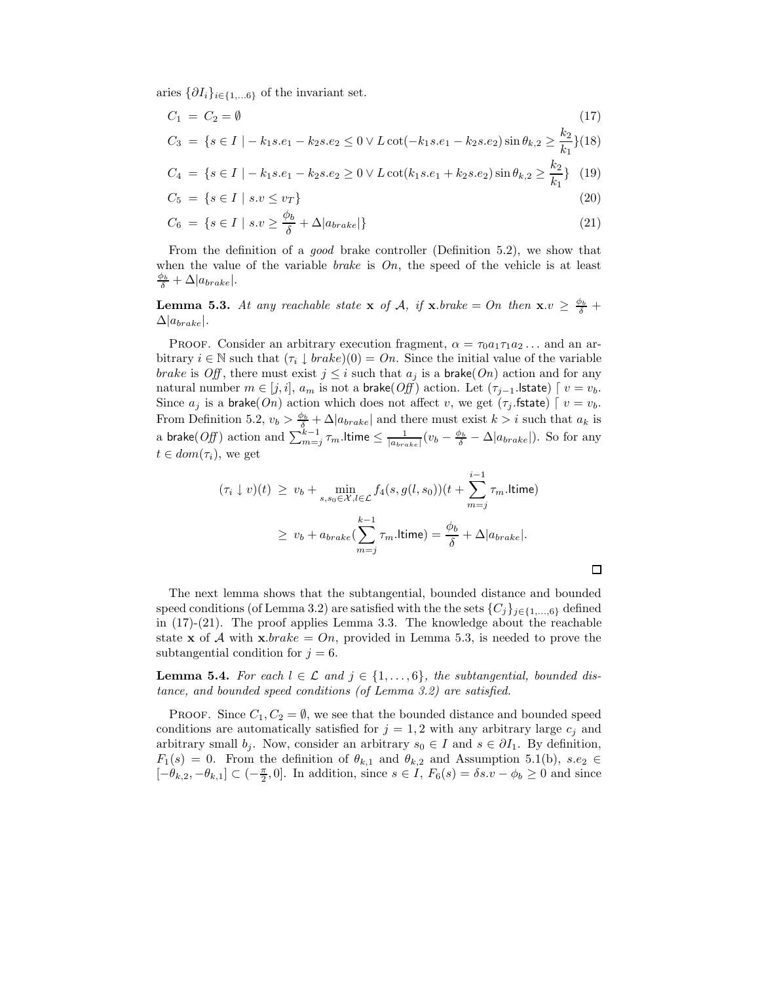aries  $\{\partial I_i\}_{i\in\{1,...6\}}$  of the invariant set.

$$
C_1 = C_2 = \emptyset
$$
\n
$$
C_3 = \{ s \in I \mid -k_1 s.e_1 - k_2 s.e_2 \le 0 \lor L \cot(-k_1 s.e_1 - k_2 s.e_2) \sin \theta_{k,2} \ge \frac{k_2}{k_1} \} (18)
$$

$$
C_4 = \{ s \in I \mid -k_1 s.e_1 - k_2 s.e_2 \ge 0 \lor L \cot(k_1 s.e_1 + k_2 s.e_2) \sin \theta_{k,2} \ge \frac{k_2}{k_1} \} (19)
$$

$$
C_5 = \{ s \in I \mid s.v \le v_T \} \tag{20}
$$

$$
C_6 = \{ s \in I \mid s.v \ge \frac{\phi_b}{\delta} + \Delta |a_{brake}|\}
$$
\n
$$
(21)
$$

From the definition of a *good* brake controller (Definition 5.2), we show that when the value of the variable *brake* is *On*, the speed of the vehicle is at least  $\frac{\phi_b}{\delta} + \Delta |a_{brake}|.$ 

**Lemma 5.3.** At any reachable state **x** of A, if **x**.*brake* = On then **x**. $v \geq \frac{\phi_b}{\delta}$  +  $\Delta|a_{brake}|.$ 

PROOF. Consider an arbitrary execution fragment,  $\alpha = \tau_0 a_1 \tau_1 a_2 \ldots$  and an arbitrary  $i \in \mathbb{N}$  such that  $(\tau_i \downarrow brake)(0) = On$ . Since the initial value of the variable *brake* is *Off*, there must exist  $j \leq i$  such that  $a_j$  is a **brake**(*On*) action and for any natural number  $m \in [j, i]$ ,  $a_m$  is not a brake(*Off*) action. Let  $(\tau_{j-1}$ .lstate)  $\vert v = v_b$ . Since  $a_j$  is a brake( $On$ ) action which does not affect v, we get ( $\tau_j$  fistate)  $\lceil v = v_b$ . From Definition 5.2,  $v_b > \frac{\phi_b}{\delta} + \Delta |a_{brake}|$  and there must exist  $k > i$  such that  $a_k$  is a brake(*Off*) action and  $\sum_{m=j}^{k-1} \tau_m$ . Itime  $\leq \frac{1}{|a_{brake}|}(v_b - \frac{\phi_b}{\delta} - \Delta |a_{brake}|)$ . So for any  $t \in dom(\tau_i)$ , we get

$$
(\tau_i \downarrow v)(t) \ge v_b + \min_{s, s_0 \in \mathcal{X}, l \in \mathcal{L}} f_4(s, g(l, s_0)) \left(t + \sum_{m=j}^{i-1} \tau_m \ldotp \text{ltime}\right)
$$

$$
\ge v_b + a_{brake} \left(\sum_{m=j}^{k-1} \tau_m \ldotp \text{ltime}\right) = \frac{\phi_b}{\delta} + \Delta |a_{brake}|.
$$

口

The next lemma shows that the subtangential, bounded distance and bounded speed conditions (of Lemma 3.2) are satisfied with the the sets  ${C_j}_{j \in \{1,\ldots,6\}}$  defined in (17)-(21). The proof applies Lemma 3.3. The knowledge about the reachable state **x** of A with **x**.brake = On, provided in Lemma 5.3, is needed to prove the subtangential condition for  $j = 6$ .

**Lemma 5.4.** *For each*  $l \in \mathcal{L}$  *and*  $j \in \{1, \ldots, 6\}$ *, the subtangential, bounded distance, and bounded speed conditions (of Lemma 3.2) are satisfied.*

PROOF. Since  $C_1, C_2 = \emptyset$ , we see that the bounded distance and bounded speed conditions are automatically satisfied for  $j = 1, 2$  with any arbitrary large  $c_j$  and arbitrary small  $b_j$ . Now, consider an arbitrary  $s_0 \in I$  and  $s \in \partial I_1$ . By definition,  $F_1(s) = 0$ . From the definition of  $\theta_{k,1}$  and  $\theta_{k,2}$  and Assumption 5.1(b),  $s.e_2 \in$  $[-\theta_{k,2}, -\theta_{k,1}] \subset (-\frac{\pi}{2}, 0]$ . In addition, since  $s \in I$ ,  $F_6(s) = \delta s \cdot v - \phi_b \ge 0$  and since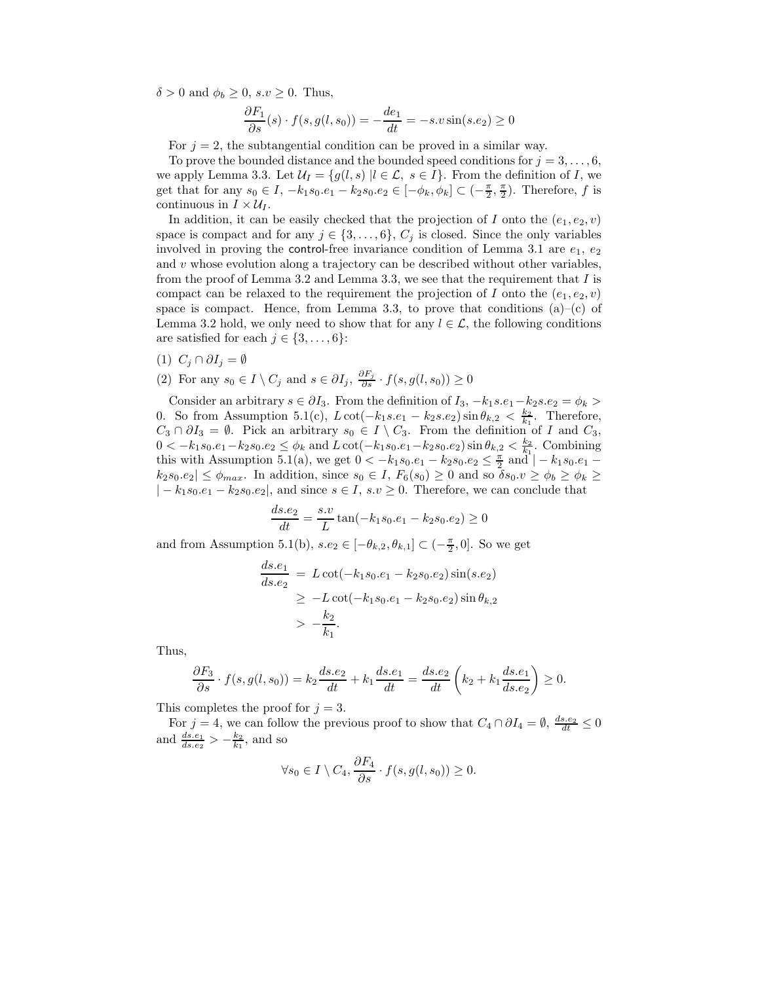$\delta > 0$  and  $\phi_b \geq 0$ ,  $s.v \geq 0$ . Thus,

$$
\frac{\partial F_1}{\partial s}(s) \cdot f(s, g(l, s_0)) = -\frac{de_1}{dt} = -s \cdot v \sin(s \cdot e_2) \ge 0
$$

For  $j = 2$ , the subtangential condition can be proved in a similar way.

To prove the bounded distance and the bounded speed conditions for  $j = 3, \ldots, 6$ , we apply Lemma 3.3. Let  $\mathcal{U}_I = \{g(l, s) | l \in \mathcal{L}, s \in I\}$ . From the definition of I, we get that for any  $s_0 \in I$ ,  $-k_1s_0.e_1 - k_2s_0.e_2 \in [-\phi_k, \phi_k] \subset (-\frac{\pi}{2}, \frac{\pi}{2})$ . Therefore, f is continuous in  $I \times U_I$ .

In addition, it can be easily checked that the projection of I onto the  $(e_1, e_2, v)$ space is compact and for any  $j \in \{3,\ldots,6\}$ ,  $C_j$  is closed. Since the only variables involved in proving the control-free invariance condition of Lemma 3.1 are  $e_1, e_2$ and  $v$  whose evolution along a trajectory can be described without other variables, from the proof of Lemma 3.2 and Lemma 3.3, we see that the requirement that  $I$  is compact can be relaxed to the requirement the projection of I onto the  $(e_1, e_2, v)$ space is compact. Hence, from Lemma 3.3, to prove that conditions  $(a)$ – $(c)$  of Lemma 3.2 hold, we only need to show that for any  $l \in \mathcal{L}$ , the following conditions are satisfied for each  $j \in \{3, \ldots, 6\}$ :

- (1)  $C_j \cap \partial I_j = \emptyset$
- (2) For any  $s_0 \in I \setminus C_j$  and  $s \in \partial I_j$ ,  $\frac{\partial F_j}{\partial s} \cdot f(s, g(l, s_0)) \geq 0$

Consider an arbitrary  $s \in \partial I_3$ . From the definition of  $I_3, -k_1 s.e_1-k_2 s.e_2 = \phi_k >$ 0. So from Assumption 5.1(c),  $L \cot(-k_1 s.e_1 - k_2 s.e_2) \sin \theta_{k,2} < \frac{k_2}{k_1}$ . Therefore,  $C_3 \cap \partial I_3 = \emptyset$ . Pick an arbitrary  $s_0 \in I \setminus C_3$ . From the definition of I and  $C_3$ , 0 < −k<sub>1</sub>s<sub>0</sub>.e<sub>1</sub> − k<sub>2</sub>s<sub>0</sub>.e<sub>2</sub> ≤  $\phi_k$  and L cot(−k<sub>1</sub>s<sub>0</sub>.e<sub>1</sub> − k<sub>2</sub>s<sub>0</sub>.e<sub>2</sub>) sin  $\theta_{k,2}$  <  $\frac{k_2}{k_1}$ . Combining this with Assumption 5.1(a), we get  $0 < -k_1 s_0 e_1 - k_2 s_0 e_2 \leq \frac{\pi}{2}$  and  $|-k_1 s_0 e_1$  $k_2s_0.e_2|\leq \phi_{max}$ . In addition, since  $s_0\in I$ ,  $F_6(s_0)\geq 0$  and so  $\delta s_0.v\geq \phi_b\geq \phi_k\geq$  $|-k_1s_0.e_1-k_2s_0.e_2|$ , and since  $s \in I$ ,  $s.v \ge 0$ . Therefore, we can conclude that

$$
\frac{ds.e_2}{dt} = \frac{s.v}{L} \tan(-k_1 s_0.e_1 - k_2 s_0.e_2) \ge 0
$$

and from Assumption 5.1(b),  $s.e_2 \in [-\theta_{k,2}, \theta_{k,1}] \subset (-\frac{\pi}{2}, 0]$ . So we get

$$
\frac{ds.e_1}{ds.e_2} = L \cot(-k_1 s_0.e_1 - k_2 s_0.e_2) \sin(s.e_2)
$$
  
\n
$$
\ge -L \cot(-k_1 s_0.e_1 - k_2 s_0.e_2) \sin \theta_{k,2}
$$
  
\n
$$
> -\frac{k_2}{k_1}.
$$

Thus,

$$
\frac{\partial F_3}{\partial s} \cdot f(s, g(l, s_0)) = k_2 \frac{ds.e_2}{dt} + k_1 \frac{ds.e_1}{dt} = \frac{ds.e_2}{dt} \left( k_2 + k_1 \frac{ds.e_1}{ds.e_2} \right) \ge 0.
$$

This completes the proof for  $j = 3$ .

For  $j = 4$ , we can follow the previous proof to show that  $C_4 \cap \partial I_4 = \emptyset$ ,  $\frac{ds.e_2}{dt} \le 0$ and  $\frac{ds.e_1}{ds.e_2} > -\frac{k_2}{k_1}$ , and so

$$
\forall s_0 \in I \setminus C_4, \frac{\partial F_4}{\partial s} \cdot f(s, g(l, s_0)) \ge 0.
$$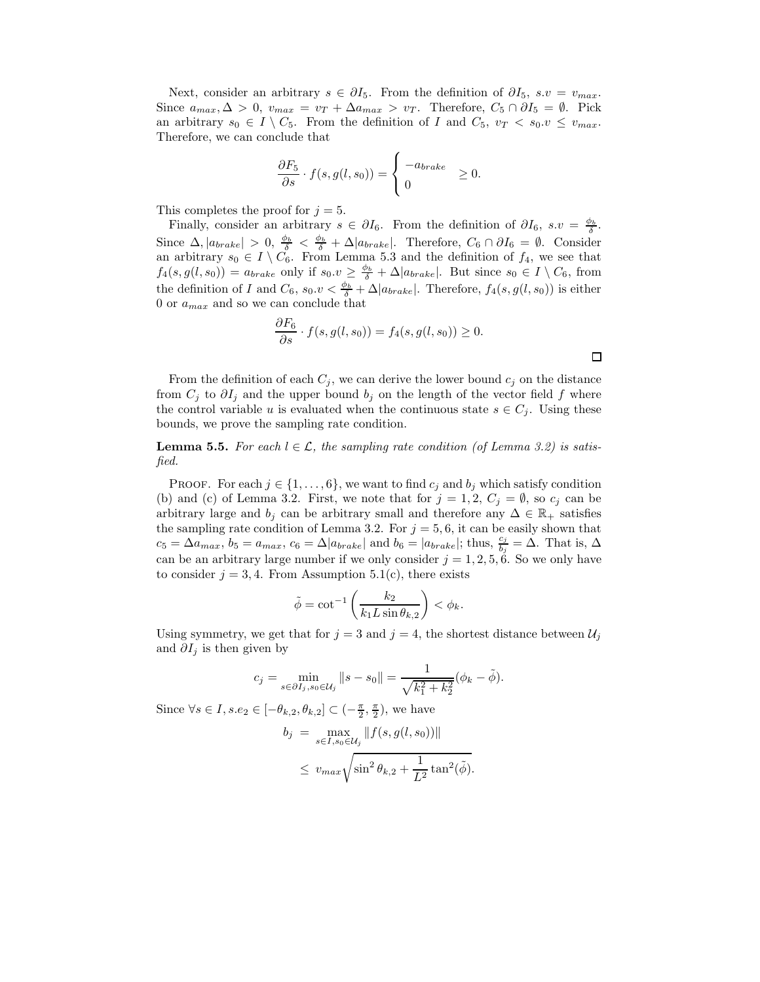Next, consider an arbitrary  $s \in \partial I_5$ . From the definition of  $\partial I_5$ ,  $s.v = v_{max}$ . Since  $a_{max}, \Delta > 0$ ,  $v_{max} = v_T + \Delta a_{max} > v_T$ . Therefore,  $C_5 \cap \partial I_5 = \emptyset$ . Pick an arbitrary  $s_0 \in I \setminus C_5$ . From the definition of I and  $C_5$ ,  $v_T < s_0 \in v_{max}$ . Therefore, we can conclude that

$$
\frac{\partial F_5}{\partial s} \cdot f(s, g(l, s_0)) = \begin{cases} -a_{brake} & \ge 0. \\ 0 & \end{cases}
$$

This completes the proof for  $j = 5$ .

Finally, consider an arbitrary  $s \in \partial I_6$ . From the definition of  $\partial I_6$ ,  $s.v = \frac{\phi_b}{\delta}$ . Since  $\Delta, |a_{brake}| > 0, \frac{\phi_b}{\delta} < \frac{\phi_b}{\delta} + \Delta |a_{brake}|$ . Therefore,  $C_6 \cap \partial I_6 = \emptyset$ . Consider an arbitrary  $s_0 \in I \setminus C_6$ . From Lemma 5.3 and the definition of  $f_4$ , we see that  $f_4(s, g(l, s_0)) = a_{brake}$  only if  $s_0 \cdot \nu \geq \frac{\phi_b}{\delta} + \Delta |a_{brake}|$ . But since  $s_0 \in I \setminus C_6$ , from the definition of I and  $C_6$ ,  $s_0 \cdot v < \frac{\phi_b}{\delta} + \Delta |a_{brake}|$ . Therefore,  $f_4(s, g(l, s_0))$  is either 0 or  $a_{max}$  and so we can conclude that

$$
\frac{\partial F_6}{\partial s} \cdot f(s, g(l, s_0)) = f_4(s, g(l, s_0)) \ge 0.
$$

From the definition of each  $C_j$ , we can derive the lower bound  $c_j$  on the distance from  $C_j$  to  $\partial I_j$  and the upper bound  $b_j$  on the length of the vector field f where the control variable u is evaluated when the continuous state  $s \in C_j$ . Using these bounds, we prove the sampling rate condition.

**Lemma 5.5.** For each  $l \in \mathcal{L}$ , the sampling rate condition (of Lemma 3.2) is satis*fied.*

PROOF. For each  $j \in \{1, \ldots, 6\}$ , we want to find  $c_j$  and  $b_j$  which satisfy condition (b) and (c) of Lemma 3.2. First, we note that for  $j = 1, 2, C_j = \emptyset$ , so  $c_j$  can be arbitrary large and  $b_j$  can be arbitrary small and therefore any  $\Delta \in \mathbb{R}_+$  satisfies the sampling rate condition of Lemma 3.2. For  $j = 5, 6$ , it can be easily shown that  $c_5 = \Delta a_{max}$ ,  $b_5 = a_{max}$ ,  $c_6 = \Delta |a_{brake}|$  and  $b_6 = |a_{brake}|$ ; thus,  $\frac{c_j}{b_j} = \Delta$ . That is,  $\Delta$ can be an arbitrary large number if we only consider  $j = 1, 2, 5, 6$ . So we only have to consider  $j = 3, 4$ . From Assumption 5.1(c), there exists

$$
\tilde{\phi} = \cot^{-1}\left(\frac{k_2}{k_1 L \sin \theta_{k,2}}\right) < \phi_k.
$$

Using symmetry, we get that for  $j = 3$  and  $j = 4$ , the shortest distance between  $\mathcal{U}_i$ and  $\partial I_j$  is then given by

$$
c_j = \min_{s \in \partial I_j, s_0 \in \mathcal{U}_j} ||s - s_0|| = \frac{1}{\sqrt{k_1^2 + k_2^2}} (\phi_k - \tilde{\phi}).
$$

Since  $\forall s \in I, s.e_2 \in [-\theta_{k,2}, \theta_{k,2}] \subset (-\frac{\pi}{2}, \frac{\pi}{2})$ , we have

$$
b_j = \max_{s \in I, s_0 \in \mathcal{U}_j} ||f(s, g(l, s_0))||
$$
  

$$
\leq v_{max} \sqrt{\sin^2 \theta_{k,2} + \frac{1}{L^2} \tan^2(\tilde{\phi})}.
$$

 $\Box$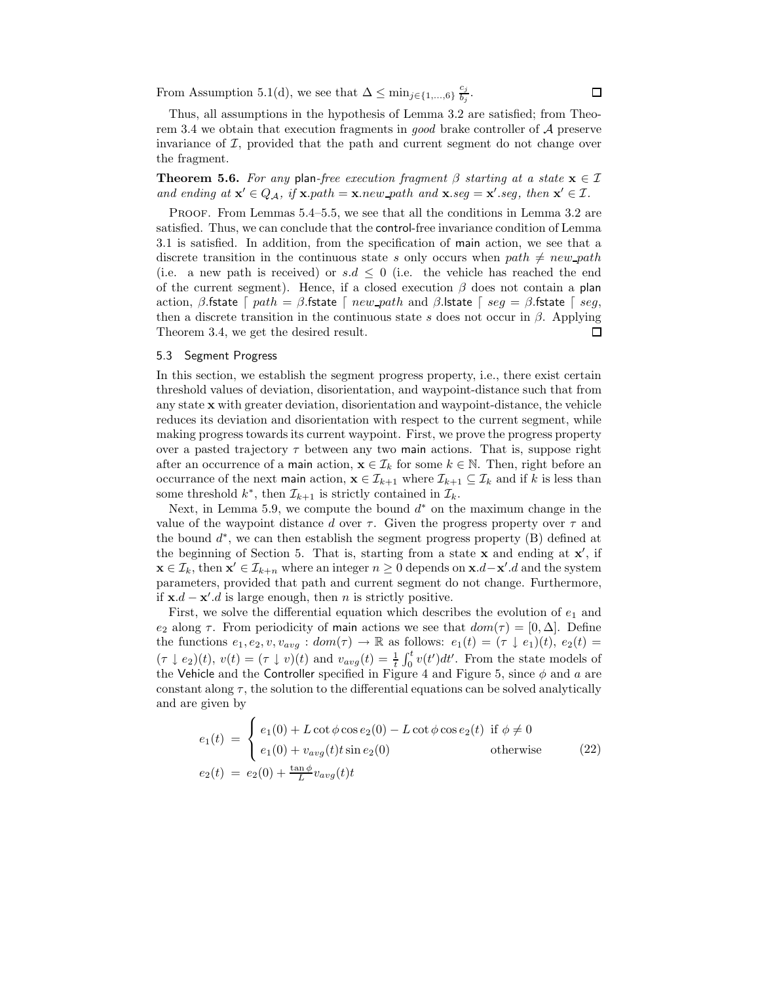From Assumption 5.1(d), we see that  $\Delta \leq \min_{j \in \{1, ..., 6\}} \frac{c_j}{b_j}$ .

Thus, all assumptions in the hypothesis of Lemma 3.2 are satisfied; from Theorem 3.4 we obtain that execution fragments in *good* brake controller of A preserve invariance of  $I$ , provided that the path and current segment do not change over the fragment.

**Theorem 5.6.** *For any* plan-free execution fragment  $\beta$  starting at a state  $\mathbf{x} \in \mathcal{I}$ *and ending at*  $\mathbf{x}' \in Q_{\mathcal{A}}$ , if  $\mathbf{x}.path = \mathbf{x}.new\_path$  and  $\mathbf{x}.seg = \mathbf{x}'.seg$ , then  $\mathbf{x}' \in \mathcal{I}$ .

PROOF. From Lemmas 5.4–5.5, we see that all the conditions in Lemma 3.2 are satisfied. Thus, we can conclude that the control-free invariance condition of Lemma 3.1 is satisfied. In addition, from the specification of main action, we see that a discrete transition in the continuous state s only occurs when  $path \neq new\_path$ (i.e. a new path is received) or  $s.d \leq 0$  (i.e. the vehicle has reached the end of the current segment). Hence, if a closed execution  $\beta$  does not contain a plan action, β.fstate  $\lceil path = \beta$ .fstate  $\lceil new-path \rangle$  and β.lstate  $\lceil seq = \beta$ .fstate  $\lceil seq \rceil$ then a discrete transition in the continuous state s does not occur in  $\beta$ . Applying Theorem 3.4, we get the desired result. □

# 5.3 Segment Progress

In this section, we establish the segment progress property, i.e., there exist certain threshold values of deviation, disorientation, and waypoint-distance such that from any state **x** with greater deviation, disorientation and waypoint-distance, the vehicle reduces its deviation and disorientation with respect to the current segment, while making progress towards its current waypoint. First, we prove the progress property over a pasted trajectory  $\tau$  between any two main actions. That is, suppose right after an occurrence of a main action,  $\mathbf{x} \in \mathcal{I}_k$  for some  $k \in \mathbb{N}$ . Then, right before an occurrance of the next main action,  $\mathbf{x} \in \mathcal{I}_{k+1}$  where  $\mathcal{I}_{k+1} \subseteq \mathcal{I}_k$  and if k is less than some threshold  $k^*$ , then  $\mathcal{I}_{k+1}$  is strictly contained in  $\mathcal{I}_k$ .

Next, in Lemma 5.9, we compute the bound  $d^*$  on the maximum change in the value of the waypoint distance d over  $\tau$ . Given the progress property over  $\tau$  and the bound  $d^*$ , we can then establish the segment progress property (B) defined at the beginning of Section 5. That is, starting from a state **x** and ending at **x** , if **x** ∈  $\mathcal{I}_k$ , then **x**' ∈  $\mathcal{I}_{k+n}$  where an integer  $n \geq 0$  depends on **x**.d−**x'**.d and the system parameters, provided that path and current segment do not change. Furthermore, if  $\mathbf{x}.d - \mathbf{x}'.d$  is large enough, then n is strictly positive.

First, we solve the differential equation which describes the evolution of  $e_1$  and e<sub>2</sub> along  $\tau$ . From periodicity of main actions we see that  $dom(\tau) = [0, \Delta]$ . Define the functions  $e_1, e_2, v, v_{avg} : dom(\tau) \to \mathbb{R}$  as follows:  $e_1(t)=(\tau \downarrow e_1)(t), e_2(t) =$  $(\tau \downarrow e_2)(t), v(t) = (\tau \downarrow v)(t)$  and  $v_{avg}(t) = \frac{1}{t} \int_0^t v(t')dt'$ . From the state models of the Vehicle and the Controller specified in Figure 4 and Figure 5, since  $\phi$  and a are constant along  $\tau$ , the solution to the differential equations can be solved analytically and are given by

$$
e_1(t) = \begin{cases} e_1(0) + L \cot \phi \cos e_2(0) - L \cot \phi \cos e_2(t) & \text{if } \phi \neq 0\\ e_1(0) + v_{avg}(t)t \sin e_2(0) & \text{otherwise} \end{cases}
$$
(22)  

$$
e_2(t) = e_2(0) + \frac{\tan \phi}{L} v_{avg}(t)t
$$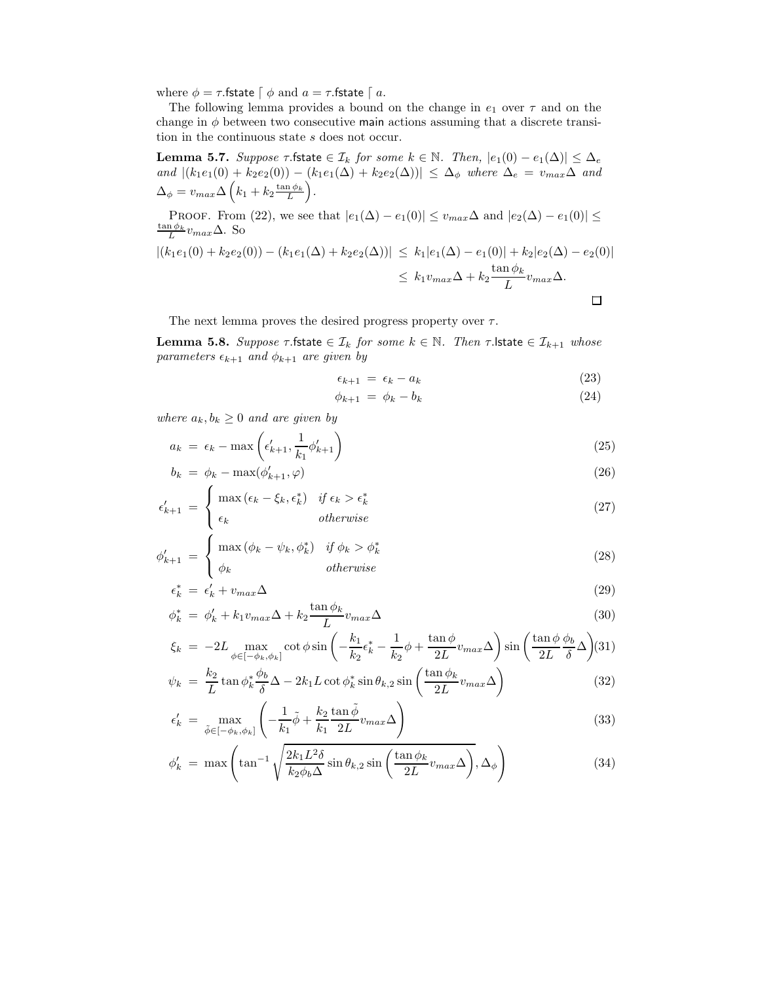where  $\phi = \tau$ . fstate  $\int \phi$  and  $a = \tau$ . fstate  $\int a$ .

The following lemma provides a bound on the change in  $e_1$  over  $\tau$  and on the change in  $\phi$  between two consecutive main actions assuming that a discrete transition in the continuous state s does not occur.

**Lemma 5.7.** *Suppose*  $\tau$  *f*state  $\in \mathcal{I}_k$  *for some*  $k \in \mathbb{N}$ *. Then,*  $|e_1(0) - e_1(\Delta)| \leq \Delta_e$  $and |(k_1e_1(0) + k_2e_2(0)) - (k_1e_1(\Delta) + k_2e_2(\Delta))| \leq \Delta_{\phi}$  where  $\Delta_e = v_{max}\Delta$  and  $\Delta_{\phi} = v_{max} \Delta \left( k_1 + k_2 \frac{\tan \phi_k}{L} \right)$ .

PROOF. From (22), we see that  $|e_1(\Delta) - e_1(0)| \le v_{max}\Delta$  and  $|e_2(\Delta) - e_1(0)| \le$  $\frac{\tan \phi_k}{L} v_{max} \Delta$ . So

$$
|(k_1e_1(0) + k_2e_2(0)) - (k_1e_1(\Delta) + k_2e_2(\Delta))| \le k_1|e_1(\Delta) - e_1(0)| + k_2|e_2(\Delta) - e_2(0)|
$$
  

$$
\le k_1v_{max}\Delta + k_2\frac{\tan\phi_k}{L}v_{max}\Delta.
$$

The next lemma proves the desired progress property over  $\tau$ .

**Lemma 5.8.** *Suppose*  $\tau$ *fstate*  $\in \mathcal{I}_k$  *for some*  $k \in \mathbb{N}$ *. Then*  $\tau$ *. Istate*  $\in \mathcal{I}_{k+1}$  *whose parameters*  $\epsilon_{k+1}$  *and*  $\phi_{k+1}$  *are given by* 

$$
\epsilon_{k+1} = \epsilon_k - a_k \tag{23}
$$

$$
\phi_{k+1} = \phi_k - b_k \tag{24}
$$

*where*  $a_k, b_k \geq 0$  *and are given by* 

$$
a_k = \epsilon_k - \max\left(\epsilon'_{k+1}, \frac{1}{k_1}\phi'_{k+1}\right) \tag{25}
$$

$$
b_k = \phi_k - \max(\phi'_{k+1}, \varphi) \tag{26}
$$

$$
\epsilon'_{k+1} = \begin{cases} \max(\epsilon_k - \xi_k, \epsilon_k^*) & \text{if } \epsilon_k > \epsilon_k^* \\ \epsilon_k & \text{otherwise} \end{cases} \tag{27}
$$

$$
\phi'_{k+1} = \begin{cases} \max (\phi_k - \psi_k, \phi_k^*) & \text{if } \phi_k > \phi_k^* \\ \phi_k & \text{otherwise} \end{cases}
$$
 (28)

$$
\epsilon_k^* = \epsilon_k' + v_{max} \Delta \tag{29}
$$

$$
\phi_k^* = \phi_k' + k_1 v_{max} \Delta + k_2 \frac{\tan \phi_k}{L} v_{max} \Delta \tag{30}
$$

$$
\xi_k = -2L \max_{\phi \in [-\phi_k, \phi_k]} \cot \phi \sin \left( -\frac{k_1}{k_2} \epsilon_k^* - \frac{1}{k_2} \phi + \frac{\tan \phi}{2L} v_{max} \Delta \right) \sin \left( \frac{\tan \phi}{2L} \frac{\phi_b}{\delta} \Delta \right) (31)
$$
  

$$
k_2 \qquad \phi_b \qquad ( \tan \phi_b
$$

$$
\psi_k = \frac{k_2}{L} \tan \phi_k^* \frac{\phi_b}{\delta} \Delta - 2k_1 L \cot \phi_k^* \sin \theta_{k,2} \sin \left( \frac{\tan \phi_k}{2L} v_{max} \Delta \right)
$$
(32)

$$
\epsilon'_{k} = \max_{\tilde{\phi} \in [-\phi_{k}, \phi_{k}]} \left( -\frac{1}{k_{1}} \tilde{\phi} + \frac{k_{2}}{k_{1}} \frac{\tan \tilde{\phi}}{2L} v_{max} \Delta \right)
$$
(33)

$$
\phi'_k = \max\left(\tan^{-1}\sqrt{\frac{2k_1L^2\delta}{k_2\phi_b\Delta}}\sin\theta_{k,2}\sin\left(\frac{\tan\phi_k}{2L}v_{max}\Delta\right), \Delta_\phi\right)
$$
(34)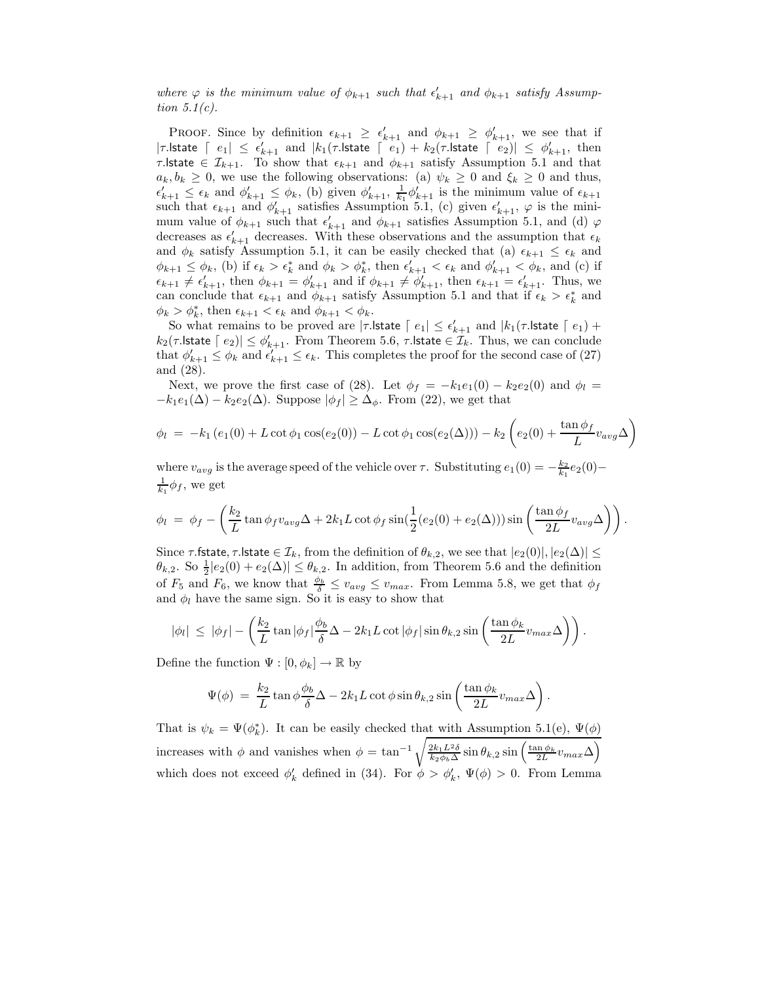where  $\varphi$  *is the minimum value of*  $\phi_{k+1}$  *such that*  $\epsilon'_{k+1}$  *and*  $\phi_{k+1}$  *satisfy Assumption 5.1(c).*

**PROOF.** Since by definition  $\epsilon_{k+1} \geq \epsilon'_{k+1}$  and  $\phi_{k+1} \geq \phi'_{k+1}$ , we see that if | $\tau$ .lstate  $\lceil e_1 \rceil \leq \epsilon'_{k+1}$  and  $|k_1(\tau)$ .lstate  $\lceil e_1 \rceil + k_2(\tau)$ .lstate  $\lceil e_2 \rceil \leq \phi'_{k+1}$ , then  $τ$ . state ∈  $\mathcal{I}_{k+1}$ . To show that  $\epsilon_{k+1}$  and  $\phi_{k+1}$  satisfy Assumption 5.1 and that  $a_k, b_k \geq 0$ , we use the following observations: (a)  $\psi_k \geq 0$  and  $\xi_k \geq 0$  and thus,  $\epsilon'_{k+1} \leq \epsilon_k$  and  $\phi'_{k+1} \leq \phi_k$ , (b) given  $\phi'_{k+1}$ ,  $\frac{1}{k_1} \phi'_{k+1}$  is the minimum value of  $\epsilon_{k+1}$ such that  $\epsilon_{k+1}$  and  $\phi'_{k+1}$  satisfies Assumption 5.1, (c) given  $\epsilon'_{k+1}$ ,  $\varphi$  is the minimum value of  $\phi_{k+1}$  such that  $\epsilon'_{k+1}$  and  $\phi_{k+1}$  satisfies Assumption 5.1, and (d)  $\varphi$ decreases as  $\epsilon'_{k+1}$  decreases. With these observations and the assumption that  $\epsilon_k$ and  $\phi_k$  satisfy Assumption 5.1, it can be easily checked that (a)  $\epsilon_{k+1} \leq \epsilon_k$  and  $\phi_{k+1} \leq \phi_k$ , (b) if  $\epsilon_k > \epsilon_k^*$  and  $\phi_k > \phi_k^*$ , then  $\epsilon'_{k+1} < \epsilon_k$  and  $\phi'_{k+1} < \phi_k$ , and (c) if  $\epsilon_{k+1} \neq \epsilon'_{k+1}$ , then  $\phi_{k+1} = \phi'_{k+1}$  and if  $\phi_{k+1} \neq \phi'_{k+1}$ , then  $\epsilon_{k+1} = \epsilon'_{k+1}$ . Thus, we can conclude that  $\epsilon_{k+1}$  and  $\phi_{k+1}$  satisfy Assumption 5.1 and that if  $\epsilon_k > \epsilon_k^*$  and  $\phi_k > \phi_k^*$ , then  $\epsilon_{k+1} < \epsilon_k$  and  $\phi_{k+1} < \phi_k$ .

So what remains to be proved are  $|\tau\mathsf{.lstate} \space \lceil \: e_1 \rceil \leq \epsilon'_{k+1}$  and  $|k_1(\tau\mathsf{.lstate} \space \lceil \: e_1 \rceil + \epsilon'_k)$  $k_2(\tau.\mathsf{Istate} \mid e_2)| \leq \phi_{k+1}'$ . From Theorem 5.6,  $\tau.\mathsf{Istate} \in \mathcal{I}_k$ . Thus, we can conclude that  $\phi'_{k+1} \leq \phi_k$  and  $\epsilon'_{k+1} \leq \epsilon_k$ . This completes the proof for the second case of (27) and (28).

Next, we prove the first case of (28). Let  $\phi_f = -k_1e_1(0) - k_2e_2(0)$  and  $\phi_l =$  $-k_1e_1(\Delta)-k_2e_2(\Delta)$ . Suppose  $|\phi_f|\geq \Delta_{\phi}$ . From (22), we get that

$$
\phi_l = -k_1 (e_1(0) + L \cot \phi_1 \cos(e_2(0)) - L \cot \phi_1 \cos(e_2(\Delta))) - k_2 \left( e_2(0) + \frac{\tan \phi_f}{L} v_{avg} \Delta \right)
$$

where  $v_{avg}$  is the average speed of the vehicle over  $\tau$ . Substituting  $e_1(0) = -\frac{k_2}{k_1}e_2(0) - \frac{1}{k_2}e_3$  we get  $\frac{1}{k_1} \phi_f$ , we get

$$
\phi_l = \phi_f - \left(\frac{k_2}{L} \tan \phi_f v_{avg} \Delta + 2k_1 L \cot \phi_f \sin(\frac{1}{2}(e_2(0) + e_2(\Delta))) \sin \left(\frac{\tan \phi_f}{2L} v_{avg} \Delta\right)\right).
$$

Since  $\tau$  fstate,  $\tau$  lstate  $\in \mathcal{I}_k$ , from the definition of  $\theta_{k,2}$ , we see that  $|e_2(0)|, |e_2(\Delta)| \leq$  $\theta_{k,2}$ . So  $\frac{1}{2}|e_2(0) + e_2(\Delta)| \leq \theta_{k,2}$ . In addition, from Theorem 5.6 and the definition of  $F_5$  and  $F_6$ , we know that  $\frac{\phi_b}{\delta} \leq v_{avg} \leq v_{max}$ . From Lemma 5.8, we get that  $\phi_f$ and  $\phi_l$  have the same sign. So it is easy to show that

$$
|\phi_l| \leq |\phi_f| - \left(\frac{k_2}{L} \tan |\phi_f| \frac{\phi_b}{\delta} \Delta - 2k_1 L \cot |\phi_f| \sin \theta_{k,2} \sin \left(\frac{\tan \phi_k}{2L} v_{max} \Delta\right)\right).
$$

Define the function  $\Psi : [0, \phi_k] \to \mathbb{R}$  by

$$
\Psi(\phi) = \frac{k_2}{L} \tan \phi \frac{\phi_b}{\delta} \Delta - 2k_1 L \cot \phi \sin \theta_{k,2} \sin \left( \frac{\tan \phi_k}{2L} v_{max} \Delta \right).
$$

That is  $\psi_k = \Psi(\phi_k^*)$ . It can be easily checked that with Assumption 5.1(e),  $\Psi(\phi)$ increases with  $\phi$  and vanishes when  $\phi = \tan^{-1} \sqrt{\frac{2k_1L^2\delta}{k_2\phi_b\Delta}} \sin \theta_{k,2} \sin \left(\frac{\tan \phi_k}{2L} v_{max} \Delta\right)$ which does not exceed  $\phi'_k$  defined in (34). For  $\phi > \phi'_k$ ,  $\Psi(\phi) > 0$ . From Lemma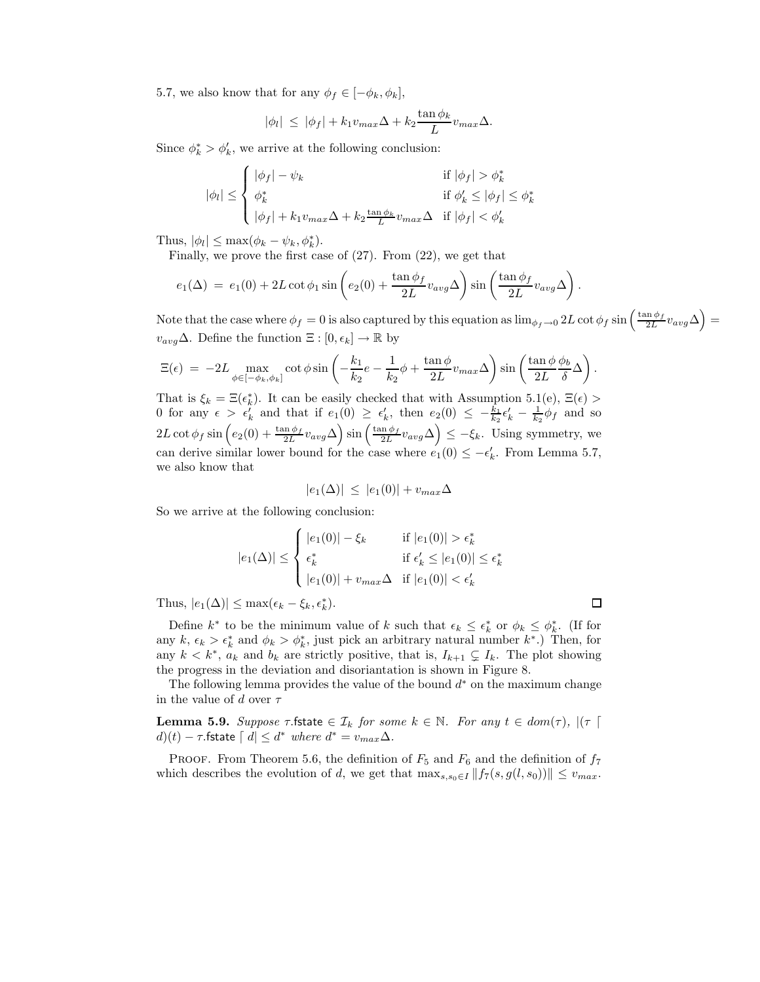5.7, we also know that for any  $\phi_f \in [-\phi_k, \phi_k]$ ,

$$
|\phi_l| \leq |\phi_f| + k_1 v_{max} \Delta + k_2 \frac{\tan \phi_k}{L} v_{max} \Delta.
$$

Since  $\phi_k^* > \phi_k'$ , we arrive at the following conclusion:

$$
|\phi_l| \leq \begin{cases} |\phi_f| - \psi_k & \text{if } |\phi_f| > \phi_k^* \\ \phi_k^* & \text{if } \phi_k' \leq |\phi_f| \leq \phi_k^* \\ |\phi_f| + k_1 v_{max} \Delta + k_2 \frac{\tan \phi_k}{L} v_{max} \Delta & \text{if } |\phi_f| < \phi_k' \end{cases}
$$

Thus,  $|\phi_l| \leq \max(\phi_k - \psi_k, \phi_k^*).$ 

Finally, we prove the first case of (27). From (22), we get that

$$
e_1(\Delta) = e_1(0) + 2L \cot \phi_1 \sin \left( e_2(0) + \frac{\tan \phi_f}{2L} v_{avg} \Delta \right) \sin \left( \frac{\tan \phi_f}{2L} v_{avg} \Delta \right).
$$

Note that the case where  $\phi_f = 0$  is also captured by this equation as  $\lim_{\phi_f \to 0} 2L \cot \phi_f \sin \left( \frac{\tan \phi_f}{2L} v_{avg} \Delta \right) =$  $v_{avg} \Delta$ . Define the function  $\Xi : [0, \epsilon_k] \rightarrow \mathbb{R}$  by

$$
\Xi(\epsilon) = -2L \max_{\phi \in [-\phi_k, \phi_k]} \cot \phi \sin \left( -\frac{k_1}{k_2} e - \frac{1}{k_2} \phi + \frac{\tan \phi}{2L} v_{max} \Delta \right) \sin \left( \frac{\tan \phi \phi_b}{2L} \Delta \right).
$$

That is  $\xi_k = \Xi(\epsilon_k^*)$ . It can be easily checked that with Assumption 5.1(e),  $\Xi(\epsilon)$  > 0 for any  $\epsilon > \epsilon'_k$  and that if  $e_1(0) \geq \epsilon'_k$ , then  $e_2(0) \leq -\frac{k_1}{k_2}\epsilon'_k - \frac{1}{k_2}\phi_f$  and so  $2L \cot \phi_f \sin \left( e_2(0) + \frac{\tan \phi_f}{2L} v_{avg} \Delta \right) \sin \left( \frac{\tan \phi_f}{2L} v_{avg} \Delta \right) \leq -\xi_k$ . Using symmetry, we can derive similar lower bound for the case where  $e_1(0) \le -\epsilon'_k$ . From Lemma 5.7, we also know that

$$
|e_1(\Delta)| \leq |e_1(0)| + v_{max}\Delta
$$

So we arrive at the following conclusion:

$$
|e_1(\Delta)| \leq \begin{cases} |e_1(0)| - \xi_k & \text{if } |e_1(0)| > \epsilon_k^* \\ \epsilon_k^* & \text{if } \epsilon_k' \leq |e_1(0)| \leq \epsilon_k^* \\ |e_1(0)| + v_{max}\Delta & \text{if } |e_1(0)| < \epsilon_k' \end{cases}
$$

Thus,  $|e_1(\Delta)| \leq \max(\epsilon_k - \xi_k, \epsilon_k^*)$ .

Define  $k^*$  to be the minimum value of k such that  $\epsilon_k \leq \epsilon_k^*$  or  $\phi_k \leq \phi_k^*$ . (If for any  $k, \epsilon_k > \epsilon_k^*$  and  $\phi_k > \phi_k^*$ , just pick an arbitrary natural number  $k^*$ .) Then, for any  $k < k^*$ ,  $a_k$  and  $b_k$  are strictly positive, that is,  $I_{k+1} \subsetneq I_k$ . The plot showing the progress in the deviation and disoriantation is shown in Figure 8.

The following lemma provides the value of the bound  $d^*$  on the maximum change in the value of d over  $\tau$ 

**Lemma 5.9.** *Suppose*  $\tau$  *f*state  $\in \mathcal{I}_k$  *for some*  $k \in \mathbb{N}$ *. For any*  $t \in dom(\tau)$ *,*  $|(\tau |$  $d(t) - \tau$ . fstate  $\lceil d \rceil \leq d^*$  *where*  $d^* = v_{max} \Delta$ .

PROOF. From Theorem 5.6, the definition of  $F_5$  and  $F_6$  and the definition of  $f_7$ which describes the evolution of d, we get that  $\max_{s,s_0\in I} ||f_7(s,g(l,s_0))|| \leq v_{max}$ .

 $\Box$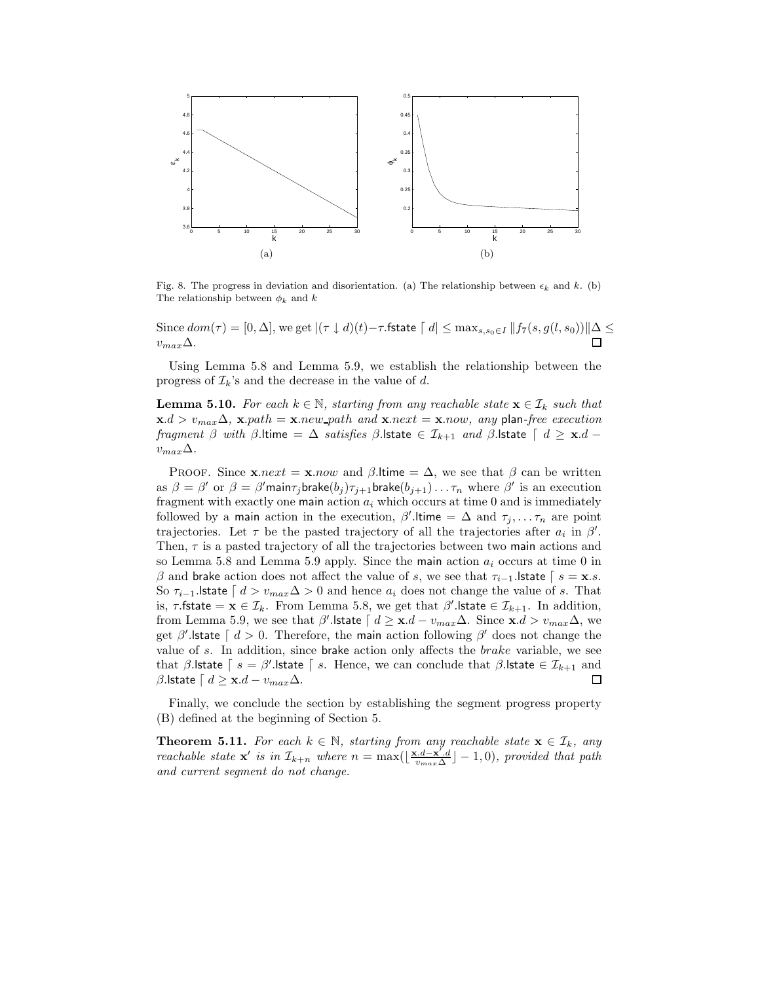

Fig. 8. The progress in deviation and disorientation. (a) The relationship between  $\epsilon_k$  and k. (b)<br>The relationship between  $\phi_1$  and k The relationship between  $\phi_k$  and k

Since  $dom(\tau) = [0, \Delta]$ , we get  $|(\tau \downarrow d)(t) - \tau$ .fstate  $\lceil d \rceil \leq \max_{s, s_0 \in I} ||f_7(s, g(l, s_0))|| \Delta \leq$  $\Box$  $v_{max}\Delta$ .

Using Lemma 5.8 and Lemma 5.9, we establish the relationship between the progress of  $\mathcal{I}_k$ 's and the decrease in the value of d.

**Lemma 5.10.** *For each*  $k \in \mathbb{N}$ , *starting from any reachable state*  $\mathbf{x} \in \mathcal{I}_k$  *such that*  $\mathbf{x}.d > v_{max}\Delta$ ,  $\mathbf{x}.path = \mathbf{x}.new\_path$  and  $\mathbf{x}.next = \mathbf{x}.now$ , any plan-free execution *fragment*  $\beta$  *with*  $\beta$ .ltime =  $\Delta$  *satisfies*  $\beta$ .lstate  $\in \mathcal{I}_{k+1}$  *and*  $\beta$ .lstate  $\lceil d \geq \mathbf{x}.d$  $v_{max}\Delta$ *.* 

**PROOF.** Since  $\mathbf{x}.next = \mathbf{x}.now$  and  $\beta$ . Itime =  $\Delta$ , we see that  $\beta$  can be written as  $\beta = \beta'$  or  $\beta = \beta'$  main $\tau_j$ brake $(b_j) \tau_{j+1}$ brake $(b_{j+1}) \dots \tau_n$  where  $\beta'$  is an execution fragment with exactly one main action  $a_i$  which occurs at time 0 and is immediately followed by a main action in the execution,  $\beta'$ . Itime =  $\Delta$  and  $\tau_j, \ldots, \tau_n$  are point trajectories. Let  $\tau$  be the pasted trajectory of all the trajectories after  $a_i$  in  $\beta'$ . Then,  $\tau$  is a pasted trajectory of all the trajectories between two main actions and so Lemma 5.8 and Lemma 5.9 apply. Since the main action  $a_i$  occurs at time 0 in β and brake action does not affect the value of s, we see that  $\tau_{i-1}$ . Istate  $\lceil s = \mathbf{x}.s$ . So  $\tau_{i-1}$ . Istate  $\lceil d \rceil_{max} \Delta > 0$  and hence  $a_i$  does not change the value of s. That is,  $\tau$ .fstate =  $\mathbf{x} \in \mathcal{I}_k$ . From Lemma 5.8, we get that  $\beta'$ . Istate  $\in \mathcal{I}_{k+1}$ . In addition, from Lemma 5.9, we see that  $\beta'$  **state**  $\lceil d \geq \mathbf{x}.d - v_{max}\Delta$ . Since  $\mathbf{x}.d > v_{max}\Delta$ , we get  $\beta'$ . Istate  $\lceil d > 0$ . Therefore, the main action following  $\beta'$  does not change the value of s. In addition, since brake action only affects the brake variable, we see that  $\beta$ .lstate  $\lceil s = \beta'$ .lstate  $\lceil s$ . Hence, we can conclude that  $\beta$ .lstate  $\in \mathcal{I}_{k+1}$  and β.lstate  $\lceil d \geq \mathbf{x}.d - v_{max} \Delta$ . 口

Finally, we conclude the section by establishing the segment progress property (B) defined at the beginning of Section 5.

**Theorem 5.11.** For each  $k \in \mathbb{N}$ , starting from any reachable state  $\mathbf{x} \in \mathcal{I}_k$ , any *reachable state* **x** *is in*  $\mathcal{I}_{k+n}$  *where*  $n = \max(\lfloor \frac{\mathbf{x} \cdot d - \mathbf{x'} \cdot d}{v_{max} \Delta} \rfloor - 1, 0)$ *, provided that path and current segment do not change.*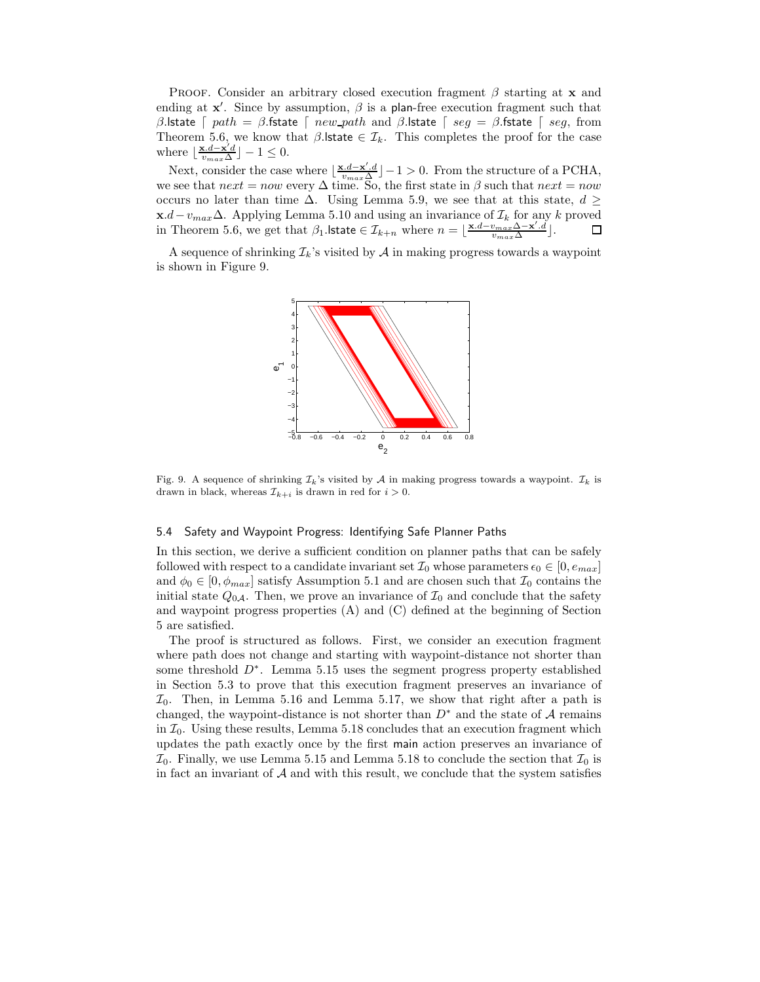Proof. Consider an arbitrary closed execution fragment β starting at **x** and ending at  $x'$ . Since by assumption,  $\beta$  is a plan-free execution fragment such that β.lstate  $\lceil$  path = β.fstate  $\lceil$  new path and β.lstate  $\lceil$  seg = β.fstate  $\lceil$  seg, from Theorem 5.6, we know that  $\beta$ . Istate  $\in \mathcal{I}_k$ . This completes the proof for the case where  $\lfloor \frac{\mathbf{x}.d - \mathbf{x}'d}{v_{max}\Delta} \rfloor - 1 \leq 0$ .

Next, consider the case where  $\lfloor \frac{\mathbf{x}.d-\mathbf{x}'.d}{v_{max}\Delta} \rfloor - 1 > 0$ . From the structure of a PCHA, we see that  $next = now$  every  $\Delta$  time. So, the first state in  $\beta$  such that  $next = now$ occurs no later than time  $\Delta$ . Using Lemma 5.9, we see that at this state,  $d \geq$ **x**.d−v<sub>max</sub>∆. Applying Lemma 5.10 and using an invariance of  $\mathcal{I}_k$  for any k proved in Theorem 5.6, we get that  $\beta_1$ . **lstate** ∈  $\mathcal{I}_{k+n}$  where  $n = \lfloor \frac{\mathbf{x}.d - v_{max}\Delta - \mathbf{x}'.d}{v_{max}\Delta} \rfloor$ . ◻

A sequence of shrinking  $\mathcal{I}_k$ 's visited by  $\mathcal A$  in making progress towards a waypoint is shown in Figure 9.



Fig. 9. A sequence of shrinking  $\mathcal{I}_k$ 's visited by A in making progress towards a waypoint.  $\mathcal{I}_k$  is drawn in black, whereas  $\mathcal{I}_{k+i}$  is drawn in red for  $i > 0$ .

#### 5.4 Safety and Waypoint Progress: Identifying Safe Planner Paths

In this section, we derive a sufficient condition on planner paths that can be safely followed with respect to a candidate invariant set  $\mathcal{I}_0$  whose parameters  $\epsilon_0 \in [0, e_{max}]$ and  $\phi_0 \in [0, \phi_{max}]$  satisfy Assumption 5.1 and are chosen such that  $\mathcal{I}_0$  contains the initial state  $Q_{0}$ . Then, we prove an invariance of  $\mathcal{I}_0$  and conclude that the safety and waypoint progress properties (A) and (C) defined at the beginning of Section 5 are satisfied.

The proof is structured as follows. First, we consider an execution fragment where path does not change and starting with waypoint-distance not shorter than some threshold  $D^*$ . Lemma 5.15 uses the segment progress property established in Section 5.3 to prove that this execution fragment preserves an invariance of  $\mathcal{I}_0$ . Then, in Lemma 5.16 and Lemma 5.17, we show that right after a path is changed, the waypoint-distance is not shorter than  $D^*$  and the state of A remains in  $\mathcal{I}_0$ . Using these results, Lemma 5.18 concludes that an execution fragment which updates the path exactly once by the first main action preserves an invariance of  $\mathcal{I}_0$ . Finally, we use Lemma 5.15 and Lemma 5.18 to conclude the section that  $\mathcal{I}_0$  is in fact an invariant of  $A$  and with this result, we conclude that the system satisfies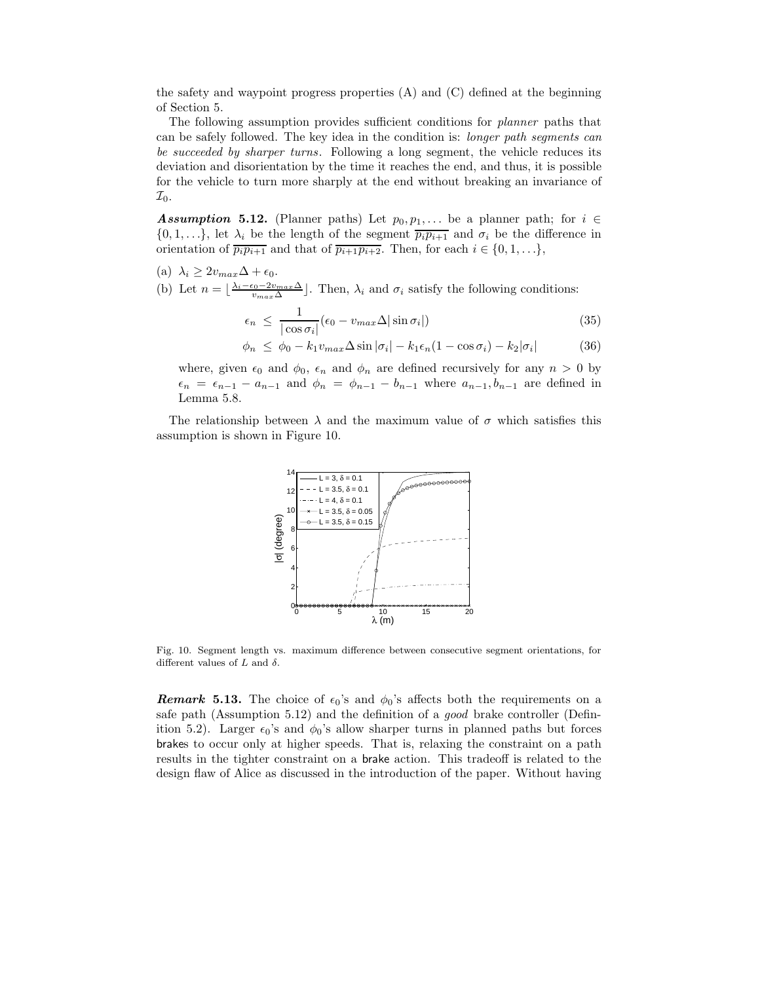the safety and waypoint progress properties (A) and (C) defined at the beginning of Section 5.

The following assumption provides sufficient conditions for *planner* paths that can be safely followed. The key idea in the condition is: *longer path segments can be succeeded by sharper turns*. Following a long segment, the vehicle reduces its deviation and disorientation by the time it reaches the end, and thus, it is possible for the vehicle to turn more sharply at the end without breaking an invariance of  $\mathcal{I}_0$ .

*Assumption* **5.12.** (Planner paths) Let  $p_0, p_1, \ldots$  be a planner path; for  $i \in$  $\{0, 1, \ldots\}$ , let  $\lambda_i$  be the length of the segment  $\overline{p_i p_{i+1}}$  and  $\sigma_i$  be the difference in orientation of  $\overline{p_i p_{i+1}}$  and that of  $\overline{p_{i+1} p_{i+2}}$ . Then, for each  $i \in \{0, 1, ...\}$ ,

(a)  $\lambda_i \geq 2v_{max}\Delta + \epsilon_0$ .

(b) Let  $n = \lfloor \frac{\lambda_i - \epsilon_0 - 2v_{max}\Delta}{v_{max}\Delta} \rfloor$ . Then,  $\lambda_i$  and  $\sigma_i$  satisfy the following conditions:

$$
\epsilon_n \le \frac{1}{|\cos \sigma_i|} (\epsilon_0 - v_{max} \Delta |\sin \sigma_i|)
$$
\n(35)

$$
\phi_n \le \phi_0 - k_1 v_{max} \Delta \sin |\sigma_i| - k_1 \epsilon_n (1 - \cos \sigma_i) - k_2 |\sigma_i| \tag{36}
$$

where, given  $\epsilon_0$  and  $\phi_0$ ,  $\epsilon_n$  and  $\phi_n$  are defined recursively for any  $n > 0$  by  $\epsilon_n = \epsilon_{n-1} - a_{n-1}$  and  $\phi_n = \phi_{n-1} - b_{n-1}$  where  $a_{n-1}, b_{n-1}$  are defined in Lemma 5.8.

The relationship between  $\lambda$  and the maximum value of  $\sigma$  which satisfies this assumption is shown in Figure 10.



Fig. 10. Segment length vs. maximum difference between consecutive segment orientations, for different values of  $L$  and  $\delta.$ 

*Remark* **5.13.** The choice of  $\epsilon_0$ 's and  $\phi_0$ 's affects both the requirements on a safe path (Assumption 5.12) and the definition of a *good* brake controller (Definition 5.2). Larger  $\epsilon_0$ 's and  $\phi_0$ 's allow sharper turns in planned paths but forces brakes to occur only at higher speeds. That is, relaxing the constraint on a path results in the tighter constraint on a brake action. This tradeoff is related to the design flaw of Alice as discussed in the introduction of the paper. Without having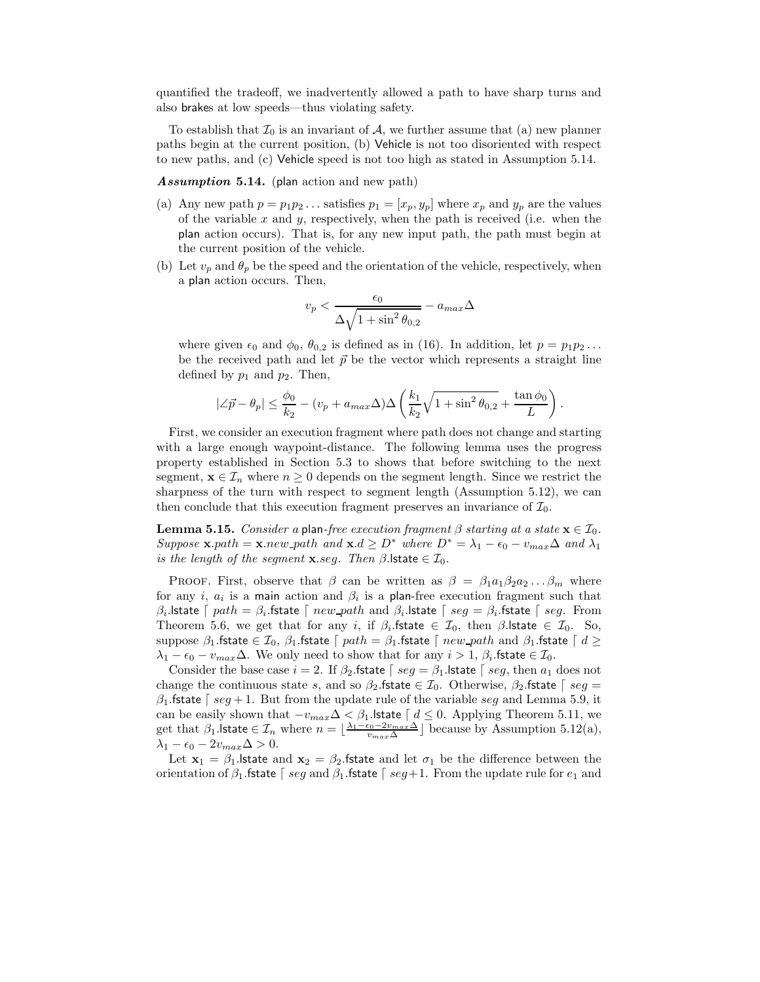quantified the tradeoff, we inadvertently allowed a path to have sharp turns and also brakes at low speeds—thus violating safety.

To establish that  $\mathcal{I}_0$  is an invariant of  $\mathcal{A}$ , we further assume that (a) new planner paths begin at the current position, (b) Vehicle is not too disoriented with respect to new paths, and (c) Vehicle speed is not too high as stated in Assumption 5.14.

*Assumption* **5.14.** (plan action and new path)

- (a) Any new path  $p = p_1p_2 \ldots$  satisfies  $p_1 = [x_p, y_p]$  where  $x_p$  and  $y_p$  are the values of the variable  $x$  and  $y$ , respectively, when the path is received (i.e. when the plan action occurs). That is, for any new input path, the path must begin at the current position of the vehicle.
- (b) Let  $v_p$  and  $\theta_p$  be the speed and the orientation of the vehicle, respectively, when a plan action occurs. Then,

$$
v_p < \frac{\epsilon_0}{\Delta \sqrt{1 + \sin^2 \theta_{0,2}}} - a_{max} \Delta
$$

where given  $\epsilon_0$  and  $\phi_0$ ,  $\theta_{0,2}$  is defined as in (16). In addition, let  $p = p_1p_2 \ldots$ be the received path and let  $\vec{p}$  be the vector which represents a straight line defined by  $p_1$  and  $p_2$ . Then,

$$
|\angle \vec{p} - \theta_p| \le \frac{\phi_0}{k_2} - (v_p + a_{max}\Delta)\Delta\left(\frac{k_1}{k_2}\sqrt{1 + \sin^2\theta_{0,2}} + \frac{\tan\phi_0}{L}\right).
$$

First, we consider an execution fragment where path does not change and starting with a large enough waypoint-distance. The following lemma uses the progress property established in Section 5.3 to shows that before switching to the next segment,  $\mathbf{x} \in \mathcal{I}_n$  where  $n \geq 0$  depends on the segment length. Since we restrict the sharpness of the turn with respect to segment length (Assumption 5.12), we can then conclude that this execution fragment preserves an invariance of  $\mathcal{I}_0$ .

**Lemma 5.15.** *Consider a* plan-free execution fragment  $\beta$  starting at a state  $\mathbf{x} \in \mathcal{I}_0$ . *Suppose* **x**.path = **x**.new path and **x**.d  $\geq D^*$  where  $D^* = \lambda_1 - \epsilon_0 - v_{max}\Delta$  and  $\lambda_1$ *is the length of the segment* **x***.seg. Then*  $\beta$ **.***lstate*  $\in \mathcal{I}_0$ *.* 

PROOF. First, observe that  $\beta$  can be written as  $\beta = \beta_1 a_1 \beta_2 a_2 \dots \beta_m$  where for any i,  $a_i$  is a main action and  $\beta_i$  is a plan-free execution fragment such that β<sub>i</sub>.lstate  $\lceil$  path = β<sub>i</sub>.fstate  $\lceil$  new path and β<sub>i</sub>.lstate  $\lceil$  seg = β<sub>i</sub>.fstate  $\lceil$  seg. From Theorem 5.6, we get that for any i, if  $\beta_i$ . fstate  $\in \mathcal{I}_0$ , then  $\beta$ . lstate  $\in \mathcal{I}_0$ . So, suppose  $\beta_1$  fstate  $\in \mathcal{I}_0$ ,  $\beta_1$  fstate  $\lceil \; path = \beta_1$  fstate  $\lceil \; new\!path \; and \; \beta_1$  fstate  $\lceil \; d \geq 1$  $\lambda_1 - \epsilon_0 - v_{max} \Delta$ . We only need to show that for any  $i > 1$ ,  $\beta_i$  fstate  $\in \mathcal{I}_0$ .

Consider the base case  $i = 2$ . If  $\beta_2$  fstate  $\beta_3$  seg =  $\beta_1$  state  $\beta_3$  seg, then  $a_1$  does not change the continuous state s, and so  $\beta_2$  fistate  $\in \mathcal{I}_0$ . Otherwise,  $\beta_2$  fistate  $\lceil \text{seg} = \rceil$  $\beta_1$  fistate  $\lceil \text{seg} + 1 \rceil$ . But from the update rule of the variable seg and Lemma 5.9, it can be easily shown that  $-v_{max} \Delta < \beta_1$ . Istate  $\lceil d \leq 0$ . Applying Theorem 5.11, we get that  $\beta_1$ .**Istate**  $\in \mathcal{I}_n$  where  $n = \lfloor \frac{\lambda_1 - \epsilon_0 - 2v_{max} \Delta}{v_{max} \Delta} \rfloor$  because by Assumption 5.12(a),  $\lambda_1 - \epsilon_0 - 2v_{max}\Delta > 0.$ 

Let  $\mathbf{x}_1 = \beta_1$  Istate and  $\mathbf{x}_2 = \beta_2$  fistate and let  $\sigma_1$  be the difference between the orientation of  $\beta_1$  fstate  $\lceil \text{seg and } \beta_1 \text{ fstate} \rceil$  seg + 1. From the update rule for  $e_1$  and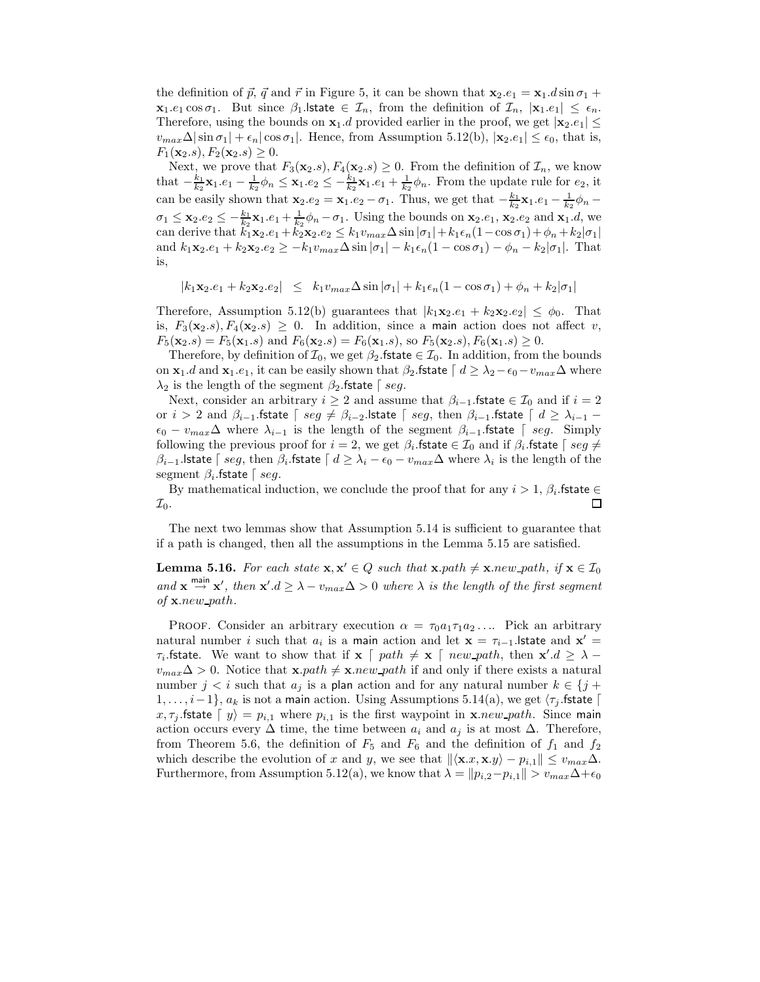the definition of  $\vec{p}$ ,  $\vec{q}$  and  $\vec{r}$  in Figure 5, it can be shown that  $\mathbf{x}_2.e_1 = \mathbf{x}_1.d \sin \sigma_1 +$ **x**<sub>1</sub>.e<sub>1</sub> cos  $\sigma_1$ . But since  $\beta_1$  **state**  $\in \mathcal{I}_n$ , from the definition of  $\mathcal{I}_n$ ,  $|\mathbf{x}_1 e_1| \leq \epsilon_n$ . Therefore, using the bounds on  $\mathbf{x}_1$ .d provided earlier in the proof, we get  $|\mathbf{x}_2.e_1|$   $\leq$  $v_{max}\Delta|\sin \sigma_1| + \epsilon_n |\cos \sigma_1|$ . Hence, from Assumption 5.12(b),  $|\mathbf{x}_2.e_1| \leq \epsilon_0$ , that is,  $F_1(\mathbf{x}_2.s), F_2(\mathbf{x}_2.s) \geq 0.$ 

Next, we prove that  $F_3(\mathbf{x}_2,s), F_4(\mathbf{x}_2,s) \geq 0$ . From the definition of  $\mathcal{I}_n$ , we know that  $-\frac{k_1}{k_2}\mathbf{x}_1 \cdot e_1 - \frac{1}{k_2}\phi_n \leq \mathbf{x}_1 \cdot e_2 \leq -\frac{k_1}{k_2}\mathbf{x}_1 \cdot e_1 + \frac{1}{k_2}\phi_n$ . From the update rule for  $e_2$ , it can be easily shown that  $\mathbf{x}_2.e_2 = \mathbf{x}_1.e_2 - \sigma_1$ . Thus, we get that  $-\frac{k_1}{k_2}\mathbf{x}_1.e_1 - \frac{1}{k_2}\phi_n \sigma_1 \leq \mathbf{x}_2 \cdot e_2 \leq -\frac{k_1}{k_2} \mathbf{x}_1 \cdot e_1 + \frac{1}{k_2} \phi_n - \sigma_1$ . Using the bounds on  $\mathbf{x}_2 \cdot e_1$ ,  $\mathbf{x}_2 \cdot e_2$  and  $\mathbf{x}_1 \cdot d$ , we can derive that  $k_1\mathbf{x}_2.e_1 + k_2\mathbf{x}_2.e_2 \leq k_1v_{max}\Delta\sin|\sigma_1| + k_1\epsilon_n(1-\cos\sigma_1)+\phi_n + k_2|\sigma_1|$ and  $k_1\mathbf{x}_2.e_1 + k_2\mathbf{x}_2.e_2 \geq -k_1v_{max}\Delta\sin|\sigma_1| - k_1\epsilon_n(1-\cos\sigma_1) - \phi_n - k_2|\sigma_1|$ . That is,

 $|k_1\mathbf{x}_2.e_1 + k_2\mathbf{x}_2.e_2| \leq k_1v_{max}\Delta\sin|\sigma_1| + k_1\epsilon_n(1-\cos\sigma_1) + \phi_n + k_2|\sigma_1|$ 

Therefore, Assumption 5.12(b) guarantees that  $|k_1\mathbf{x}_2.e_1 + k_2\mathbf{x}_2.e_2| \leq \phi_0$ . That is,  $F_3(\mathbf{x}_2,s), F_4(\mathbf{x}_2,s) \geq 0$ . In addition, since a main action does not affect v,  $F_5(\mathbf{x}_2.s) = F_5(\mathbf{x}_1.s)$  and  $F_6(\mathbf{x}_2.s) = F_6(\mathbf{x}_1.s)$ , so  $F_5(\mathbf{x}_2.s)$ ,  $F_6(\mathbf{x}_1.s) \ge 0$ .

Therefore, by definition of  $\mathcal{I}_0$ , we get  $\beta_2$  fistate  $\in \mathcal{I}_0$ . In addition, from the bounds on **x**<sub>1</sub>.d and **x**<sub>1</sub>.e<sub>1</sub>, it can be easily shown that  $\beta_2$  fistate  $\lceil d \geq \lambda_2 - \epsilon_0 - v_{max}\Delta$  where  $\lambda_2$  is the length of the segment  $\beta_2$  fstate  $\lceil \text{seg.} \rceil$ 

Next, consider an arbitrary  $i \geq 2$  and assume that  $\beta_{i-1}$ .fstate  $\in \mathcal{I}_0$  and if  $i = 2$ or  $i > 2$  and  $\beta_{i-1}$ . fstate  $\lceil \text{ seg } \neq \beta_{i-2}$ . lstate  $\lceil \text{ seg, then } \beta_{i-1}$ . fstate  $\lceil d \geq \lambda_{i-1} - \beta_1 \rceil$  $\epsilon_0 - v_{max}\Delta$  where  $\lambda_{i-1}$  is the length of the segment  $\beta_{i-1}$ . fitate  $\lceil \text{ seg. } \text{Simplify}$ following the previous proof for  $i = 2$ , we get  $\beta_i$ . fstate  $\in \mathcal{I}_0$  and if  $\beta_i$ . fstate  $\lceil \text{ seg } \neq \emptyset \rceil$  $\beta_{i-1}$ .lstate  $\lceil \text{ seg}, \text{ then } \beta_i$ .fstate  $\lceil d \geq \lambda_i - \epsilon_0 - v_{max}\Delta$  where  $\lambda_i$  is the length of the segment  $\beta_i$  fstate  $\lceil$  seq.

By mathematical induction, we conclude the proof that for any  $i > 1$ ,  $\beta_i$  fistate  $\in$  $\Box$  $\mathcal{I}_0$ .

The next two lemmas show that Assumption 5.14 is sufficient to guarantee that if a path is changed, then all the assumptions in the Lemma 5.15 are satisfied.

**Lemma 5.16.** *For each state*  $\mathbf{x}, \mathbf{x}' \in Q$  *such that*  $\mathbf{x}.$ *path*  $\neq$   $\mathbf{x}.$ *new* path, if  $\mathbf{x} \in \mathcal{I}_0$ and  $\mathbf{x} \stackrel{\text{main}}{\rightarrow} \mathbf{x}'$ , then  $\mathbf{x}' \cdot d \geq \lambda - v_{max} \Delta > 0$  where  $\lambda$  is the length of the first segment *of* **x**.new path*.*

PROOF. Consider an arbitrary execution  $\alpha = \tau_0 a_1 \tau_1 a_2 \ldots$  Pick an arbitrary natural number i such that  $a_i$  is a main action and let  $\mathbf{x} = \tau_{i-1}$ . Istate and  $\mathbf{x}' =$  $\tau_i$ . **fstate**. We want to show that if **x**  $\lceil \text{ path } \neq \mathbf{x} \rceil \text{ new path, then } \mathbf{x}' . d \geq \lambda$  $v_{max} \Delta > 0$ . Notice that **x**.path  $\neq$  **x**.new path if and only if there exists a natural number  $j < i$  such that  $a_j$  is a plan action and for any natural number  $k \in \{j +$  $1,\ldots,i-1\}$ ,  $a_k$  is not a main action. Using Assumptions 5.14(a), we get  $\langle \tau_j$  .fstate  $\vert$ x,  $\tau_j$  fistate  $\langle y \rangle = p_{i,1}$  where  $p_{i,1}$  is the first waypoint in **x**. *new* path. Since main action occurs every  $\Delta$  time, the time between  $a_i$  and  $a_j$  is at most  $\Delta$ . Therefore, from Theorem 5.6, the definition of  $F_5$  and  $F_6$  and the definition of  $f_1$  and  $f_2$ which describe the evolution of x and y, we see that  $\|\langle \mathbf{x}.x, \mathbf{x}.y \rangle - p_{i,1} \| \leq v_{max} \Delta$ . Furthermore, from Assumption 5.12(a), we know that  $\lambda = ||p_{i,2}-p_{i,1}|| > v_{max}\Delta + \epsilon_0$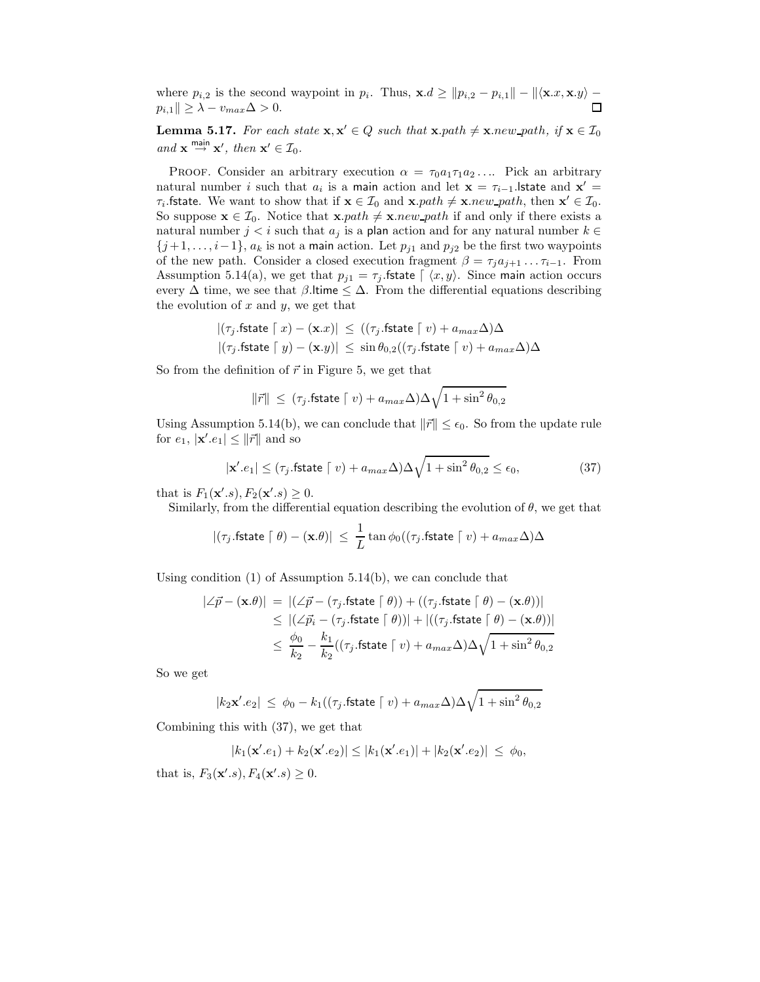where  $p_{i,2}$  is the second waypoint in  $p_i$ . Thus,  $\mathbf{x}.d \ge ||p_{i,2} - p_{i,1}|| - ||\langle \mathbf{x}.x, \mathbf{x}.y \rangle$  $p_{i,1} \| \geq \lambda - v_{max} \Delta > 0.$ П

**Lemma 5.17.** *For each state*  $\mathbf{x}, \mathbf{x}' \in Q$  *such that*  $\mathbf{x}.path \neq \mathbf{x}.new.path$ , if  $\mathbf{x} \in \mathcal{I}_0$  $and \mathbf{x} \stackrel{\text{main}}{\rightarrow} \mathbf{x}'$ , then  $\mathbf{x}' \in \mathcal{I}_0$ .

PROOF. Consider an arbitrary execution  $\alpha = \tau_0 a_1 \tau_1 a_2 \ldots$  Pick an arbitrary natural number i such that  $a_i$  is a main action and let  $\mathbf{x} = \tau_{i-1}$ . Istate and  $\mathbf{x}' =$  $\tau_i$ . **fstate.** We want to show that if  $\mathbf{x} \in \mathcal{I}_0$  and  $\mathbf{x}.path \neq \mathbf{x}.new\_path$ , then  $\mathbf{x}' \in \mathcal{I}_0$ . So suppose  $\mathbf{x} \in \mathcal{I}_0$ . Notice that  $\mathbf{x}.path \neq \mathbf{x}.new\_path$  if and only if there exists a natural number  $j < i$  such that  $a_j$  is a plan action and for any natural number  $k \in$  ${j+1,\ldots,i-1}$ ,  $a_k$  is not a main action. Let  $p_{j1}$  and  $p_{j2}$  be the first two waypoints of the new path. Consider a closed execution fragment  $\beta = \tau_i a_{i+1} \dots \tau_{i-1}$ . From Assumption 5.14(a), we get that  $p_{i1} = \tau_i$  fistate  $\int \langle x, y \rangle$ . Since main action occurs every  $\Delta$  time, we see that  $\beta$ . Itime  $\leq \Delta$ . From the differential equations describing the evolution of  $x$  and  $y$ , we get that

$$
\begin{aligned} &|(\tau_j.\mathsf{fstate} \hspace{.1cm} \lceil \hspace{.1cm} x) - (\mathbf{x}.x) | \hspace{.1cm} \le \hspace{.1cm} ((\tau_j.\mathsf{fstate} \hspace{.1cm} \lceil \hspace{.1cm} v) + a_{max}\Delta)\Delta \\ &|(\tau_j.\mathsf{fstate} \hspace{.1cm} \lceil \hspace{.1cm} y) - (\mathbf{x}.y) | \hspace{.1cm} \le \hspace{.1cm} \sin \theta_{0,2} ((\tau_j.\mathsf{fstate} \hspace{.1cm} \lceil \hspace{.1cm} v) + a_{max}\Delta)\Delta \end{aligned}
$$

So from the definition of  $\vec{r}$  in Figure 5, we get that

$$
\|\vec{r}\| \le (\tau_j.\text{fstate} \mid v) + a_{max}\Delta)\Delta\sqrt{1 + \sin^2\theta_{0,2}}
$$

Using Assumption 5.14(b), we can conclude that  $\|\vec{r}\| \leq \epsilon_0$ . So from the update rule for  $e_1$ ,  $|\mathbf{x}'\cdot e_1| \leq ||\vec{r}||$  and so

$$
|\mathbf{x}'\cdot e_1| \le (\tau_j \cdot \mathsf{fstate} \mid v) + a_{max} \Delta) \Delta \sqrt{1 + \sin^2 \theta_{0,2}} \le \epsilon_0,\tag{37}
$$

that is  $F_1(\mathbf{x}^{\prime}.s), F_2(\mathbf{x}^{\prime}.s) \geq 0.$ 

Similarly, from the differential equation describing the evolution of  $\theta$ , we get that

$$
|(\tau_j.\mathsf{fstate}\hspace{.1cm} \lceil \theta) - (\mathbf{x}.\theta)| \hspace{.1cm} \le \hspace{.1cm} \frac{1}{L} \tan{\phi_0((\tau_j.\mathsf{fstate}\hspace{.1cm} \lceil \hspace{.1cm} v) + a_{max}\Delta) \Delta}
$$

Using condition (1) of Assumption 5.14(b), we can conclude that

$$
\begin{aligned} |\angle \vec{p} - (\mathbf{x}.\theta)| \ &= \ |(\angle \vec{p} - (\tau_j.\text{fstate } \lceil \theta)) + ((\tau_j.\text{fstate } \lceil \theta) - (\mathbf{x}.\theta))| \\ &\leq \ |(\angle \vec{p_i} - (\tau_j.\text{fstate } \lceil \theta))| + |((\tau_j.\text{fstate } \lceil \theta) - (\mathbf{x}.\theta))| \\ &\leq \frac{\phi_0}{k_2} - \frac{k_1}{k_2}((\tau_j.\text{fstate } \lceil \ v) + a_{max}\Delta)\Delta\sqrt{1 + \sin^2\theta_{0,2}} \end{aligned}
$$

So we get

$$
|k_2 \mathbf{x}' \cdot e_2| \le \phi_0 - k_1((\tau_j.\mathsf{fstate} \mid v) + a_{max}\Delta)\Delta\sqrt{1 + \sin^2\theta_{0,2}}
$$

Combining this with (37), we get that

 $|k_1(\mathbf{x}'\cdot e_1) + k_2(\mathbf{x}'\cdot e_2)| \le |k_1(\mathbf{x}'\cdot e_1)| + |k_2(\mathbf{x}'\cdot e_2)| \le \phi_0,$ 

that is,  $F_3(\mathbf{x}'.s), F_4(\mathbf{x}'.s) \ge 0.$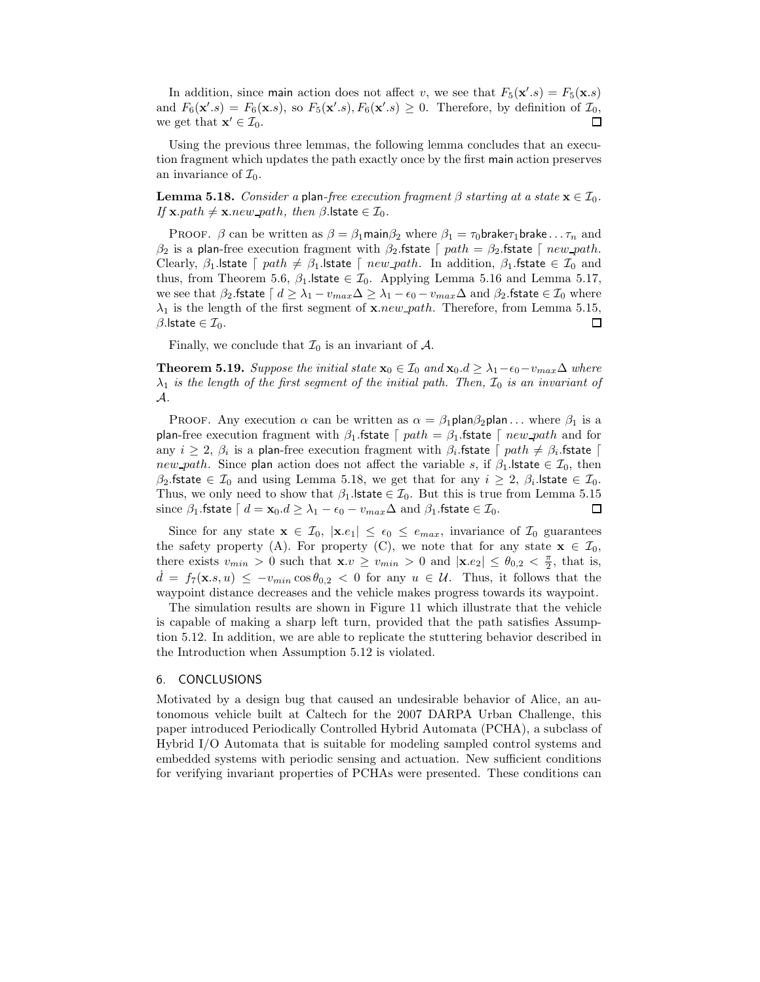In addition, since main action does not affect v, we see that  $F_5(\mathbf{x}'\cdot s) = F_5(\mathbf{x}\cdot s)$ and  $F_6(\mathbf{x}'\cdot s) = F_6(\mathbf{x}\cdot s)$ , so  $F_5(\mathbf{x}'\cdot s)$ ,  $F_6(\mathbf{x}'\cdot s) \geq 0$ . Therefore, by definition of  $\mathcal{I}_0$ ,  $\Box$ we get that  $\mathbf{x}' \in \mathcal{I}_0$ .

Using the previous three lemmas, the following lemma concludes that an execution fragment which updates the path exactly once by the first main action preserves an invariance of  $\mathcal{I}_0$ .

**Lemma 5.18.** *Consider a* plan-free execution fragment  $\beta$  starting at a state  $\mathbf{x} \in \mathcal{I}_0$ *. If*  $\mathbf{x}.path \neq \mathbf{x}.new\_path$ , then  $\beta$ . Istate  $\in \mathcal{I}_0$ .

PROOF.  $\beta$  can be written as  $\beta = \beta_1$ main $\beta_2$  where  $\beta_1 = \tau_0$ brake $\tau_1$ brake... $\tau_n$  and  $\beta_2$  is a plan-free execution fragment with  $\beta_2$  fistate  $\lceil \text{path} \rceil = \beta_2$  fistate  $\lceil \text{new-path} \rceil$ . Clearly,  $\beta_1$ .lstate  $\lceil \n{path \neq \beta_1} \rceil$ .lstate  $\lceil \n{new.path.} \rceil$  and  $\beta_1$ .fstate  $\in \mathcal{I}_0$  and thus, from Theorem 5.6,  $\beta_1$ . Istate  $\in \mathcal{I}_0$ . Applying Lemma 5.16 and Lemma 5.17, we see that  $\beta_2$  fstate  $\lceil d \geq \lambda_1 - v_{max} \Delta \geq \lambda_1 - \epsilon_0 - v_{max} \Delta$  and  $\beta_2$  fstate  $\in \mathcal{I}_0$  where  $\lambda_1$  is the length of the first segment of **x**.new\_path. Therefore, from Lemma 5.15,  $\beta$ . state  $\in \mathcal{I}_0$ . □

Finally, we conclude that  $\mathcal{I}_0$  is an invariant of  $\mathcal{A}$ .

**Theorem 5.19.** *Suppose the initial state*  $\mathbf{x}_0 \in \mathcal{I}_0$  *and*  $\mathbf{x}_0.d \geq \lambda_1 - \epsilon_0 - v_{max}\Delta$  *where*  $\lambda_1$  *is the length of the first segment of the initial path. Then,*  $\mathcal{I}_0$  *is an invariant of* A*.*

PROOF. Any execution  $\alpha$  can be written as  $\alpha = \beta_1$ plan $\beta_2$ plan... where  $\beta_1$  is a plan-free execution fragment with  $\beta_1$  fstate  $\lceil \text{path} \rangle = \beta_1$  fstate  $\lceil \text{new-path} \rangle$  and for any  $i \geq 2$ ,  $\beta_i$  is a plan-free execution fragment with  $\beta_i$  fstate  $\lceil$  path  $\neq \beta_i$  fstate  $\lceil$ new path. Since plan action does not affect the variable s, if  $\beta_1$  state  $\in \mathcal{I}_0$ , then  $\beta_2$ .fstate  $\in \mathcal{I}_0$  and using Lemma 5.18, we get that for any  $i \geq 2$ ,  $\beta_i$ . Istate  $\in \mathcal{I}_0$ . Thus, we only need to show that  $\beta_1$  Istate  $\in \mathcal{I}_0$ . But this is true from Lemma 5.15 since  $\beta_1$ .fstate  $\lceil d = \mathbf{x}_0.d \ge \lambda_1 - \epsilon_0 - v_{max}\Delta$  and  $\beta_1$ .fstate  $\in \mathcal{I}_0$ . ◻

Since for any state  $\mathbf{x} \in \mathcal{I}_0$ ,  $|\mathbf{x}.e_1| \leq \epsilon_0 \leq e_{max}$ , invariance of  $\mathcal{I}_0$  guarantees the safety property (A). For property (C), we note that for any state  $\mathbf{x} \in \mathcal{I}_0$ , there exists  $v_{min} > 0$  such that  $\mathbf{x}.v \ge v_{min} > 0$  and  $|\mathbf{x}.e_2| \le \theta_{0,2} < \frac{\pi}{2}$ , that is,  $d = f_7(\mathbf{x}.s, u) \leq -v_{min} \cos \theta_{0.2} < 0$  for any  $u \in \mathcal{U}$ . Thus, it follows that the waypoint distance decreases and the vehicle makes progress towards its waypoint.

The simulation results are shown in Figure 11 which illustrate that the vehicle is capable of making a sharp left turn, provided that the path satisfies Assumption 5.12. In addition, we are able to replicate the stuttering behavior described in the Introduction when Assumption 5.12 is violated.

#### 6. CONCLUSIONS

Motivated by a design bug that caused an undesirable behavior of Alice, an autonomous vehicle built at Caltech for the 2007 DARPA Urban Challenge, this paper introduced Periodically Controlled Hybrid Automata (PCHA), a subclass of Hybrid I/O Automata that is suitable for modeling sampled control systems and embedded systems with periodic sensing and actuation. New sufficient conditions for verifying invariant properties of PCHAs were presented. These conditions can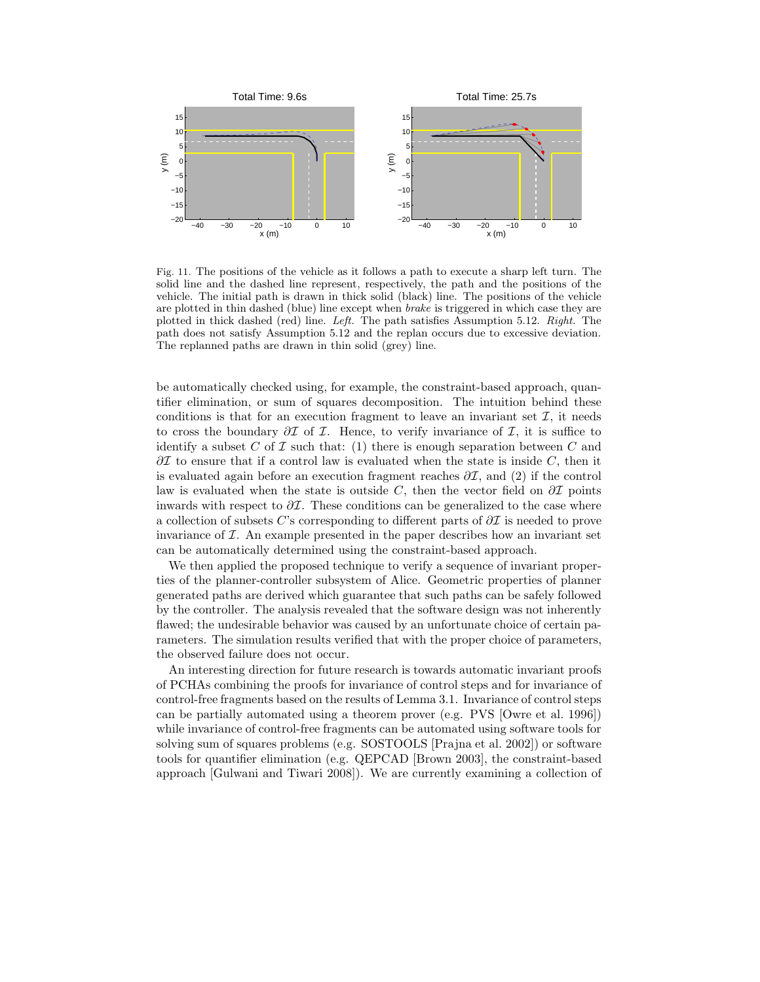

Fig. 11. The positions of the vehicle as it follows a path to execute a sharp left turn. The solid line and the dashed line represent, respectively, the path and the positions of the vehicle. The initial path is drawn in thick solid (black) line. The positions of the vehicle are plotted in thin dashed (blue) line except when *brake* is triggered in which case they are plotted in thick dashed (red) line. *Left.* The path satisfies Assumption 5.12. *Right.* The path does not satisfy Assumption 5.12 and the replan occurs due to excessive deviation. The replanned paths are drawn in thin solid (grey) line.

be automatically checked using, for example, the constraint-based approach, quantifier elimination, or sum of squares decomposition. The intuition behind these conditions is that for an execution fragment to leave an invariant set  $\mathcal{I}$ , it needs to cross the boundary  $\partial \mathcal{I}$  of  $\mathcal{I}$ . Hence, to verify invariance of  $\mathcal{I}$ , it is suffice to identify a subset C of  $\mathcal I$  such that: (1) there is enough separation between C and  $\partial\mathcal{I}$  to ensure that if a control law is evaluated when the state is inside C, then it is evaluated again before an execution fragment reaches  $\partial \mathcal{I}$ , and (2) if the control law is evaluated when the state is outside C, then the vector field on  $\partial \mathcal{I}$  points inwards with respect to  $\partial \mathcal{I}$ . These conditions can be generalized to the case where a collection of subsets C's corresponding to different parts of  $\partial \mathcal{I}$  is needed to prove invariance of  $\mathcal I$ . An example presented in the paper describes how an invariant set can be automatically determined using the constraint-based approach.

We then applied the proposed technique to verify a sequence of invariant properties of the planner-controller subsystem of Alice. Geometric properties of planner generated paths are derived which guarantee that such paths can be safely followed by the controller. The analysis revealed that the software design was not inherently flawed; the undesirable behavior was caused by an unfortunate choice of certain parameters. The simulation results verified that with the proper choice of parameters, the observed failure does not occur.

An interesting direction for future research is towards automatic invariant proofs of PCHAs combining the proofs for invariance of control steps and for invariance of control-free fragments based on the results of Lemma 3.1. Invariance of control steps can be partially automated using a theorem prover (e.g. PVS [Owre et al. 1996]) while invariance of control-free fragments can be automated using software tools for solving sum of squares problems (e.g. SOSTOOLS [Prajna et al. 2002]) or software tools for quantifier elimination (e.g. QEPCAD [Brown 2003], the constraint-based approach [Gulwani and Tiwari 2008]). We are currently examining a collection of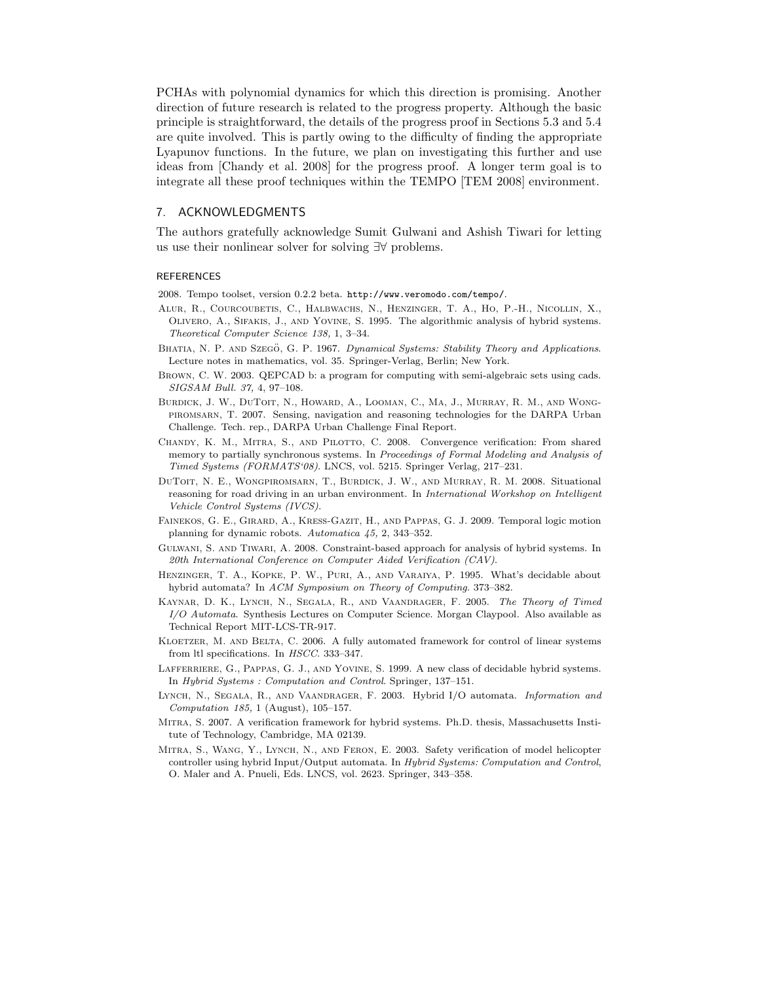PCHAs with polynomial dynamics for which this direction is promising. Another direction of future research is related to the progress property. Although the basic principle is straightforward, the details of the progress proof in Sections 5.3 and 5.4 are quite involved. This is partly owing to the difficulty of finding the appropriate Lyapunov functions. In the future, we plan on investigating this further and use ideas from [Chandy et al. 2008] for the progress proof. A longer term goal is to integrate all these proof techniques within the TEMPO [TEM 2008] environment.

# 7. ACKNOWLEDGMENTS

The authors gratefully acknowledge Sumit Gulwani and Ashish Tiwari for letting us use their nonlinear solver for solving ∃∀ problems.

# **REFERENCES**

2008. Tempo toolset, version 0.2.2 beta. http://www.veromodo.com/tempo/.

- Alur, R., Courcoubetis, C., Halbwachs, N., Henzinger, T. A., Ho, P.-H., Nicollin, X., Olivero, A., Sifakis, J., and Yovine, S. 1995. The algorithmic analysis of hybrid systems. *Theoretical Computer Science 138,* 1, 3–34.
- BHATIA, N. P. AND SZEGÖ, G. P. 1967. *Dynamical Systems: Stability Theory and Applications*. Lecture notes in mathematics, vol. 35. Springer-Verlag, Berlin; New York.
- Brown, C. W. 2003. QEPCAD b: a program for computing with semi-algebraic sets using cads. *SIGSAM Bull. 37,* 4, 97–108.
- Burdick, J. W., DuToit, N., Howard, A., Looman, C., Ma, J., Murray, R. M., and Wongpiromsarn, T. 2007. Sensing, navigation and reasoning technologies for the DARPA Urban Challenge. Tech. rep., DARPA Urban Challenge Final Report.
- CHANDY, K. M., MITRA, S., AND PILOTTO, C. 2008. Convergence verification: From shared memory to partially synchronous systems. In *Proceedings of Formal Modeling and Analysis of Timed Systems (FORMATS'08)*. LNCS, vol. 5215. Springer Verlag, 217–231.
- DUTOIT, N. E., WONGPIROMSARN, T., BURDICK, J. W., AND MURRAY, R. M. 2008. Situational reasoning for road driving in an urban environment. In *International Workshop on Intelligent Vehicle Control Systems (IVCS)*.
- Fainekos, G. E., Girard, A., Kress-Gazit, H., and Pappas, G. J. 2009. Temporal logic motion planning for dynamic robots. *Automatica 45,* 2, 343–352.
- Gulwani, S. and Tiwari, A. 2008. Constraint-based approach for analysis of hybrid systems. In *20th International Conference on Computer Aided Verification (CAV)*.
- Henzinger, T. A., Kopke, P. W., Puri, A., and Varaiya, P. 1995. What's decidable about hybrid automata? In *ACM Symposium on Theory of Computing*. 373–382.
- Kaynar, D. K., Lynch, N., Segala, R., and Vaandrager, F. 2005. *The Theory of Timed I/O Automata*. Synthesis Lectures on Computer Science. Morgan Claypool. Also available as Technical Report MIT-LCS-TR-917.
- KLOETZER, M. AND BELTA, C. 2006. A fully automated framework for control of linear systems from ltl specifications. In *HSCC*. 333–347.
- LAFFERRIERE, G., PAPPAS, G. J., AND YOVINE, S. 1999. A new class of decidable hybrid systems. In *Hybrid Systems : Computation and Control*. Springer, 137–151.
- Lynch, N., Segala, R., and Vaandrager, F. 2003. Hybrid I/O automata. *Information and Computation 185,* 1 (August), 105–157.
- Mitra, S. 2007. A verification framework for hybrid systems. Ph.D. thesis, Massachusetts Institute of Technology, Cambridge, MA 02139.
- Mitra, S., Wang, Y., Lynch, N., and Feron, E. 2003. Safety verification of model helicopter controller using hybrid Input/Output automata. In *Hybrid Systems: Computation and Control*, O. Maler and A. Pnueli, Eds. LNCS, vol. 2623. Springer, 343–358.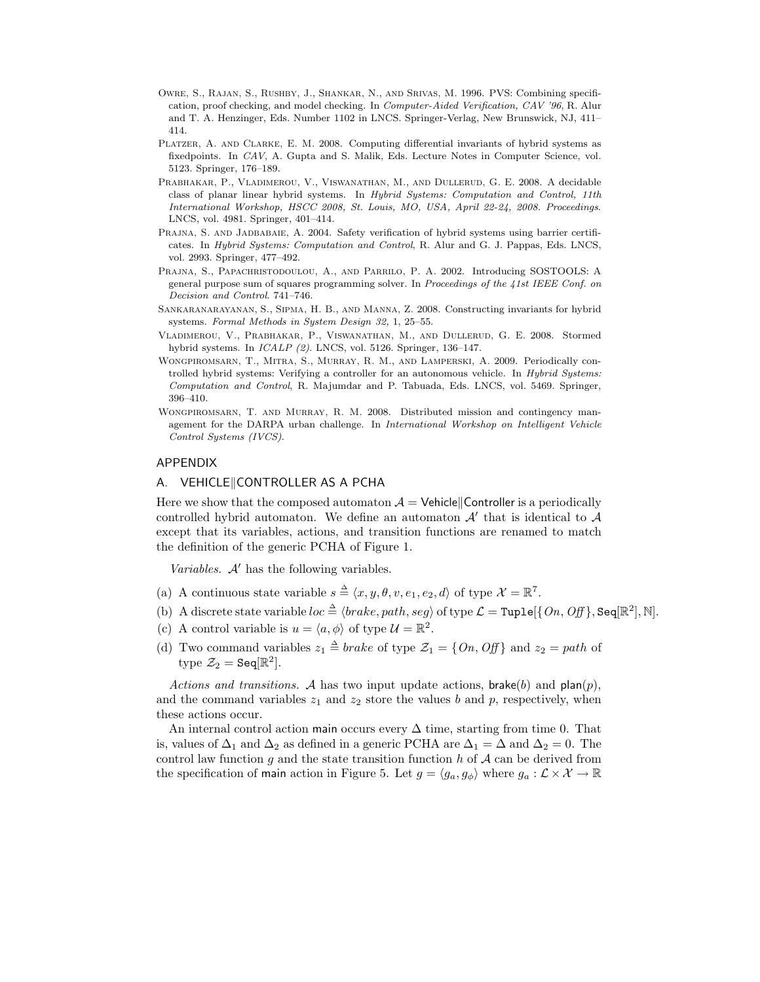- OWRE, S., RAJAN, S., RUSHBY, J., SHANKAR, N., AND SRIVAS, M. 1996. PVS: Combining specification, proof checking, and model checking. In *Computer-Aided Verification, CAV '96*, R. Alur and T. A. Henzinger, Eds. Number 1102 in LNCS. Springer-Verlag, New Brunswick, NJ, 411– 414.
- Platzer, A. and Clarke, E. M. 2008. Computing differential invariants of hybrid systems as fixedpoints. In *CAV*, A. Gupta and S. Malik, Eds. Lecture Notes in Computer Science, vol. 5123. Springer, 176–189.
- Prabhakar, P., Vladimerou, V., Viswanathan, M., and Dullerud, G. E. 2008. A decidable class of planar linear hybrid systems. In *Hybrid Systems: Computation and Control, 11th International Workshop, HSCC 2008, St. Louis, MO, USA, April 22-24, 2008. Proceedings*. LNCS, vol. 4981. Springer, 401–414.
- PRAJNA, S. AND JADBABAIE, A. 2004. Safety verification of hybrid systems using barrier certificates. In *Hybrid Systems: Computation and Control*, R. Alur and G. J. Pappas, Eds. LNCS, vol. 2993. Springer, 477–492.
- Prajna, S., Papachristodoulou, A., and Parrilo, P. A. 2002. Introducing SOSTOOLS: A general purpose sum of squares programming solver. In *Proceedings of the 41st IEEE Conf. on Decision and Control*. 741–746.
- Sankaranarayanan, S., Sipma, H. B., and Manna, Z. 2008. Constructing invariants for hybrid systems. *Formal Methods in System Design 32,* 1, 25–55.
- Vladimerou, V., Prabhakar, P., Viswanathan, M., and Dullerud, G. E. 2008. Stormed hybrid systems. In *ICALP (2)*. LNCS, vol. 5126. Springer, 136–147.
- Wongpiromsarn, T., Mitra, S., Murray, R. M., and Lamperski, A. 2009. Periodically controlled hybrid systems: Verifying a controller for an autonomous vehicle. In *Hybrid Systems: Computation and Control*, R. Majumdar and P. Tabuada, Eds. LNCS, vol. 5469. Springer, 396–410.
- WONGPIROMSARN, T. AND MURRAY, R. M. 2008. Distributed mission and contingency management for the DARPA urban challenge. In *International Workshop on Intelligent Vehicle Control Systems (IVCS)*.

# APPENDIX

# A. VEHICLE||CONTROLLER AS A PCHA

Here we show that the composed automaton  $\mathcal{A} =$  Vehicle||Controller is a periodically controlled hybrid automaton. We define an automaton  $\mathcal{A}'$  that is identical to  $\mathcal{A}$ except that its variables, actions, and transition functions are renamed to match the definition of the generic PCHA of Figure 1.

*Variables.* A' has the following variables.

- (a) A continuous state variable  $s \triangleq \langle x, y, \theta, v, e_1, e_2, d \rangle$  of type  $\mathcal{X} = \mathbb{R}^7$ .
- (b) A discrete state variable  $loc \triangleq \langle brake, path, seg \rangle$  of type  $\mathcal{L} = \texttt{Tuple}[\{On, Off\}, \texttt{Seq}[\mathbb{R}^2], \mathbb{N}].$
- (c) A control variable is  $u = \langle a, \phi \rangle$  of type  $\mathcal{U} = \mathbb{R}^2$ .
- (d) Two command variables  $z_1 \triangleq brake$  of type  $\mathcal{Z}_1 = \{On, Off\}$  and  $z_2 = path$  of type  $\mathcal{Z}_2 = \texttt{Seq}[\mathbb{R}^2]$ .

*Actions and transitions.* A has two input update actions,  $\text{brake}(b)$  and  $\text{plan}(p)$ , and the command variables  $z_1$  and  $z_2$  store the values b and p, respectively, when these actions occur.

An internal control action main occurs every  $\Delta$  time, starting from time 0. That is, values of  $\Delta_1$  and  $\Delta_2$  as defined in a generic PCHA are  $\Delta_1 = \Delta$  and  $\Delta_2 = 0$ . The control law function q and the state transition function h of  $A$  can be derived from the specification of main action in Figure 5. Let  $g = \langle g_a, g_{\phi} \rangle$  where  $g_a : \mathcal{L} \times \mathcal{X} \to \mathbb{R}$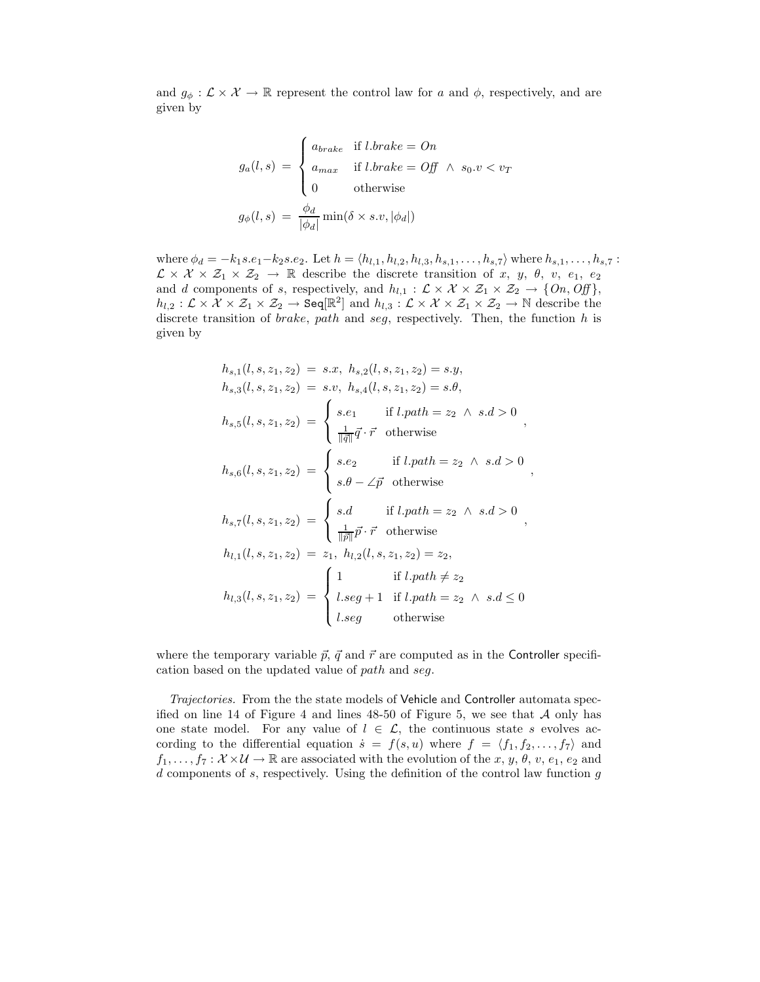and  $g_{\phi}: \mathcal{L} \times \mathcal{X} \to \mathbb{R}$  represent the control law for a and  $\phi$ , respectively, and are given by

$$
g_a(l,s) = \begin{cases} a_{brake} & \text{if } l.brake = On \\ a_{max} & \text{if } l.brake = Off \land s_0.v < v_T \\ 0 & \text{otherwise} \end{cases}
$$

$$
g_{\phi}(l,s) = \frac{\phi_d}{|\phi_d|} \min(\delta \times s.v, |\phi_d|)
$$

where  $\phi_d = -k_1 s.e_1-k_2 s.e_2$ . Let  $h = \langle h_{l,1}, h_{l,2}, h_{l,3}, h_{s,1}, \ldots, h_{s,7} \rangle$  where  $h_{s,1}, \ldots, h_{s,7}$ :  $\mathcal{L}\times\mathcal{X}\times\mathcal{Z}_1\times\mathcal{Z}_2\rightarrow\mathbb{R}$  describe the discrete transition of x, y,  $\theta$ , v,  $e_1$ ,  $e_2$ and d components of s, respectively, and  $h_{l,1} : \mathcal{L} \times \mathcal{X} \times \mathcal{Z}_1 \times \mathcal{Z}_2 \rightarrow \{On, Off\},\$  $h_{l,2} : \mathcal{L} \times \mathcal{X} \times \mathcal{Z}_1 \times \mathcal{Z}_2 \to \text{Seq}[\mathbb{R}^2]$  and  $h_{l,3} : \mathcal{L} \times \mathcal{X} \times \mathcal{Z}_1 \times \mathcal{Z}_2 \to \mathbb{N}$  describe the discrete transition of *brake*, path and seg, respectively. Then, the function  $h$  is given by

$$
h_{s,1}(l, s, z_1, z_2) = s.x, h_{s,2}(l, s, z_1, z_2) = s.y,
$$
  
\n
$$
h_{s,3}(l, s, z_1, z_2) = s.v, h_{s,4}(l, s, z_1, z_2) = s.\theta,
$$
  
\n
$$
h_{s,5}(l, s, z_1, z_2) = \begin{cases} s.e_1 & \text{if } l.path = z_2 \land s.d > 0 \\ \frac{1}{\|\vec{q}\|}\vec{q} \cdot \vec{r} & \text{otherwise} \end{cases},
$$
  
\n
$$
h_{s,6}(l, s, z_1, z_2) = \begin{cases} s.e_2 & \text{if } l.path = z_2 \land s.d > 0 \\ s.\theta - \angle \vec{p} & \text{otherwise} \end{cases},
$$
  
\n
$$
h_{s,7}(l, s, z_1, z_2) = \begin{cases} s.d & \text{if } l.path = z_2 \land s.d > 0 \\ \frac{1}{\|\vec{p}\|}\vec{p} \cdot \vec{r} & \text{otherwise} \end{cases},
$$
  
\n
$$
h_{l,1}(l, s, z_1, z_2) = z_1, h_{l,2}(l, s, z_1, z_2) = z_2,
$$
  
\n
$$
h_{l,3}(l, s, z_1, z_2) = \begin{cases} 1 & \text{if } l.path \neq z_2 \\ l \text{.} \text{seg} + 1 & \text{if } l.path = z_2 \land s.d \le 0 \\ l \text{.} \text{seg} & \text{otherwise} \end{cases}
$$

where the temporary variable  $\vec{p}$ ,  $\vec{q}$  and  $\vec{r}$  are computed as in the Controller specification based on the updated value of path and seg.

*Trajectories.* From the the state models of Vehicle and Controller automata specified on line 14 of Figure 4 and lines  $48-50$  of Figure 5, we see that  $A$  only has one state model. For any value of  $l \in \mathcal{L}$ , the continuous state s evolves according to the differential equation  $\dot{s} = f(s, u)$  where  $f = \langle f_1, f_2, \ldots, f_7 \rangle$  and  $f_1,\ldots,f_7:\mathcal{X}\times\mathcal{U}\rightarrow\mathbb{R}$  are associated with the evolution of the  $x, y, \theta, v, e_1, e_2$  and  $d$  components of  $s$ , respectively. Using the definition of the control law function  $g$